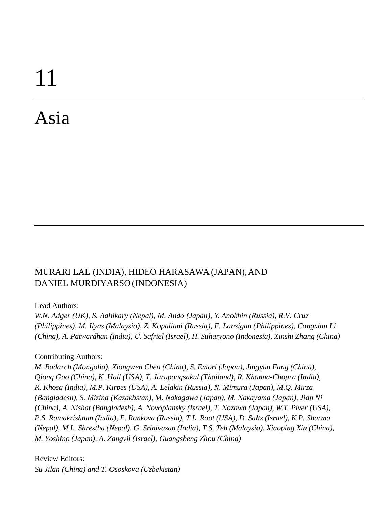# 11

# Asia

## MURARI LAL (INDIA), HIDEO HARASAWA(JAPAN), AND DANIEL MURDIYARSO (INDONESIA)

Lead Authors:

*W.N. Adger (UK), S. Adhikary (Nepal), M. Ando (Japan), Y. Anokhin (Russia), R.V. Cruz (Philippines), M. Ilyas (Malaysia), Z. Kopaliani (Russia), F. Lansigan (Philippines), Congxian Li (China), A. Patwardhan (India), U. Safriel (Israel), H. Suharyono (Indonesia), Xinshi Zhang (China)*

### Contributing Authors:

*M. Badarch (Mongolia), Xiongwen Chen (China), S. Emori (Japan), Jingyun Fang (China), Qiong Gao (China), K. Hall (USA), T. Jarupongsakul (Thailand), R. Khanna-Chopra (India), R. Khosa (India), M.P. Kirpes (USA), A. Lelakin (Russia), N. Mimura (Japan), M.Q. Mirza (Bangladesh), S. Mizina (Kazakhstan), M. Nakagawa (Japan), M. Nakayama (Japan), Jian Ni (China), A. Nishat (Bangladesh), A. Novoplansky (Israel), T. Nozawa (Japan), W. T. Piver (USA), P.S. Ramakrishnan (India), E. Rankova (Russia), T.L. Root (USA), D. Saltz (Israel), K.P. Sharma (Nepal), M.L. Shrestha (Nepal), G. Srinivasan (India), T.S. Teh (Malaysia), Xiaoping Xin (China), M. Yoshino (Japan), A. Zangvil (Israel), Guangsheng Zhou (China)*

Review Editors: *Su Jilan (China) and T. Ososkova (Uzbekistan)*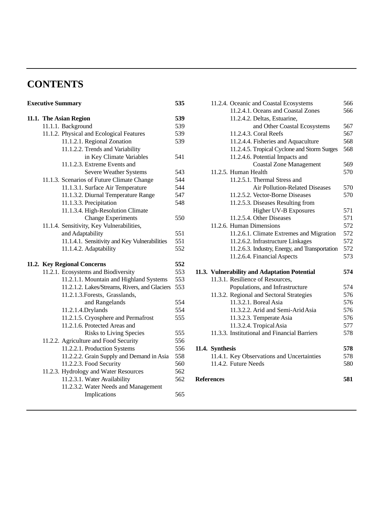# **CONTENTS**

| <b>Executive Summary</b>                      | 535 |
|-----------------------------------------------|-----|
| 11.1. The Asian Region                        | 539 |
| 11.1.1. Background                            | 539 |
| 11.1.2. Physical and Ecological Features      | 539 |
| 11.1.2.1. Regional Zonation                   | 539 |
| 11.1.2.2. Trends and Variability              |     |
| in Key Climate Variables                      | 541 |
| 11.1.2.3. Extreme Events and                  |     |
| Severe Weather Systems                        | 543 |
| 11.1.3. Scenarios of Future Climate Change    | 544 |
| 11.1.3.1. Surface Air Temperature             | 544 |
| 11.1.3.2. Diurnal Temperature Range           | 547 |
| 11.1.3.3. Precipitation                       | 548 |
| 11.1.3.4. High-Resolution Climate             |     |
| <b>Change Experiments</b>                     | 550 |
| 11.1.4. Sensitivity, Key Vulnerabilities,     |     |
| and Adaptability                              | 551 |
| 11.1.4.1. Sensitivity and Key Vulnerabilities | 551 |
| 11.1.4.2. Adaptability                        | 552 |
| 11.2. Key Regional Concerns                   | 552 |
| 11.2.1. Ecosystems and Biodiversity           | 553 |
| 11.2.1.1. Mountain and Highland Systems       | 553 |
| 11.2.1.2. Lakes/Streams, Rivers, and Glaciers | 553 |
| 11.2.1.3. Forests, Grasslands,                |     |
| and Rangelands                                | 554 |
| 11.2.1.4. Drylands                            | 554 |
| 11.2.1.5. Cryosphere and Permafrost           | 555 |
| 11.2.1.6. Protected Areas and                 |     |
| <b>Risks to Living Species</b>                | 555 |
| 11.2.2. Agriculture and Food Security         | 556 |
| 11.2.2.1. Production Systems                  | 556 |
| 11.2.2.2. Grain Supply and Demand in Asia     | 558 |
| 11.2.2.3. Food Security                       | 560 |
| 11.2.3. Hydrology and Water Resources         | 562 |
| 11.2.3.1. Water Availability                  | 562 |
| 11.2.3.2. Water Needs and Management          |     |
| Implications                                  | 565 |
|                                               |     |

|                   | 11.2.4. Oceanic and Coastal Ecosystems         | 566 |
|-------------------|------------------------------------------------|-----|
|                   | 11.2.4.1. Oceans and Coastal Zones             | 566 |
|                   | 11.2.4.2. Deltas, Estuarine,                   |     |
|                   | and Other Coastal Ecosystems                   | 567 |
|                   | 11.2.4.3. Coral Reefs                          | 567 |
|                   | 11.2.4.4. Fisheries and Aquaculture            | 568 |
|                   | 11.2.4.5. Tropical Cyclone and Storm Surges    | 568 |
|                   | 11.2.4.6. Potential Impacts and                |     |
|                   | <b>Coastal Zone Management</b>                 | 569 |
|                   | 11.2.5. Human Health                           | 570 |
|                   | 11.2.5.1. Thermal Stress and                   |     |
|                   | Air Pollution-Related Diseases                 | 570 |
|                   | 11.2.5.2. Vector-Borne Diseases                | 570 |
|                   | 11.2.5.3. Diseases Resulting from              |     |
|                   | Higher UV-B Exposures                          | 571 |
|                   | 11.2.5.4. Other Diseases                       | 571 |
|                   | 11.2.6. Human Dimensions                       | 572 |
|                   | 11.2.6.1. Climate Extremes and Migration       | 572 |
|                   | 11.2.6.2. Infrastructure Linkages              | 572 |
|                   | 11.2.6.3. Industry, Energy, and Transportation | 572 |
|                   | 11.2.6.4. Financial Aspects                    | 573 |
|                   | 11.3. Vulnerability and Adaptation Potential   | 574 |
|                   | 11.3.1. Resilience of Resources,               |     |
|                   | Populations, and Infrastructure                | 574 |
|                   | 11.3.2. Regional and Sectoral Strategies       | 576 |
|                   | 11.3.2.1. Boreal Asia                          | 576 |
|                   | 11.3.2.2. Arid and Semi-Arid Asia              | 576 |
|                   | 11.3.2.3. Temperate Asia                       | 576 |
|                   | 11.3.2.4. Tropical Asia                        | 577 |
|                   | 11.3.3. Institutional and Financial Barriers   | 578 |
| 11.4. Synthesis   |                                                | 578 |
|                   | 11.4.1. Key Observations and Uncertainties     | 578 |
|                   | 11.4.2. Future Needs                           | 580 |
| <b>References</b> |                                                | 581 |
|                   |                                                |     |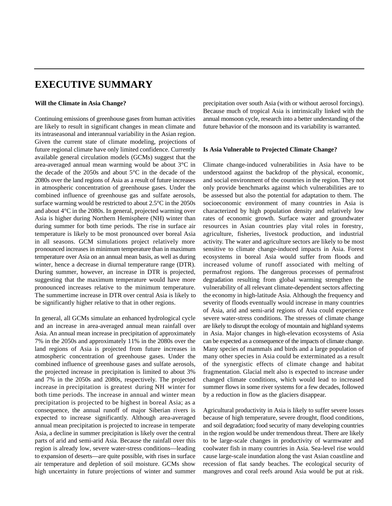### **EXECUTIVE SUMMARY**

#### **Will the Climate in Asia Change?**

Continuing emissions of greenhouse gases from human activities are likely to result in significant changes in mean climate and its intraseasonal and interannual variability in the Asian region. Given the current state of climate modeling, projections of future regional climate have only limited confidence. Currently available general circulation models (GCMs) suggest that the area-averaged annual mean warming would be about 3°C in the decade of the 2050s and about 5°C in the decade of the 2080s over the land regions of Asia as a result of future increases in atmospheric concentration of greenhouse gases. Under the combined influence of greenhouse gas and sulfate aerosols, surface warming would be restricted to about 2.5°C in the 2050s and about 4°C in the 2080s. In general, projected warming over Asia is higher during Northern Hemisphere (NH) winter than during summer for both time periods. The rise in surface air temperature is likely to be most pronounced over boreal Asia in all seasons. GCM simulations project relatively more pronounced increases in minimum temperature than in maximum temperature over Asia on an annual mean basis, as well as during winter, hence a decrease in diurnal temperature range (DTR). During summer, however, an increase in DTR is projected, suggesting that the maximum temperature would have more pronounced increases relative to the minimum temperature. The summertime increase in DTR over central Asia is likely to be significantly higher relative to that in other regions.

In general, all GCMs simulate an enhanced hydrological cycle and an increase in area-averaged annual mean rainfall over Asia. An annual mean increase in precipitation of approximately 7% in the 2050s and approximately 11% in the 2080s over the land regions of Asia is projected from future increases in atmospheric concentration of greenhouse gases. Under the combined influence of greenhouse gases and sulfate aerosols, the projected increase in precipitation is limited to about 3% and 7% in the 2050s and 2080s, respectively. The projected increase in precipitation is greatest during NH winter for both time periods. The increase in annual and winter mean precipitation is projected to be highest in boreal Asia; as a consequence, the annual runoff of major Siberian rivers is expected to increase significantly. Although area-averaged annual mean precipitation is projected to increase in temperate Asia, a decline in summer precipitation is likely over the central parts of arid and semi-arid Asia. Because the rainfall over this region is already low, severe water-stress conditions—leading to expansion of deserts—are quite possible, with rises in surface air temperature and depletion of soil moisture. GCMs show high uncertainty in future projections of winter and summer precipitation over south Asia (with or without aerosol forcings). Because much of tropical Asia is intrinsically linked with the annual monsoon cycle, research into a better understanding of the future behavior of the monsoon and its variability is warranted.

#### **Is Asia Vulnerable to Projected Climate Change?**

Climate change-induced vulnerabilities in Asia have to be understood against the backdrop of the physical, economic, and social environment of the countries in the region. They not only provide benchmarks against which vulnerabilities are to be assessed but also the potential for adaptation to them. The socioeconomic environment of many countries in Asia is characterized by high population density and relatively low rates of economic growth. Surface water and groundwater resources in Asian countries play vital roles in forestry, agriculture, fisheries, livestock production, and industrial activity. The water and agriculture sectors are likely to be most sensitive to climate change-induced impacts in Asia. Forest ecosystems in boreal Asia would suffer from floods and increased volume of runoff associated with melting of permafrost regions. The dangerous processes of permafrost degradation resulting from global warming strengthen the vulnerability of all relevant climate-dependent sectors affecting the economy in high-latitude Asia. Although the frequency and severity of floods eventually would increase in many countries of Asia, arid and semi-arid regions of Asia could experience severe water-stress conditions. The stresses of climate change are likely to disrupt the ecology of mountain and highland systems in Asia. Major changes in high-elevation ecosystems of Asia can be expected as a consequence of the impacts of climate change. Many species of mammals and birds and a large population of many other species in Asia could be exterminated as a result of the synergistic effects of climate change and habitat fragmentation. Glacial melt also is expected to increase under changed climate conditions, which would lead to increased summer flows in some river systems for a few decades, followed by a reduction in flow as the glaciers disappear.

Agricultural productivity in Asia is likely to suffer severe losses because of high temperature, severe drought, flood conditions, and soil degradation; food security of many developing countries in the region would be under tremendous threat. There are likely to be large-scale changes in productivity of warmwater and coolwater fish in many countries in Asia. Sea-level rise would cause large-scale inundation along the vast Asian coastline and recession of flat sandy beaches. The ecological security of mangroves and coral reefs around Asia would be put at risk.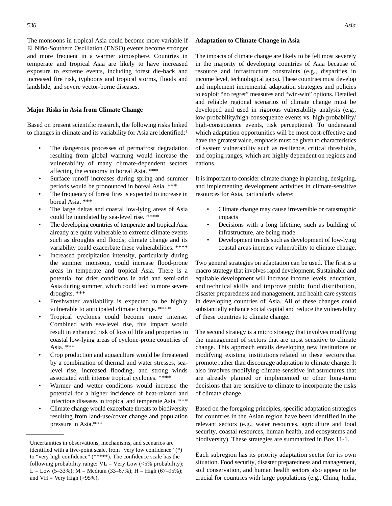The monsoons in tropical Asia could become more variable if El Niño-Southern Oscillation (ENSO) events become stronger and more frequent in a warmer atmosphere. Countries in temperate and tropical Asia are likely to have increased exposure to extreme events, including forest die-back and increased fire risk, typhoons and tropical storms, floods and landslide, and severe vector-borne diseases.

#### **Major Risks in Asia from Climate Change**

Based on present scientific research, the following risks linked to changes in climate and its variability for Asia are identified:<sup>1</sup>

- The dangerous processes of permafrost degradation resulting from global warming would increase the vulnerability of many climate-dependent sectors affecting the economy in boreal Asia. \*\*\*
- Surface runoff increases during spring and summer periods would be pronounced in boreal Asia. \*\*\*
- The frequency of forest fires is expected to increase in boreal Asia. \*\*\*
- The large deltas and coastal low-lying areas of Asia could be inundated by sea-level rise. \*\*\*\*
- The developing countries of temperate and tropical Asia already are quite vulnerable to extreme climate events such as droughts and floods; climate change and its variability could exacerbate these vulnerabilities. \*\*\*\*
- Increased precipitation intensity, particularly during the summer monsoon, could increase flood-prone areas in temperate and tropical Asia. There is a potential for drier conditions in arid and semi-arid Asia during summer, which could lead to more severe droughts. \*\*\*
- Freshwater availability is expected to be highly vulnerable to anticipated climate change. \*\*\*\*
- Tropical cyclones could become more intense. Combined with sea-level rise, this impact would result in enhanced risk of loss of life and properties in coastal low-lying areas of cyclone-prone countries of Asia. \*\*\*
- Crop production and aquaculture would be threatened by a combination of thermal and water stresses, sealevel rise, increased flooding, and strong winds associated with intense tropical cyclones. \*\*\*\*
- Warmer and wetter conditions would increase the potential for a higher incidence of heat-related and infectious diseases in tropical and temperate Asia. \*\*\*
- Climate change would exacerbate threats to biodiversity resulting from land-use/cover change and population pressure in Asia.\*\*\*

#### **Adaptation to Climate Change in Asia**

The impacts of climate change are likely to be felt most severely in the majority of developing countries of Asia because of resource and infrastructure constraints (e.g., disparities in income level, technological gaps). These countries must develop and implement incremental adaptation strategies and policies to exploit "no regret" measures and "win-win" options. Detailed and reliable regional scenarios of climate change must be developed and used in rigorous vulnerability analysis (e.g., low-probability/high-consequence events vs. high-probability/ high-consequence events, risk perceptions). To understand which adaptation opportunities will be most cost-effective and have the greatest value, emphasis must be given to characteristics of system vulnerability such as resilience, critical thresholds, and coping ranges, which are highly dependent on regions and nations.

It is important to consider climate change in planning, designing, and implementing development activities in climate-sensitive resources for Asia, particularly where:

- Climate change may cause irreversible or catastrophic *impacts*
- Decisions with a long lifetime, such as building of infrastructure, are being made
- Development trends such as development of low-lying coastal areas increase vulnerability to climate change.

Two general strategies on adaptation can be used. The first is a macro strategy that involves rapid development. Sustainable and equitable development will increase income levels, education, and technical skills and improve public food distribution, disaster preparedness and management, and health care systems in developing countries of Asia. All of these changes could substantially enhance social capital and reduce the vulnerability of these countries to climate change.

The second strategy is a micro strategy that involves modifying the management of sectors that are most sensitive to climate change. This approach entails developing new institutions or modifying existing institutions related to these sectors that promote rather than discourage adaptation to climate change. It also involves modifying climate-sensitive infrastructures that are already planned or implemented or other long-term decisions that are sensitive to climate to incorporate the risks of climate change.

Based on the foregoing principles, specific adaptation strategies for countries in the Asian region have been identified in the relevant sectors (e.g., water resources, agriculture and food security, coastal resources, human health, and ecosystems and biodiversity). These strategies are summarized in Box 11-1.

Each subregion has its priority adaptation sector for its own situation. Food security, disaster preparedness and management, soil conservation, and human health sectors also appear to be crucial for countries with large populations (e.g., China, India,

<sup>1</sup>Uncertainties in observations, mechanisms, and scenarios are identified with a five-point scale, from "very low confidence"  $(*)$ to "very high confidence" (\*\*\*\*\*). The confidence scale has the following probability range:  $VL = Very Low (< 5\% \text{ probability});$ L = Low (5–33%); M = Medium (33–67%); H = High (67–95%); and  $VH = V$ ery High (>95%).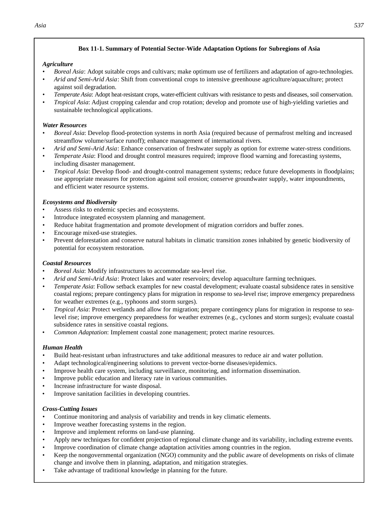#### **Box 11-1. Summary of Potential Sector-Wide Adaptation Options for Subregions of Asia**

#### *Agriculture*

- *Boreal Asia:* Adopt suitable crops and cultivars; make optimum use of fertilizers and adaptation of agro-technologies.
- *Arid and Semi-Arid Asia*: Shift from conventional crops to intensive greenhouse agriculture/aquaculture; protect against soil degradation.
- *Temperate Asia:* Adopt heat-resistant crops, water-efficient cultivars with resistance to pests and diseases, soil conservation.
- *Tropical Asia*: Adjust cropping calendar and crop rotation; develop and promote use of high-yielding varieties and sustainable technological applications.

#### *Water Resources*

- *Boreal Asia*: Develop flood-protection systems in north Asia (required because of permafrost melting and increased streamflow volume/surface runoff); enhance management of international rivers.
- *Arid and Semi-Arid Asia*: Enhance conservation of freshwater supply as option for extreme water-stress conditions.
- *Temperate Asia*: Flood and drought control measures required; improve flood warning and forecasting systems, including disaster management.
- *Tropical Asia*: Develop flood- and drought-control management systems; reduce future developments in floodplains; use appropriate measures for protection against soil erosion; conserve groundwater supply, water impoundments, and efficient water resource systems.

#### *Ecosystems and Biodiversity*

- Assess risks to endemic species and ecosystems.
- Introduce integrated ecosystem planning and management.
- Reduce habitat fragmentation and promote development of migration corridors and buffer zones.
- Encourage mixed-use strategies.
- Prevent deforestation and conserve natural habitats in climatic transition zones inhabited by genetic biodiversity of potential for ecosystem restoration.

#### *Coastal Resources*

- *Boreal Asia*: Modify infrastructures to accommodate sea-level rise.
- *Arid and Semi-Arid Asia*: Protect lakes and water reservoirs; develop aquaculture farming techniques.
- *Temperate Asia*: Follow setback examples for new coastal development; evaluate coastal subsidence rates in sensitive coastal regions; prepare contingency plans for migration in response to sea-level rise; improve emergency preparedness for weather extremes (e.g., typhoons and storm surges).
- *Tropical Asia*: Protect wetlands and allow for migration; prepare contingency plans for migration in response to sealevel rise; improve emergency preparedness for weather extremes (e.g., cyclones and storm surges); evaluate coastal subsidence rates in sensitive coastal regions.
- *Common Adaptation*: Implement coastal zone management; protect marine resources.

#### *Human Health*

- Build heat-resistant urban infrastructures and take additional measures to reduce air and water pollution.
- Adapt technological/engineering solutions to prevent vector-borne diseases/epidemics.
- Improve health care system, including surveillance, monitoring, and information dissemination.
- Improve public education and literacy rate in various communities.
- Increase infrastructure for waste disposal.
- Improve sanitation facilities in developing countries.

#### *Cross-Cutting Issues*

- Continue monitoring and analysis of variability and trends in key climatic elements.
- Improve weather forecasting systems in the region.
- Improve and implement reforms on land-use planning.
- Apply new techniques for confident projection of regional climate change and its variability, including extreme events.
- Improve coordination of climate change adaptation activities among countries in the region.
- Keep the nongovernmental organization (NGO) community and the public aware of developments on risks of climate change and involve them in planning, adaptation, and mitigation strategies.
- Take advantage of traditional knowledge in planning for the future.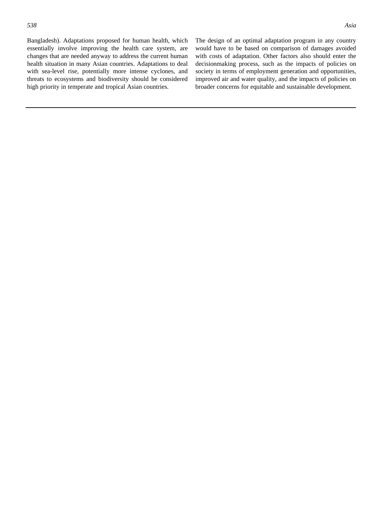Bangladesh). Adaptations proposed for human health, which essentially involve improving the health care system, are changes that are needed anyway to address the current human health situation in many Asian countries. Adaptations to deal with sea-level rise, potentially more intense cyclones, and threats to ecosystems and biodiversity should be considered high priority in temperate and tropical Asian countries.

The design of an optimal adaptation program in any country would have to be based on comparison of damages avoided with costs of adaptation. Other factors also should enter the decisionmaking process, such as the impacts of policies on society in terms of employment generation and opportunities, improved air and water quality, and the impacts of policies on broader concerns for equitable and sustainable development.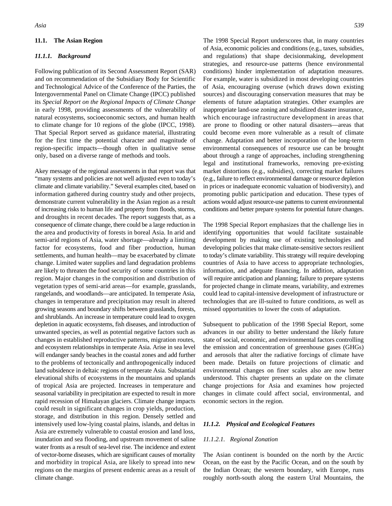#### **11.1. The Asian Region**

#### *11.1.1. Background*

Following publication of its Second Assessment Report (SAR) and on recommendation of the Subsidiary Body for Scientific and Technological Advice of the Conference of the Parties, the Intergovernmental Panel on Climate Change (IPCC) published its *Special Report on the Regional Impacts of Climate Change* in early 1998, providing assessments of the vulnerability of natural ecosystems, socioeconomic sectors, and human health to climate change for 10 regions of the globe (IPCC, 1998). That Special Report served as guidance material, illustrating for the first time the potential character and magnitude of region-specific impacts—though often in qualitative sense only, based on a diverse range of methods and tools.

Akey message of the regional assessments in that report was that "many systems and policies are not well adjusted even to today's climate and climate variability." Several examples cited, based on information gathered during country study and other projects, demonstrate current vulnerability in the Asian region as a result of increasing risks to human life and property from floods, storms, and droughts in recent decades. The report suggests that, as a consequence of climate change, there could be a large reduction in the area and productivity of forests in boreal Asia. In arid and semi-arid regions of Asia, water shortage—already a limiting factor for ecosystems, food and fiber production, human settlements, and human health—may be exacerbated by climate change. Limited water supplies and land degradation problems are likely to threaten the food security of some countries in this region. Major changes in the composition and distribution of vegetation types of semi-arid areas—for example, grasslands, rangelands, and woodlands—are anticipated. In temperate Asia, changes in temperature and precipitation may result in altered growing seasons and boundary shifts between grasslands, forests, and shrublands. An increase in temperature could lead to oxygen depletion in aquatic ecosystems, fish diseases, and introduction of unwanted species, as well as potential negative factors such as changes in established reproductive patterns, migration routes, and ecosystem relationships in temperate Asia. Arise in sea level will endanger sandy beaches in the coastal zones and add further to the problems of tectonically and anthropogenically induced land subsidence in deltaic regions of temperate Asia. Substantial elevational shifts of ecosystems in the mountains and uplands of tropical Asia are projected. Increases in temperature and seasonal variability in precipitation are expected to result in more rapid recession of Himalayan glaciers. Climate change impacts could result in significant changes in crop yields, production, storage, and distribution in this region. Densely settled and intensively used low-lying coastal plains, islands, and deltas in Asia are extremely vulnerable to coastal erosion and land loss, inundation and sea flooding, and upstream movement of saline water fronts as a result of sea-level rise. The incidence and extent of vector-borne diseases, which are significant causes of mortality and morbidity in tropical Asia, are likely to spread into new regions on the margins of present endemic areas as a result of climate change.

The 1998 Special Report underscores that, in many countries of Asia, economic policies and conditions (e.g., taxes, subsidies, and regulations) that shape decisionmaking, development strategies, and resource-use patterns (hence environmental conditions) hinder implementation of adaptation measures. For example, water is subsidized in most developing countries of Asia, encouraging overuse (which draws down existing sources) and discouraging conservation measures that may be elements of future adaptation strategies. Other examples are inappropriate land-use zoning and subsidized disaster insurance, which encourage infrastructure development in areas that are prone to flooding or other natural disasters—areas that could become even more vulnerable as a result of climate change. Adaptation and better incorporation of the long-term environmental consequences of resource use can be brought about through a range of approaches, including strengthening legal and institutional frameworks, removing pre-existing market distortions (e.g., subsidies), correcting market failures (e.g., failure to reflect environmental damage or resource depletion in prices or inadequate economic valuation of biodiversity), and promoting public participation and education. These types of actions would adjust resource-use patterns to current environmental conditions and better prepare systems for potential future changes.

The 1998 Special Report emphasizes that the challenge lies in identifying opportunities that would facilitate sustainable development by making use of existing technologies and developing policies that make climate-sensitive sectors resilient to today's climate variability. This strategy will require developing countries of Asia to have access to appropriate technologies, information, and adequate financing. In addition, adaptation will require anticipation and planning; failure to prepare systems for projected change in climate means, variability, and extremes could lead to capital-intensive development of infrastructure or technologies that are ill-suited to future conditions, as well as missed opportunities to lower the costs of adaptation.

Subsequent to publication of the 1998 Special Report, some advances in our ability to better understand the likely future state of social, economic, and environmental factors controlling the emission and concentration of greenhouse gases (GHGs) and aerosols that alter the radiative forcings of climate have been made. Details on future projections of climatic and environmental changes on finer scales also are now better understood. This chapter presents an update on the climate change projections for Asia and examines how projected changes in climate could affect social, environmental, and e conomic sectors in the region.

#### *11.1.2. Physical and Ecological Features*

#### *11.1.2.1. Regional Zonation*

The Asian continent is bounded on the north by the Arctic Ocean, on the east by the Pacific Ocean, and on the south by the Indian Ocean; the western boundary, with Europe, runs roughly north-south along the eastern Ural Mountains, the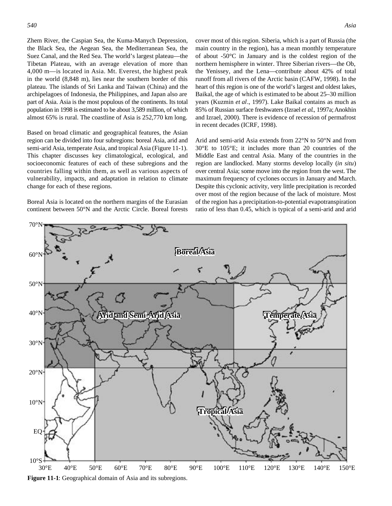Zhem River, the Caspian Sea, the Kuma-Manych Depression, the Black Sea, the Aegean Sea, the Mediterranean Sea, the Suez Canal, and the Red Sea. The world's largest plateau—the Tibetan Plateau, with an average elevation of more than 4,000 m—is located in Asia. Mt. Everest, the highest peak in the world (8,848 m), lies near the southern border of this plateau. The islands of Sri Lanka and Taiwan (China) and the archipelagoes of Indonesia, the Philippines, and Japan also are part of Asia. Asia is the most populous of the continents. Its total population in 1998 is estimated to be about 3,589 million, of which almost 65% is rural. The coastline of Asia is 252,770 km long.

Based on broad climatic and geographical features, the Asian region can be divided into four subregions: boreal Asia, arid and semi-arid Asia, temperate Asia, and tropical Asia (Figure 11-1). This chapter discusses key climatological, ecological, and socioeconomic features of each of these subregions and the countries falling within them, as well as various aspects of vulnerability, impacts, and adaptation in relation to climate change for each of these regions.

Boreal Asia is located on the northern margins of the Eurasian continent between 50°N and the Arctic Circle. Boreal forests

cover most of this region. Siberia, which is a part of Russia (the main country in the region), has a mean monthly temperature of about -50°C in January and is the coldest region of the northern hemisphere in winter. Three Siberian rivers—the Ob, the Yenissey, and the Lena—contribute about 42% of total runoff from all rivers of the Arctic basin (CAFW, 1998). In the heart of this region is one of the world's largest and oldest lakes, Baikal, the age of which is estimated to be about 25–30 million years (Kuzmin *et al*., 1997). Lake Baikal contains as much as 85% of Russian surface freshwaters (Izrael *et al.*, 1997a; Anokhin and Izrael, 2000). There is evidence of recession of permafrost in recent decades (ICRF, 1998).

Arid and semi-arid Asia extends from 22°N to 50°N and from 30°E to 105°E; it includes more than 20 countries of the Middle East and central Asia. Many of the countries in the region are landlocked. Many storms develop locally (*in situ*) over central Asia; some move into the region from the west. The maximum frequency of cyclones occurs in January and March. Despite this cyclonic activity, very little precipitation is recorded over most of the region because of the lack of moisture. Most of the region has a precipitation-to-potential evapotranspiration ratio of less than 0.45, which is typical of a semi-arid and arid



**Figure 11-1**: Geographical domain of Asia and its subregions.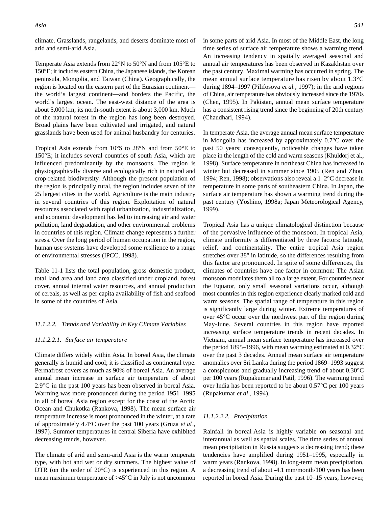climate. Grasslands, rangelands, and deserts dominate most of arid and semi-arid Asia.

Temperate Asia extends from 22°N to 50°N and from 105°E to 150°E; it includes eastern China, the Japanese islands, the Korean peninsula, Mongolia, and Taiwan (China). Geographically, the region is located on the eastern part of the Eurasian continent the world's largest continent—and borders the Pacific, the world's largest ocean. The east-west distance of the area is about 5,000 km; its north-south extent is about 3,000 km. Much of the natural forest in the region has long been destroyed. Broad plains have been cultivated and irrigated, and natural grasslands have been used for animal husbandry for centuries.

Tropical Asia extends from 10°S to 28°N and from 50°E to 150°E; it includes several countries of south Asia, which are influenced predominantly by the monsoons. The region is physiographically diverse and ecologically rich in natural and crop-related biodiversity. Although the present population of the region is principally rural, the region includes seven of the 25 largest cities in the world. Agriculture is the main industry in several countries of this region. Exploitation of natural resources associated with rapid urbanization, industrialization, and economic development has led to increasing air and water pollution, land degradation, and other environmental problems in countries of this region. Climate change represents a further stress. Over the long period of human occupation in the region, human use systems have developed some resilience to a range of environmental stresses (IPCC, 1998).

Table 11-1 lists the total population, gross domestic product, total land area and land area classified under cropland, forest cover, annual internal water resources, and annual production of cereals, as well as per capita availability of fish and seafood in some of the countries of Asia.

#### *11.1.2.2. Trends and Variability in Key Climate Variables*

#### *11.1.2.2.1. Surface air temperature*

Climate differs widely within Asia. In boreal Asia, the climate generally is humid and cool; it is classified as continental type. Permafrost covers as much as 90% of boreal Asia. An average annual mean increase in surface air temperature of about 2.9°C in the past 100 years has been observed in boreal Asia. Warming was more pronounced during the period 1951–1995 in all of boreal Asia region except for the coast of the Arctic Ocean and Chukotka (Rankova, 1998). The mean surface air temperature increase is most pronounced in the winter, at a rate of approximately 4.4°C over the past 100 years (Gruza *et al*., 1997). Summer temperatures in central Siberia have exhibited decreasing trends, however.

The climate of arid and semi-arid Asia is the warm temperate type, with hot and wet or dry summers. The highest value of DTR (on the order of 20<sup>o</sup>C) is experienced in this region. A mean maximum temperature of >45°C in July is not uncommon in some parts of arid Asia. In most of the Middle East, the long time series of surface air temperature shows a warming trend. An increasing tendency in spatially averaged seasonal and annual air temperatures has been observed in Kazakhstan over the past century. Maximal warming has occurred in spring. The mean annual surface temperature has risen by about 1.3°C during 1894–1997 (Pilifosova *et al.*, 1997); in the arid regions of China, air temperature has obviously increased since the 1970s (Chen, 1995). In Pakistan, annual mean surface temperature has a consistent rising trend since the beginning of 20th century (Chaudhari, 1994).

In temperate Asia, the average annual mean surface temperature in Mongolia has increased by approximately 0.7°C over the past 50 years; consequently, noticeable changes have taken place in the length of the cold and warm seasons (Khuldorj et al., 1998). Surface temperature in northeast China has increased in winter but decreased in summer since 1905 (Ren and Zhou, 1994; Ren, 1998); observations also reveal a 1–2°C decrease in temperature in some parts of southeastern China. In Japan, the surface air temperature has shown a warming trend during the past century (Yoshino, 1998a; Japan Meteorological Agency, 1999).

Tropical Asia has a unique climatological distinction because of the pervasive influence of the monsoon. In tropical Asia, climate uniformity is differentiated by three factors: latitude, relief, and continentality. The entire tropical Asia region stretches over 38° in latitude, so the differences resulting from this factor are pronounced. In spite of some differences, the climates of countries have one factor in common: The Asian monsoon modulates them all to a large extent. For countries near the Equator, only small seasonal variations occur, although most countries in this region experience clearly marked cold and warm seasons. The spatial range of temperature in this region is significantly large during winter. Extreme temperatures of over 45°C occur over the northwest part of the region during May-June. Several countries in this region have reported increasing surface temperature trends in recent decades. In Vietnam, annual mean surface temperature has increased over the period 1895–1996, with mean warming estimated at 0.32°C over the past 3 decades. Annual mean surface air temperature anomalies over Sri Lanka during the period 1869–1993 suggest a conspicuous and gradually increasing trend of about 0.30°C per 100 years (Rupakumar and Patil, 1996). The warming trend over India has been reported to be about 0.57°C per 100 years (Rupakumar *et al*., 1994).

#### *11.1.2.2.2. Precipitation*

Rainfall in boreal Asia is highly variable on seasonal and interannual as well as spatial scales. The time series of annual mean precipitation in Russia suggests a decreasing trend; these tendencies have amplified during 1951–1995, especially in warm years (Rankova, 1998). In long-term mean precipitation, a decreasing trend of about -4.1 mm/month/100 years has been reported in boreal Asia. During the past 10–15 years, however,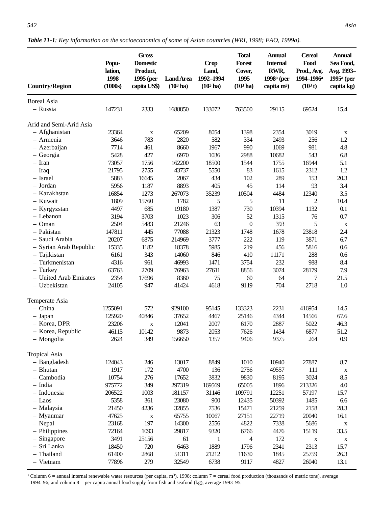| <b>Boreal Asia</b>                                                                                 | 15.4        |
|----------------------------------------------------------------------------------------------------|-------------|
|                                                                                                    |             |
| - Russia<br>147231<br>2333<br>1688850<br>133072<br>763500<br>29115<br>69524                        |             |
| Arid and Semi-Arid Asia                                                                            |             |
| - Afghanistan<br>23364<br>8054<br>1398<br>3019<br>65209<br>2354<br>$\mathbf X$                     | X           |
| 783<br>2820<br>582<br>334<br>- Armenia<br>3646<br>2493<br>256                                      | 1.2         |
| 990<br>- Azerbaijan<br>7714<br>461<br>8660<br>1967<br>1069<br>981                                  | 4.8         |
| 427<br>- Georgia<br>5428<br>6970<br>1036<br>2988<br>10682<br>543                                   | 6.8         |
| $-$ Iran<br>73057<br>1756<br>162200<br>18500<br>1544<br>1755<br>16944                              | 5.1         |
| 83<br>2312<br>$-$ Iraq<br>21795<br>2755<br>43737<br>5550<br>1615                                   | 1.2         |
| 5883<br>289<br>- Israel<br>16645<br>2067<br>434<br>102<br>153                                      | 20.3        |
| - Jordan<br>5956<br>1187<br>8893<br>45<br>93<br>405<br>114                                         | 3.4         |
| - Kazakhstan<br>16854<br>1273<br>267073<br>35239<br>10504<br>4484<br>12340                         | 3.5         |
| 1782<br>- Kuwait<br>1809<br>15760<br>5<br>5<br>11<br>2                                             | 10.4        |
| 685<br>1387<br>1132<br>4497<br>19180<br>730<br>10394<br>- Kyrgyzstan                               | 0.1         |
| - Lebanon<br>3194<br>3703<br>306<br>52<br>1315<br>76<br>1023                                       | 0.7         |
| 63<br>393<br>5<br>- Oman<br>2504<br>5483<br>21246<br>$\boldsymbol{0}$                              | X           |
| - Pakistan<br>147811<br>445<br>77088<br>21323<br>1748<br>1678<br>23818                             | 2.4         |
| 6875<br>3777<br>222<br>3871<br>- Saudi Arabia<br>20207<br>214969<br>119                            | 6.7         |
| 15335<br>1182<br>219<br>5816<br>- Syrian Arab Republic<br>18378<br>5985<br>456                     | 0.6         |
| - Tajikistan<br>343<br>410<br>6161<br>14060<br>846<br>11171<br>288                                 | 0.6         |
| - Turkmenistan<br>1471<br>4316<br>961<br>46993<br>3754<br>232<br>988                               | 8.4         |
| 28179<br>$-$ Turkey<br>63763<br>2709<br>76963<br>27611<br>8856<br>3074                             | 7.9         |
| - United Arab Emirates<br>2354<br>75<br>17696<br>8360<br>60<br>64<br>7                             | 21.5        |
| - Uzbekistan<br>2718<br>24105<br>947<br>41424<br>4618<br>9119<br>704                               | 1.0         |
| Temperate Asia                                                                                     |             |
| - China<br>1255091<br>572<br>929100<br>95145<br>133323<br>2231<br>416954                           | 14.5        |
| - Japan<br>125920<br>40846<br>37652<br>4467<br>25146<br>4344<br>14566                              | 67.6        |
| - Korea, DPR<br>23206<br>12041<br>2007<br>6170<br>2887<br>5022<br>$\mathbf X$                      | 46.3        |
| 9873<br>6877<br>- Korea, Republic<br>46115<br>10142<br>2053<br>7626<br>1434                        | 51.2        |
| - Mongolia<br>2624<br>349<br>156650<br>1357<br>9406<br>9375<br>264                                 | 0.9         |
| <b>Tropical Asia</b>                                                                               |             |
| - Bangladesh<br>124043<br>246<br>13017<br>8849<br>1010<br>10940<br>27887                           | 8.7         |
| - Bhutan<br>172<br>1917<br>4700<br>136<br>2756<br>49557<br>111                                     | $\mathbf X$ |
| Cambodia<br>276<br>9830<br>10754<br>17652<br>3832<br>8195<br>3024                                  | 8.5         |
| - India<br>975772<br>349<br>297319<br>169569<br>65005<br>1896<br>213326                            | 4.0         |
| - Indonesia<br>206522<br>1003<br>181157<br>31146<br>109791<br>12251<br>57197                       | 15.7        |
| $-$ Laos<br>5358<br>361<br>900<br>23080<br>12435<br>50392<br>1485                                  | 6.6         |
| - Malaysia<br>21450<br>4236<br>32855<br>7536<br>15471<br>21259<br>2158                             | 28.3        |
| - Myanmar<br>47625<br>65755<br>10067<br>27151<br>22719<br>20040<br>$\mathbf X$                     | 16.1        |
| 23168<br>197<br>14300<br>- Nepal<br>2556<br>4822<br>7338<br>5686                                   | $\mathbf X$ |
| - Philippines<br>72164<br>1093<br>29817<br>9320<br>6766<br>4476<br>15119                           | 33.5        |
| 172<br>Singapore<br>3491<br>25156<br>61<br>$\mathbf{1}$<br>$\overline{\mathcal{L}}$<br>$\mathbf X$ | $\mathbf X$ |
| Sri Lanka<br>1889<br>2313<br>18450<br>720<br>6463<br>1796<br>2341                                  | 15.7        |
| Thailand<br>61400<br>2868<br>51311<br>21212<br>11630<br>1845<br>25759                              | 26.3        |
| - Vietnam<br>77896<br>279<br>6738<br>4827<br>32549<br>9117<br>26040                                | 13.1        |

*Table 11-1: Key information on the socioeconomics of some of Asian countries (WRI, 1998; FAO, 1999a).*

 $a$  Column 6 = annual internal renewable water resources (per capita, m<sup>3</sup>), 1998; column 7 = cereal food production (thousands of metric tons), average 1994–96; and column 8 = per capita annual food supply from fish and seafood (kg), average 1993–95.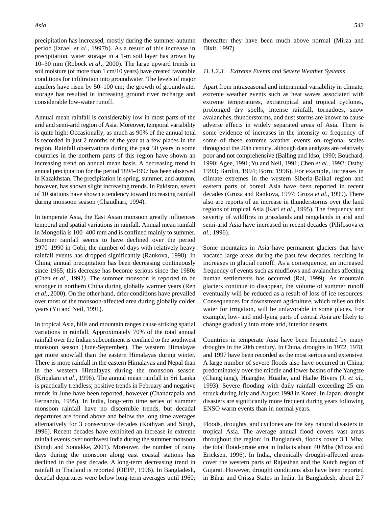precipitation has increased, mostly during the summer-autumn period (Izrael *et al*., 1997b). As a result of this increase in precipitation, water storage in a 1-m soil layer has grown by 10–30 mm (Robock *et al*., 2000). The large upward trends in soil moisture (of more than 1 cm/10 years) have created favorable conditions for infiltration into groundwater. The levels of major aquifers have risen by 50–100 cm; the growth of groundwater storage has resulted in increasing ground river recharge and considerable low-water runoff.

Annual mean rainfall is considerably low in most parts of the arid and semi-arid region of Asia. Moreover, temporal variability is quite high: Occasionally, as much as 90% of the annual total is recorded in just 2 months of the year at a few places in the region. Rainfall observations during the past 50 years in some countries in the northern parts of this region have shown an increasing trend on annual mean basis. A decreasing trend in annual precipitation for the period 1894–1997 has been observed in Kazakhstan. The precipitation in spring, summer, and autumn, however, has shown slight increasing trends. In Pakistan, seven of 10 stations have shown a tendency toward increasing rainfall during monsoon season (Chaudhari, 1994).

In temperate Asia, the East Asian monsoon greatly influences temporal and spatial variations in rainfall. Annual mean rainfall in Mongolia is 100–400 mm and is confined mainly to summer. Summer rainfall seems to have declined over the period 1970–1990 in Gobi; the number of days with relatively heavy rainfall events has dropped significantly (Rankova, 1998). In China, annual precipitation has been decreasing continuously since 1965; this decrease has become serious since the 1980s (Chen *et al*., 1992). The summer monsoon is reported to be stronger in northern China during globally warmer years (Ren *et al.,* 2000). On the other hand, drier conditions have prevailed over most of the monsoon-affected area during globally colder years (Yu and Neil, 1991).

In tropical Asia, hills and mountain ranges cause striking spatial variations in rainfall. Approximately 70% of the total annual rainfall over the Indian subcontinent is confined to the southwest monsoon season (June-September). The western Himalayas get more snowfall than the eastern Himalayas during winter. There is more rainfall in the eastern Himalayas and Nepal than in the western Himalayas during the monsoon season (Kripalani *et al*., 1996). The annual mean rainfall in Sri Lanka is practically trendless; positive trends in February and negative trends in June have been reported, however (Chandrapala and Fernando, 1995). In India, long-term time series of summer monsoon rainfall have no discernible trends, but decadal departures are found above and below the long time averages alternatively for 3 consecutive decades (Kothyari and Singh, 1996). Recent decades have exhibited an increase in extreme rainfall events over northwest India during the summer monsoon (Singh and Sontakke, 2001). Moreover, the number of rainy days during the monsoon along east coastal stations has declined in the past decade. A long-term decreasing trend in rainfall in Thailand is reported (OEPP, 1996). In Bangladesh, decadal departures were below long-term averages until 1960; thereafter they have been much above normal (Mirza and Dixit, 1997).

#### *11.1.2.3. Extreme Events and Severe Weather Systems*

Apart from intraseasonal and interannual variability in climate, extreme weather events such as heat waves associated with extreme temperatures, extratropical and tropical cyclones, prolonged dry spells, intense rainfall, tornadoes, snow avalanches, thunderstorms, and dust storms are known to cause adverse effects in widely separated areas of Asia. There is some evidence of increases in the intensity or frequency of some of these extreme weather events on regional scales throughout the 20th century, although data analyses are relatively poor and not comprehensive (Balling and Idso, 1990; Bouchard, 1990; Agee, 1991; Yu and Neil, 1991; Chen *et al*., 1992; Ostby, 1993; Bardin, 1994; Born, 1996). For example, increases in climate extremes in the western Siberia-Baikal region and eastern parts of boreal Asia have been reported in recent decades (Gruza and Rankova, 1997; Gruza *et al*., 1999). There also are reports of an increase in thunderstorms over the land regions of tropical Asia (Karl *et al*., 1995). The frequency and severity of wildfires in grasslands and rangelands in arid and semi-arid Asia have increased in recent decades (Pilifosova *et al*., 1996).

Some mountains in Asia have permanent glaciers that have vacated large areas during the past few decades, resulting in increases in glacial runoff. As a consequence, an increased frequency of events such as mudflows and avalanches affecting human settlements has occurred (Rai, 1999). As mountain glaciers continue to disappear, the volume of summer runoff eventually will be reduced as a result of loss of ice resources. Consequences for downstream agriculture, which relies on this water for irrigation, will be unfavorable in some places. For example, low- and mid-lying parts of central Asia are likely to change gradually into more arid, interior deserts.

Countries in temperate Asia have been frequented by many droughts in the 20th century. In China, droughts in 1972, 1978, and 1997 have been recorded as the most serious and extensive. A large number of severe floods also have occurred in China, predominately over the middle and lower basins of the Yangtze (Changjiang), Huanghe, Huaihe, and Haihe Rivers (Ji *et al*., 1993). Severe flooding with daily rainfall exceeding 25 cm struck during July and August 1998 in Korea. In Japan, drought disasters are significantly more frequent during years following ENSO warm events than in normal years.

Floods, droughts, and cyclones are the key natural disasters in tropical Asia. The average annual flood covers vast areas throughout the region: In Bangladesh, floods cover 3.1 Mha; the total flood-prone area in India is about 40 Mha (Mirza and Ericksen, 1996). In India, chronically drought-affected areas cover the western parts of Rajasthan and the Kutch region of Gujarat. However, drought conditions also have been reported in Bihar and Orissa States in India. In Bangladesh, about 2.7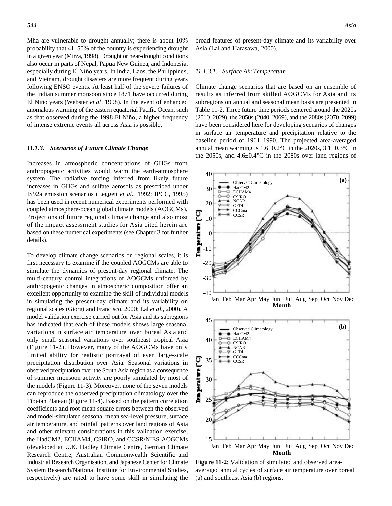Mha are vulnerable to drought annually; there is about 10% probability that 41–50% of the country is experiencing drought in a given year (Mirza, 1998). Drought or near-drought conditions also occur in parts of Nepal, Papua New Guinea, and Indonesia, especially during El Niño years. In India, Laos, the Philippines, and Vietnam, drought disasters are more frequent during years following ENSO events. At least half of the severe failures of the Indian summer monsoon since 1871 have occurred during El Niño years (Webster *et al*. 1998). In the event of enhanced anomalous warming of the eastern equatorial Pacific Ocean, such as that observed during the 1998 El Niño, a higher frequency of intense extreme events all across Asia is possible.

#### *11.1.3. Scenarios of Future Climate Change*

Increases in atmospheric concentrations of GHGs from anthropogenic activities would warm the earth-atmosphere system. The radiative forcing inferred from likely future increases in GHGs and sulfate aerosols as prescribed under IS92a emission scenarios (Leggett *et al.*, 1992; IPCC, 1995) has been used in recent numerical experiments performed with coupled atmosphere-ocean global climate models (AOGCMs). Projections of future regional climate change and also most of the impact assessment studies for Asia cited herein are based on these numerical experiments (see Chapter 3 for further details).

To develop climate change scenarios on regional scales, it is first necessary to examine if the coupled AOGCMs are able to simulate the dynamics of present-day regional climate. The multi-century control integrations of AOGCMs unforced by anthropogenic changes in atmospheric composition offer an excellent opportunity to examine the skill of individual models in simulating the present-day climate and its variability on regional scales (Giorgi and Francisco, 2000; Lal *et al*., 2000). A model validation exercise carried out for Asia and its subregions has indicated that each of these models shows large seasonal variations in surface air temperature over boreal Asia and only small seasonal variations over southeast tropical Asia (Figure 11-2). However, many of the AOGCMs have only limited ability for realistic portrayal of even large-scale precipitation distribution over Asia. Seasonal variations in observed precipitation over the South Asia region as a consequence of summer monsoon activity are poorly simulated by most of the models (Figure 11-3). Moreover, none of the seven models can reproduce the observed precipitation climatology over the Tibetan Plateau (Figure 11-4). Based on the pattern correlation coefficients and root mean square errors between the observed and model-simulated seasonal mean sea-level pressure, surface air temperature, and rainfall patterns over land regions of Asia and other relevant considerations in this validation exercise, the HadCM2, ECHAM4, CSIRO, and CCSR/NIES AOGCMs (developed at U.K. Hadley Climate Centre, German Climate Research Centre, Australian Commonwealth Scientific and Industrial Research Organisation, and Japanese Center for Climate System Research/National Institute for Environmental Studies, respectively) are rated to have some skill in simulating the broad features of present-day climate and its variability over Asia (Lal and Harasawa, 2000).

#### *11.1.3.1. Surface Air Temperature*

Climate change scenarios that are based on an ensemble of results as inferred from skilled AOGCMs for Asia and its subregions on annual and seasonal mean basis are presented in Table 11-2. Three future time periods centered around the 2020s (2010–2029), the 2050s (2040–2069), and the 2080s (2070–2099) have been considered here for developing scenarios of changes in surface air temperature and precipitation relative to the baseline period of 1961–1990. The projected area-averaged annual mean warming is  $1.6 \pm 0.2$ °C in the 2020s,  $3.1 \pm 0.3$ °C in the 2050s, and 4.6±0.4°C in the 2080s over land regions of



**Month**



**Figure 11-2:** Validation of simulated and observed areaaveraged annual cycles of surface air temperature over boreal (a) and southeast Asia (b) regions.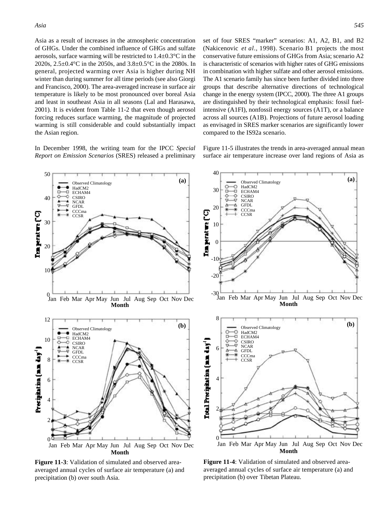Asia as a result of increases in the atmospheric concentration of GHGs. Under the combined influence of GHGs and sulfate aerosols, surface warming will be restricted to  $1.4 \pm 0.3$ °C in the 2020s, 2.5±0.4°C in the 2050s, and 3.8±0.5°C in the 2080s. In general, projected warming over Asia is higher during NH winter than during summer for all time periods (see also Giorgi and Francisco, 2000). The area-averaged increase in surface air temperature is likely to be most pronounced over boreal Asia and least in southeast Asia in all seasons (Lal and Harasawa, 2001). It is evident from Table 11-2 that even though aerosol forcing reduces surface warming, the magnitude of projected warming is still considerable and could substantially impact the Asian region.

In December 1998, the writing team for the IPCC *Special Report on Emission Scenarios* (SRES) released a preliminary set of four SRES "marker" scenarios: A1, A2, B1, and B2 (Nakicenovic *et al*., 1998). Scenario B1 projects the most conservative future emissions of GHGs from Asia; scenario A2 is characteristic of scenarios with higher rates of GHG emissions in combination with higher sulfate and other aerosol emissions. The A1 scenario family has since been further divided into three groups that describe alternative directions of technological change in the energy system (IPCC, 2000). The three A1 groups are distinguished by their technological emphasis: fossil fuelintensive (A1FI), nonfossil energy sources (A1T), or a balance across all sources (A1B). Projections of future aerosol loading as envisaged in SRES marker scenarios are significantly lower compared to the IS92a scenario.

Figure 11-5 illustrates the trends in area-averaged annual mean surface air temperature increase over land regions of Asia as



**Figure 11-3**: Validation of simulated and observed areaaveraged annual cycles of surface air temperature (a) and precipitation (b) over south Asia.



**Month**



**Figure 11-4:** Validation of simulated and observed areaaveraged annual cycles of surface air temperature (a) and precipitation (b) over Tibetan Plateau.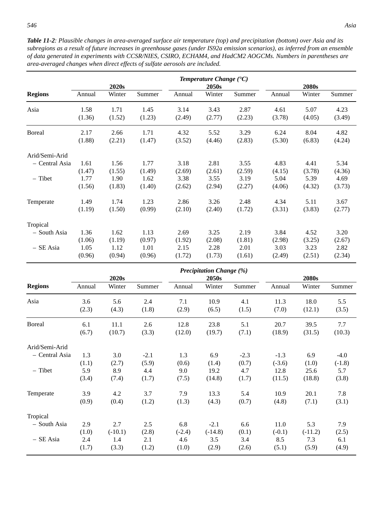*Table 11-2: Plausible changes in area-averaged surface air temperature (top) and precipitation (bottom) over Asia and its subregions as a result of future increases in greenhouse gases (under IS92a emission scenarios), as inferred from an ensemble of data generated in experiments with CCSR/NIES, CSIRO, ECHAM4, and HadCM2 AOGCMs. Numbers in parentheses are area-averaged changes when direct effects of sulfate aerosols are included.*

|                                                            |                                                    | 2020s                                              |                                                    |                                                    | Temperature Change $(C)$<br>2050s                  |                                                    | 2080s                                              |                                                    |                                                    |
|------------------------------------------------------------|----------------------------------------------------|----------------------------------------------------|----------------------------------------------------|----------------------------------------------------|----------------------------------------------------|----------------------------------------------------|----------------------------------------------------|----------------------------------------------------|----------------------------------------------------|
| <b>Regions</b>                                             | Annual                                             | Winter                                             | Summer                                             | Annual                                             | Winter                                             | Summer                                             | Annual                                             | Winter                                             | Summer                                             |
| Asia                                                       | 1.58<br>(1.36)                                     | 1.71<br>(1.52)                                     | 1.45<br>(1.23)                                     | 3.14<br>(2.49)                                     | 3.43<br>(2.77)                                     | 2.87<br>(2.23)                                     | 4.61<br>(3.78)                                     | 5.07<br>(4.05)                                     | 4.23<br>(3.49)                                     |
| <b>Boreal</b>                                              | 2.17<br>(1.88)                                     | 2.66<br>(2.21)                                     | 1.71<br>(1.47)                                     | 4.32<br>(3.52)                                     | 5.52<br>(4.46)                                     | 3.29<br>(2.83)                                     | 6.24<br>(5.30)                                     | 8.04<br>(6.83)                                     | 4.82<br>(4.24)                                     |
| Arid/Semi-Arid<br>- Central Asia<br>$-$ Tibet<br>Temperate | 1.61<br>(1.47)<br>1.77<br>(1.56)<br>1.49<br>(1.19) | 1.56<br>(1.55)<br>1.90<br>(1.83)<br>1.74<br>(1.50) | 1.77<br>(1.49)<br>1.62<br>(1.40)<br>1.23<br>(0.99) | 3.18<br>(2.69)<br>3.38<br>(2.62)<br>2.86<br>(2.10) | 2.81<br>(2.61)<br>3.55<br>(2.94)<br>3.26<br>(2.40) | 3.55<br>(2.59)<br>3.19<br>(2.27)<br>2.48<br>(1.72) | 4.83<br>(4.15)<br>5.04<br>(4.06)<br>4.34<br>(3.31) | 4.41<br>(3.78)<br>5.39<br>(4.32)<br>5.11<br>(3.83) | 5.34<br>(4.36)<br>4.69<br>(3.73)<br>3.67<br>(2.77) |
| Tropical<br>- South Asia<br>$-$ SE Asia                    | 1.36<br>(1.06)<br>1.05<br>(0.96)                   | 1.62<br>(1.19)<br>1.12<br>(0.94)                   | 1.13<br>(0.97)<br>1.01<br>(0.96)                   | 2.69<br>(1.92)<br>2.15<br>(1.72)                   | 3.25<br>(2.08)<br>2.28<br>(1.73)                   | 2.19<br>(1.81)<br>2.01<br>(1.61)                   | 3.84<br>(2.98)<br>3.03<br>(2.49)                   | 4.52<br>(3.25)<br>3.23<br>(2.51)                   | 3.20<br>(2.67)<br>2.82<br>(2.34)                   |

|                |              | 2020s          |              |                | <b>Precipitation Change (%)</b><br>2050s |              |                | 2080s          |               |
|----------------|--------------|----------------|--------------|----------------|------------------------------------------|--------------|----------------|----------------|---------------|
| <b>Regions</b> | Annual       | Winter         | Summer       | Annual         | Winter                                   | Summer       | Annual         | Winter         | Summer        |
| Asia           | 3.6<br>(2.3) | 5.6<br>(4.3)   | 2.4<br>(1.8) | 7.1<br>(2.9)   | 10.9<br>(6.5)                            | 4.1<br>(1.5) | 11.3<br>(7.0)  | 18.0<br>(12.1) | 5.5<br>(3.5)  |
| <b>B</b> oreal | 6.1<br>(6.7) | 11.1<br>(10.7) | 2.6<br>(3.3) | 12.8<br>(12.0) | 23.8<br>(19.7)                           | 5.1<br>(7.1) | 20.7<br>(18.9) | 39.5<br>(31.5) | 7.7<br>(10.3) |
| Arid/Semi-Arid |              |                |              |                |                                          |              |                |                |               |
| - Central Asia | 1.3          | 3.0            | $-2.1$       | 1.3            | 6.9                                      | $-2.3$       | $-1.3$         | 6.9            | $-4.0$        |
|                | (1.1)        | (2.7)          | (5.9)        | (0.6)          | (1.4)                                    | (0.7)        | $(-3.6)$       | (1.0)          | $(-1.8)$      |
| - Tibet        | 5.9          | 8.9            | 4.4          | 9.0            | 19.2                                     | 4.7          | 12.8           | 25.6           | 5.7           |
|                | (3.4)        | (7.4)          | (1.7)        | (7.5)          | (14.8)                                   | (1.7)        | (11.5)         | (18.8)         | (3.8)         |
| Temperate      | 3.9          | 4.2            | 3.7          | 7.9            | 13.3                                     | 5.4          | 10.9           | 20.1           | 7.8           |
|                | (0.9)        | (0.4)          | (1.2)        | (1.3)          | (4.3)                                    | (0.7)        | (4.8)          | (7.1)          | (3.1)         |
| Tropical       |              |                |              |                |                                          |              |                |                |               |
| - South Asia   | 2.9          | 2.7            | 2.5          | 6.8            | $-2.1$                                   | 6.6          | 11.0           | 5.3            | 7.9           |
|                | (1.0)        | $(-10.1)$      | (2.8)        | $(-2.4)$       | $(-14.8)$                                | (0.1)        | $(-0.1)$       | $(-11.2)$      | (2.5)         |
| $-$ SE Asia    | 2.4          | 1.4            | 2.1          | 4.6            | 3.5                                      | 3.4          | 8.5            | 7.3            | 6.1           |
|                | (1.7)        | (3.3)          | (1.2)        | (1.0)          | (2.9)                                    | (2.6)        | (5.1)          | (5.9)          | (4.9)         |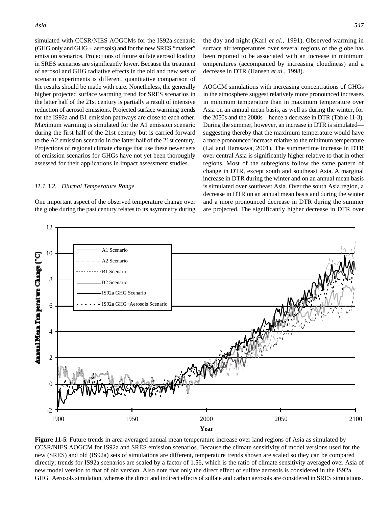simulated with CCSR/NIES AOGCMs for the IS92a scenario (GHG only and GHG + aerosols) and for the new SRES "marker" emission scenarios. Projections of future sulfate aerosol loading in SRES scenarios are significantly lower. Because the treatment of aerosol and GHG radiative effects in the old and new sets of scenario experiments is different, quantitative comparison of the results should be made with care. Nonetheless, the generally higher projected surface warming trend for SRES scenarios in the latter half of the 21st century is partially a result of intensive reduction of aerosol emissions. Projected surface warming trends for the IS92a and B1 emission pathways are close to each other. Maximum warming is simulated for the A1 emission scenario during the first half of the 21st century but is carried forward to the A2 emission scenario in the latter half of the 21st century. Projections of regional climate change that use these newer sets of emission scenarios for GHGs have not yet been thoroughly assessed for their applications in impact assessment studies.

#### *11.1.3.2. Diurnal Temperature Range*

One important aspect of the observed temperature change over the globe during the past century relates to its asymmetry during the day and night (Karl *et al.,* 1991). Observed warming in surface air temperatures over several regions of the globe has been reported to be associated with an increase in minimum temperatures (accompanied by increasing cloudiness) and a decrease in DTR (Hansen *et al.,* 1998).

AOGCM simulations with increasing concentrations of GHGs in the atmosphere suggest relatively more pronounced increases in minimum temperature than in maximum temperature over Asia on an annual mean basis, as well as during the winter, for the 2050s and the 2080s—hence a decrease in DTR (Table 11-3). During the summer, however, an increase in DTR is simulated suggesting thereby that the maximum temperature would have a more pronounced increase relative to the minimum temperature (Lal and Harasawa, 2001). The summertime increase in DTR over central Asia is significantly higher relative to that in other regions. Most of the subregions follow the same pattern of change in DTR, except south and southeast Asia. A marginal increase in DTR during the winter and on an annual mean basis is simulated over southeast Asia. Over the south Asia region, a decrease in DTR on an annual mean basis and during the winter and a more pronounced decrease in DTR during the summer are projected. The significantly higher decrease in DTR over



**Figure 11-5**: Future trends in area-averaged annual mean temperature increase over land regions of Asia as simulated by CCSR/NIES AOGCM for IS92a and SRES emission scenarios. Because the climate sensitivity of model versions used for the new (SRES) and old (IS92a) sets of simulations are different, temperature trends shown are scaled so they can be compared directly; trends for IS92a scenarios are scaled by a factor of 1.56, which is the ratio of climate sensitivity averaged over Asia of new model version to that of old version. Also note that only the direct effect of sulfate aerosols is considered in the IS92a GHG+Aerosols simulation, whereas the direct and indirect effects of sulfate and carbon aerosols are considered in SRES simulations.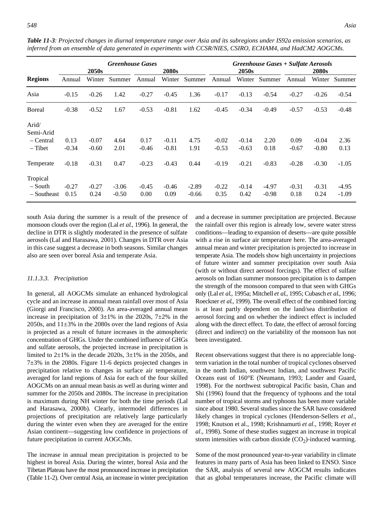|                                      |                 | 2050s              | <b>Greenhouse Gases</b> |                 | 2080s              |                    |                    | 2050s              | Greenhouse Gases + Sulfate Aerosols |                 | 2080s              |                    |
|--------------------------------------|-----------------|--------------------|-------------------------|-----------------|--------------------|--------------------|--------------------|--------------------|-------------------------------------|-----------------|--------------------|--------------------|
| <b>Regions</b>                       | Annual          | Winter             | Summer                  | Annual          | Winter             | Summer             | Annual             | Winter             | Summer                              | Annual          | Winter             | Summer             |
| Asia                                 | $-0.15$         | $-0.26$            | 1.42                    | $-0.27$         | $-0.45$            | 1.36               | $-0.17$            | $-0.13$            | $-0.54$                             | $-0.27$         | $-0.26$            | $-0.54$            |
| Boreal                               | $-0.38$         | $-0.52$            | 1.67                    | $-0.53$         | $-0.81$            | 1.62               | $-0.45$            | $-0.34$            | $-0.49$                             | $-0.57$         | $-0.53$            | $-0.48$            |
| Arid/<br>Semi-Arid                   |                 |                    |                         |                 |                    |                    |                    |                    |                                     |                 |                    |                    |
| – Central<br>$-$ Tibet               | 0.13<br>$-0.34$ | $-0.07$<br>$-0.60$ | 4.64<br>2.01            | 0.17<br>$-0.46$ | $-0.11$<br>$-0.81$ | 4.75<br>1.91       | $-0.02$<br>$-0.53$ | $-0.14$<br>$-0.63$ | 2.20<br>0.18                        | 0.09<br>$-0.67$ | $-0.04$<br>$-0.80$ | 2.36<br>0.13       |
| Temperate                            | $-0.18$         | $-0.31$            | 0.47                    | $-0.23$         | $-0.43$            | 0.44               | $-0.19$            | $-0.21$            | $-0.83$                             | $-0.28$         | $-0.30$            | $-1.05$            |
| Tropical<br>$-$ South<br>- Southeast | $-0.27$<br>0.15 | $-0.27$<br>0.24    | $-3.06$<br>$-0.50$      | $-0.45$<br>0.00 | $-0.46$<br>0.09    | $-2.89$<br>$-0.66$ | $-0.22$<br>0.35    | $-0.14$<br>0.42    | $-4.97$<br>$-0.98$                  | $-0.31$<br>0.18 | $-0.31$<br>0.24    | $-4.95$<br>$-1.09$ |

*Table 11-3: Projected changes in diurnal temperature range over Asia and its subregions under IS92a emission scenarios, as inferred from an ensemble of data generated in experiments with CCSR/NIES, CSIRO, ECHAM4, and HadCM2 AOGCMs.*

south Asia during the summer is a result of the presence of monsoon clouds over the region (Lal *et al*., 1996). In general, the decline in DTR is slightly moderated in the presence of sulfate aerosols (Lal and Harasawa, 2001). Changes in DTR over Asia in this case suggest a decrease in both seasons. Similar changes also are seen over boreal Asia and temperate Asia.

#### *11.1.3.3. Precipitation*

In general, all AOGCMs simulate an enhanced hydrological cycle and an increase in annual mean rainfall over most of Asia (Giorgi and Francisco, 2000). An area-averaged annual mean increase in precipitation of  $3\pm1\%$  in the 2020s,  $7\pm2\%$  in the 2050s, and  $11\pm3\%$  in the 2080s over the land regions of Asia is projected as a result of future increases in the atmospheric concentration of GHGs. Under the combined influence of GHGs and sulfate aerosols, the projected increase in precipitation is limited to  $2\pm1\%$  in the decade 2020s,  $3\pm1\%$  in the 2050s, and 7±3% in the 2080s. Figure 11-6 depicts projected changes in precipitation relative to changes in surface air temperature, averaged for land regions of Asia for each of the four skilled AOGCMs on an annual mean basis as well as during winter and summer for the 2050s and 2080s. The increase in precipitation is maximum during NH winter for both the time periods (Lal and Harasawa, 2000b). Clearly, intermodel differences in projections of precipitation are relatively large particularly during the winter even when they are averaged for the entire Asian continent—suggesting low confidence in projections of future precipitation in current AOGCMs.

The increase in annual mean precipitation is projected to be highest in boreal Asia. During the winter, boreal Asia and the Tibetan Plateau have the most pronounced increase in precipitation ( Table 11-2). Over central Asia, an increase in winter precipitation and a decrease in summer precipitation are projected. Because the rainfall over this region is already low, severe water stress conditions—leading to expansion of deserts—are quite possible with a rise in surface air temperature here. The area-averaged annual mean and winter precipitation is projected to increase in temperate Asia. The models show high uncertainty in projections of future winter and summer precipitation over south Asia (with or without direct aerosol forcings). The effect of sulfate aerosols on Indian summer monsoon precipitation is to dampen the strength of the monsoon compared to that seen with GHGs only (Lal *et al*., 1995a; Mitchell *et al*., 1995; Cubasch *et al*., 1996; Roeckner *et al*., 1999). The overall effect of the combined forcing is at least partly dependent on the land/sea distribution of aerosol forcing and on whether the indirect effect is included along with the direct effect. To date, the effect of aerosol forcing (direct and indirect) on the variability of the monsoon has not been investigated.

Recent observations suggest that there is no appreciable longterm variation in the total number of tropical cyclones observed in the north Indian, southwest Indian, and southwest Pacific Oceans east of 160°E (Neumann, 1993; Lander and Guard, 1998). For the northwest subtropical Pacific basin, Chan and Shi (1996) found that the frequency of typhoons and the total number of tropical storms and typhoons has been more variable since about 1980. Several studies since the SAR have considered likely changes in tropical cyclones (Henderson-Sellers *et al*., 1998; Knutson et al., 1998; Krishnamurti *et al.*, 1998; Royer *et al.*, 1998). Some of these studies suggest an increase in tropical storm intensities with carbon dioxide  $(CO_2)$ -induced warming.

Some of the most pronounced year-to-year variability in climate features in many parts of Asia has been linked to ENSO. Since the SAR, analysis of several new AOGCM results indicates that as global temperatures increase, the Pacific climate will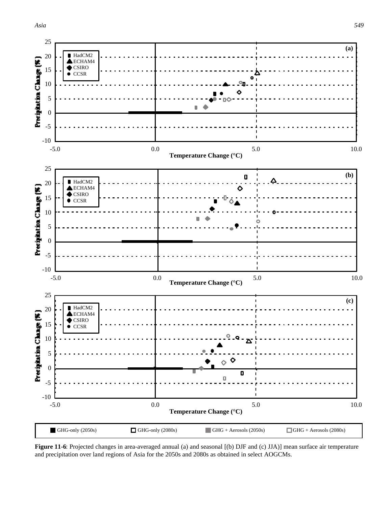

**Figure 11-6**: Projected changes in area-averaged annual (a) and seasonal [(b) DJF and (c) JJA)] mean surface air temperature and precipitation over land regions of Asia for the 2050s and 2080s as obtained in select AOGCMs.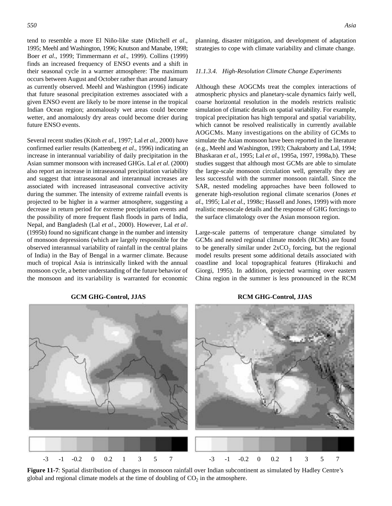tend to resemble a more El Niño-like state (Mitchell *et al*., 1995; Meehl and Washington, 1996; Knutson and Manabe, 1998; Boer *et al*., 1999; Timmermann *et al*., 1999). Collins (1999) finds an increased frequency of ENSO events and a shift in their seasonal cycle in a warmer atmosphere: The maximum occurs between August and October rather than around January as currently observed. Meehl and Washington (1996) indicate that future seasonal precipitation extremes associated with a given ENSO event are likely to be more intense in the tropical Indian Ocean region; anomalously wet areas could become wetter, and anomalously dry areas could become drier during future ENSO events.

Several recent studies (Kitoh *et al*., 1997; Lal *et al*., 2000) have confirmed earlier results (Kattenberg *et al*., 1996) indicating an increase in interannual variability of daily precipitation in the Asian summer monsoon with increased GHGs. Lal *et al*. (2000) also report an increase in intraseasonal precipitation variability and suggest that intraseasonal and interannual increases are associated with increased intraseasonal convective activity during the summer. The intensity of extreme rainfall events is projected to be higher in a warmer atmosphere, suggesting a decrease in return period for extreme precipitation events and the possibility of more frequent flash floods in parts of India, Nepal, and Bangladesh (Lal *et al*., 2000). However, Lal *et al*. (1995b) found no significant change in the number and intensity of monsoon depressions (which are largely responsible for the observed interannual variability of rainfall in the central plains of India) in the Bay of Bengal in a warmer climate. Because much of tropical Asia is intrinsically linked with the annual monsoon cycle, a better understanding of the future behavior of the monsoon and its variability is warranted for economic planning, disaster mitigation, and development of adaptation strategies to cope with climate variability and climate change.

#### *11.1.3.4. High-Resolution Climate Change Experiments*

Although these AOGCMs treat the complex interactions of atmospheric physics and planetary-scale dynamics fairly well, coarse horizontal resolution in the models restricts realistic simulation of climatic details on spatial variability. For example, tropical precipitation has high temporal and spatial variability, which cannot be resolved realistically in currently available AOGCMs. Many investigations on the ability of GCMs to simulate the Asian monsoon have been reported in the literature (e.g., Meehl and Washington, 1993; Chakraborty and Lal, 1994; Bhaskaran *et al*., 1995; Lal *et al*., 1995a, 1997, 1998a,b). These studies suggest that although most GCMs are able to simulate the large-scale monsoon circulation well, generally they are less successful with the summer monsoon rainfall. Since the SAR, nested modeling approaches have been followed to g e nerate high-resolution regional climate scenarios (Jones *et al*., 1995; Lal *et al*., 1998c; Hassell and Jones, 1999) with more realistic mesoscale details and the response of GHG forcings to the surface climatology over the Asian monsoon region.

Large-scale patterns of temperature change simulated by GCMs and nested regional climate models (RCMs) are found to be generally similar under  $2xCO_2$  forcing, but the regional model results present some additional details associated with coastline and local topographical features (Hirakuchi and Giorgi, 1995). In addition, projected warming over eastern China region in the summer is less pronounced in the RCM

#### **GCM GHG-Control, JJAS RCM GHG-Control, JJAS**



**Figure 11-7**: Spatial distribution of changes in monsoon rainfall over Indian subcontinent as simulated by Hadley Centre's global and regional climate models at the time of doubling of  $CO<sub>2</sub>$  in the atmosphere.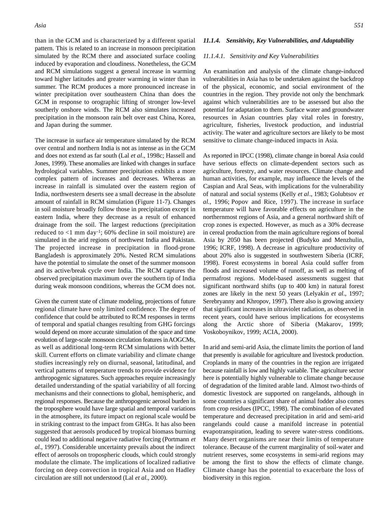than in the GCM and is characterized by a different spatial pattern. This is related to an increase in monsoon precipitation simulated by the RCM there and associated surface cooling induced by evaporation and cloudiness. Nonetheless, the GCM and RCM simulations suggest a general increase in warming toward higher latitudes and greater warming in winter than in summer. The RCM produces a more pronounced increase in winter precipitation over southeastern China than does the GCM in response to orographic lifting of stronger low-level southerly onshore winds. The RCM also simulates increased precipitation in the monsoon rain belt over east China, Korea, and Japan during the summer.

The increase in surface air temperature simulated by the RCM over central and northern India is not as intense as in the GCM and does not extend as far south (Lal *et al*., 1998c; Hassell and Jones, 1999). These anomalies are linked with changes in surface hydrological variables. Summer precipitation exhibits a more complex pattern of increases and decreases. Whereas an increase in rainfall is simulated over the eastern region of India, northwestern deserts see a small decrease in the absolute amount of rainfall in RCM simulation (Figure 11-7). Changes in soil moisture broadly follow those in precipitation except in eastern India, where they decrease as a result of enhanced drainage from the soil. The largest reductions (precipitation reduced to  $<1$  mm day<sup>-1</sup>; 60% decline in soil moisture) are simulated in the arid regions of northwest India and Pakistan. The projected increase in precipitation in flood-prone Bangladesh is approximately 20%. Nested RCM simulations have the potential to simulate the onset of the summer monsoon and its active/break cycle over India. The RCM captures the observed precipitation maximum over the southern tip of India during weak monsoon conditions, whereas the GCM does not.

Given the current state of climate modeling, projections of future regional climate have only limited confidence. The degree of confidence that could be attributed to RCM responses in terms of temporal and spatial changes resulting from GHG forcings would depend on more accurate simulation of the space and time evolution of large-scale monsoon circulation features in AOGCMs, as well as additional long-term RCM simulations with better skill. Current efforts on climate variability and climate change studies increasingly rely on diurnal, seasonal, latitudinal, and vertical patterns of temperature trends to provide evidence for anthropogenic signatures. Such approaches require increasingly detailed understanding of the spatial variability of all forcing mechanisms and their connections to global, hemispheric, and regional responses. Because the anthropogenic aerosol burden in the troposphere would have large spatial and temporal variations in the atmosphere, its future impact on regional scale would be in striking contrast to the impact from GHGs. It has also been suggested that aerosols produced by tropical biomass burning could lead to additional negative radiative forcing (Portmann *et al.*, 1997). Considerable uncertainty prevails about the indirect e ffect of aerosols on tropospheric clouds, which could strongly modulate the climate. The implications of localized radiative forcing on deep convection in tropical Asia and on Hadley circulation are still not understood (Lal et al., 2000).

#### *11.1.4. Sensitivity, Key Vulnerabilities, and Adaptability*

#### *11.1.4.1. Sensitivity and Key Vulnerabilities*

An examination and analysis of the climate change-induced vulnerabilities in Asia has to be undertaken against the backdrop of the physical, economic, and social environment of the countries in the region. They provide not only the benchmark against which vulnerabilities are to be assessed but also the potential for adaptation to them. Surface water and groundwater resources in Asian countries play vital roles in forestry, agriculture, fisheries, livestock production, and industrial activity. The water and agriculture sectors are likely to be most sensitive to climate change-induced impacts in Asia.

As reported in IPCC (1998), climate change in boreal Asia could have serious effects on climate-dependent sectors such as agriculture, forestry, and water resources. Climate change and human activities, for example, may influence the levels of the Caspian and Aral Seas, with implications for the vulnerability of natural and social systems (Kelly *et al*., 1983; Golubtsov *et al.*, 1996; Popov and Rice, 1997). The increase in surface temperature will have favorable effects on agriculture in the northernmost regions of Asia, and a general northward shift of crop zones is expected. However, as much as a 30% decrease in cereal production from the main agriculture regions of boreal Asia by 2050 has been projected (Budyko and Menzhulin, 1996; ICRF, 1998). A decrease in agriculture productivity of about 20% also is suggested in southwestern Siberia (ICRF, 1998). Forest ecosystems in boreal Asia could suffer from floods and increased volume of runoff, as well as melting of permafrost regions. Model-based assessments suggest that significant northward shifts (up to 400 km) in natural forest zones are likely in the next 50 years (Lelyakin *et al*., 1997; Serebryanny and Khropov, 1997). There also is growing anxiety that significant increases in ultraviolet radiation, as observed in recent years, could have serious implications for ecosystems along the Arctic shore of Siberia (Makarov, 1999; Voskoboynikov, 1999; ACIA, 2000).

In arid and semi-arid Asia, the climate limits the portion of land that presently is available for agriculture and livestock production. Croplands in many of the countries in the region are irrigated because rainfall is low and highly variable. The agriculture sector here is potentially highly vulnerable to climate change because of degradation of the limited arable land. Almost two-thirds of domestic livestock are supported on rangelands, although in some countries a significant share of animal fodder also comes from crop residues (IPCC, 1998). The combination of elevated temperature and decreased precipitation in arid and semi-arid rangelands could cause a manifold increase in potential evapotranspiration, leading to severe water-stress conditions. Many desert organisms are near their limits of temperature to lerance. Because of the current marginality of soil-water and nutrient reserves, some ecosystems in semi-arid regions may be among the first to show the effects of climate change. Climate change has the potential to exacerbate the loss of biodiversity in this region.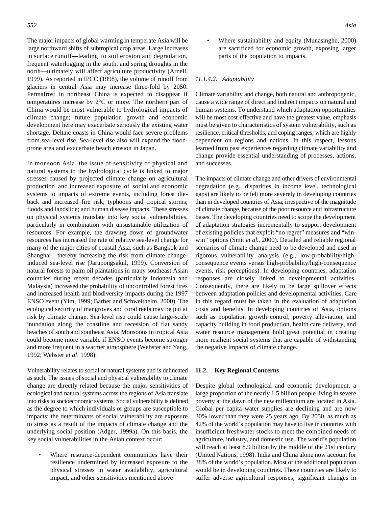The major impacts of global warming in temperate Asia will be large northward shifts of subtropical crop areas. Large increases in surface runoff—leading to soil erosion and degradation, frequent waterlogging in the south, and spring droughts in the north—ultimately will affect agriculture productivity (Arnell, 1999). As reported in IPCC (1998), the volume of runoff from glaciers in central Asia may increase three-fold by 2050. Permafrost in northeast China is expected to disappear if temperatures increase by  $2^{\circ}$ C or more. The northern part of China would be most vulnerable to hydrological impacts of climate change; future population growth and economic development here may exacerbate seriously the existing water shortage. Deltaic coasts in China would face severe problems from sea-level rise. Sea-level rise also will expand the floodprone area and exacerbate beach erosion in Japan.

In monsoon Asia, the issue of sensitivity of physical and natural systems to the hydrological cycle is linked to major stresses caused by projected climate change on agricultural production and increased exposure of social and economic systems to impacts of extreme events, including forest dieback and increased fire risk; typhoons and tropical storms; floods and landslide; and human disease impacts. These stresses on physical systems translate into key social vulnerabilities, particularly in combination with unsustainable utilization of resources. For example, the drawing down of groundwater resources has increased the rate of relative sea-level change for many of the major cities of coastal Asia, such as Bangkok and Shanghai—thereby increasing the risk from climate changeinduced sea-level rise (Jarupongsakul, 1999). Conversion of natural forests to palm oil plantations in many southeast Asian countries during recent decades (particularly Indonesia and Malaysia) increased the probability of uncontrolled forest fires and increased health and biodiversity impacts during the 1997 ENSO event (Yim, 1999; Barber and Schweithelm, 2000). The ecological security of mangroves and coral reefs may be put at risk by climate change. Sea-level rise could cause large-scale inundation along the coastline and recession of flat sandy beaches of south and southeast Asia. Monsoons in tropical Asia could become more variable if ENSO events become stronger and more frequent in a warmer atmosphere (Webster and Yang, 1992; Webster *et al*. 1998).

Vulnerability relates to social or natural systems and is delineated as such. The issues of social and physical vulnerability to climate change are directly related because the major sensitivities of ecological and natural systems across the regions of Asia translate into risks to socioeconomic systems. Social vulnerability is defined as the degree to which individuals or groups are susceptible to impacts; the determinants of social vulnerability are exposure to stress as a result of the impacts of climate change and the underlying social position (Adger, 1999a). On this basis, the key social vulnerabilities in the Asian context occur:

Where resource-dependent communities have their resilience undermined by increased exposure to the physical stresses in water availability, agricultural impact, and other sensitivities mentioned above

• Where sustainability and equity (Munasinghe, 2000) are sacrificed for economic growth, exposing larger parts of the population to impacts.

#### *11.1.4.2. Adaptability*

Climate variability and change, both natural and anthropogenic, cause a wide range of direct and indirect impacts on natural and human systems. To understand which adaptation opportunities will be most cost-effective and have the greatest value, emphasis must be given to characteristics of system vulnerability, such as resilience, critical thresholds, and coping ranges, which are highly dependent on regions and nations. In this respect, lessons learned from past experiences regarding climate variability and change provide essential understanding of processes, actions, and successes.

The impacts of climate change and other drivers of environmental degradation (e.g., disparities in income level, technological gaps) are likely to be felt more severely in developing countries than in developed countries of Asia, irrespective of the magnitude of climate change, because of the poor resource and infrastructure bases. The developing countries need to scope the development of adaptation strategies incrementally to support development of existing policies that exploit "no regret" measures and "winwin" options (Smit *et al*., 2000). Detailed and reliable regional scenarios of climate change need to be developed and used in rigorous vulnerability analysis (e.g., low-probability/highconsequence events versus high-probability/high-consequence events, risk perceptions). In developing countries, adaptation responses are closely linked to developmental activities. Consequently, there are likely to be large spillover effects between adaptation policies and developmental activities. Care in this regard must be taken in the evaluation of adaptation costs and benefits. In developing countries of Asia, options such as population growth control, poverty alleviation, and capacity building in food production, health care delivery, and water resource management hold great potential in creating more resilient social systems that are capable of withstanding the negative impacts of climate change.

#### **11.2. Key Regional Concerns**

Despite global technological and economic development, a large proportion of the nearly 1.5 billion people living in severe poverty at the dawn of the new millennium are located in Asia. Global per capita water supplies are declining and are now 30% lower than they were 25 years ago. By 2050, as much as 42% of the world's population may have to live in countries with insufficient freshwater stocks to meet the combined needs of agriculture, industry, and domestic use. The world's population will reach at least 8.9 billion by the middle of the 21st century (United Nations, 1998). India and China alone now account for 38% of the world's population. Most of the additional population would be in developing countries. These countries are likely to suffer adverse agricultural responses; significant changes in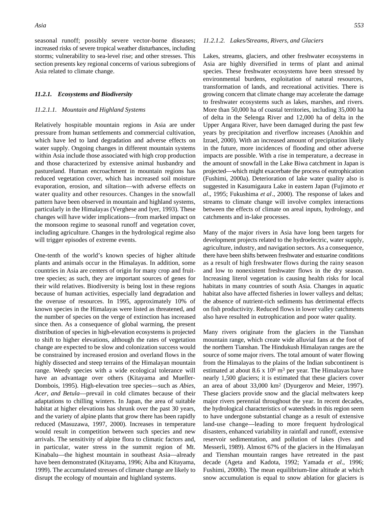seasonal runoff; possibly severe vector-borne diseases; increased risks of severe tropical weather disturbances, including storms; vulnerability to sea-level rise; and other stresses. This section presents key regional concerns of various subregions of Asia related to climate change.

#### *11.2.1. Ecosystems and Biodiversity*

#### *11.2.1.1. Mountain and Highland Systems*

Relatively hospitable mountain regions in Asia are under pressure from human settlements and commercial cultivation, which have led to land degradation and adverse effects on water supply. Ongoing changes in different mountain systems within Asia include those associated with high crop production and those characterized by extensive animal husbandry and pastureland. Human encroachment in mountain regions has reduced vegetation cover, which has increased soil moisture evaporation, erosion, and siltation—with adverse effects on water quality and other resources. Changes in the snowfall pattern have been observed in mountain and highland systems, particularly in the Himalayas (Verghese and Iyer, 1993). These changes will have wider implications—from marked impact on the monsoon regime to seasonal runoff and vegetation cover, including agriculture. Changes in the hydrological regime also will trigger episodes of extreme events.

One-tenth of the world's known species of higher altitude plants and animals occur in the Himalayas. In addition, some countries in Asia are centers of origin for many crop and fruittree species; as such, they are important sources of genes for their wild relatives. Biodiversity is being lost in these regions because of human activities, especially land degradation and the overuse of resources. In 1995, approximately 10% of known species in the Himalayas were listed as threatened, and the number of species on the verge of extinction has increased since then. As a consequence of global warming, the present distribution of species in high-elevation ecosystems is projected to shift to higher elevations, although the rates of vegetation change are expected to be slow and colonization success would be constrained by increased erosion and overland flows in the highly dissected and steep terrains of the Himalayan mountain range. Weedy species with a wide ecological tolerance will have an advantage over others (Kitayama and Mueller-Dombois, 1995). High-elevation tree species—such as *Abies, Acer, and Betula*—prevail in cold climates because of their adaptations to chilling winters. In Japan, the area of suitable habitat at higher elevations has shrunk over the past 30 years, and the variety of alpine plants that grow there has been rapidly reduced (Masuzawa, 1997, 2000). Increases in temperature would result in competition between such species and new arrivals. The sensitivity of alpine flora to climatic factors and, in particular, water stress in the summit region of Mt. Kinabalu—the highest mountain in southeast Asia—already have been demonstrated (Kitayama, 1996; Aiba and Kitayama, 1999). The accumulated stresses of climate change are likely to disrupt the ecology of mountain and highland systems.

#### *11.2.1.2. Lakes/Streams, Rivers, and Glaciers*

Lakes, streams, glaciers, and other freshwater ecosystems in Asia are highly diversified in terms of plant and animal species. These freshwater ecosystems have been stressed by environmental burdens, exploitation of natural resources, transformation of lands, and recreational activities. There is growing concern that climate change may accelerate the damage to freshwater ecosystems such as lakes, marshes, and rivers. More than 50,000 ha of coastal territories, including 35,000 ha of delta in the Selenga River and 12,000 ha of delta in the Upper Angara River, have been damaged during the past few years by precipitation and riverflow increases (Anokhin and Izrael, 2000). With an increased amount of precipitation likely in the future, more incidences of flooding and other adverse impacts are possible. With a rise in temperature, a decrease in the amount of snowfall in the Lake Biwa catchment in Japan is projected—which might exacerbate the process of eutrophication (Fushimi, 2000a). Deterioration of lake water quality also is suggested in Kasumigaura Lake in eastern Japan (Fujimoto *et al*., 1995; Fukushima *et al*., 2000). The response of lakes and streams to climate change will involve complex interactions between the effects of climate on areal inputs, hydrology, and catchments and in-lake processes.

Many of the major rivers in Asia have long been targets for development projects related to the hydroelectric, water supply, agriculture, industry, and navigation sectors. As a consequence, there have been shifts between freshwater and estuarine conditions as a result of high freshwater flows during the rainy season and low to nonexistent freshwater flows in the dry season. Increasing literol vegetation is causing health risks for local habitats in many countries of south Asia. Changes in aquatic habitat also have affected fisheries in lower valleys and deltas; the absence of nutrient-rich sediments has detrimental effects on fish productivity. Reduced flows in lower valley catchments also have resulted in eutrophication and poor water quality.

Many rivers originate from the glaciers in the Tianshan mountain range, which create wide alluvial fans at the foot of the northern Tianshan. The Hindukush Himalayan ranges are the source of some major rivers. The total amount of water flowing from the Himalayas to the plains of the Indian subcontinent is estimated at about 8.6 x 10<sup>6</sup> m<sup>3</sup> per year. The Himalayas have nearly 1,500 glaciers; it is estimated that these glaciers cover an area of about 33,000 km<sup>2</sup> (Dyurgerov and Meier, 1997). These glaciers provide snow and the glacial meltwaters keep major rivers perennial throughout the year. In recent decades, the hydrological characteristics of watersheds in this region seem to have undergone substantial change as a result of extensive land-use change—leading to more frequent hydrological disasters, enhanced variability in rainfall and runoff, extensive reservoir sedimentation, and pollution of lakes (Ives and Messerli, 1989). Almost 67% of the glaciers in the Himalayan and Tienshan mountain ranges have retreated in the past decade (Ageta and Kadota, 1992; Yamada *et al*., 1996; Fushimi, 2000b). The mean equilibrium-line altitude at which snow accumulation is equal to snow ablation for glaciers is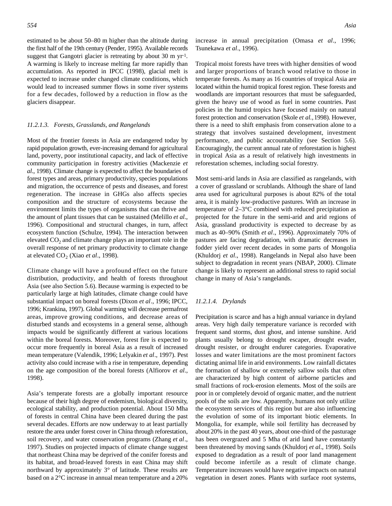estimated to be about 50–80 m higher than the altitude during the first half of the 19th century (Pender, 1995). Available records suggest that Gangotri glacier is retreating by about 30 m  $yr<sup>-1</sup>$ . A warming is likely to increase melting far more rapidly than accumulation. As reported in IPCC (1998), glacial melt is expected to increase under changed climate conditions, which would lead to increased summer flows in some river systems for a few decades, followed by a reduction in flow as the glaciers disappear.

#### *11.2.1.3. Forests, Grasslands, and Rangelands*

Most of the frontier forests in Asia are endangered today by rapid population growth, ever-increasing demand for agricultural land, poverty, poor institutional capacity, and lack of effective community participation in forestry activities (Mackenzie *et al.*, 1998). Climate change is expected to affect the boundaries of forest types and areas, primary productivity, species populations and migration, the occurrence of pests and diseases, and forest regeneration. The increase in GHGs also affects species composition and the structure of ecosystems because the environment limits the types of organisms that can thrive and the amount of plant tissues that can be sustained (Melillo *et al*., 1996). Compositional and structural changes, in turn, affect ecosystem function (Schulze, 1994). The interaction between elevated  $CO<sub>2</sub>$  and climate change plays an important role in the overall response of net primary productivity to climate change at elevated CO<sub>2</sub> (Xiao *et al.*, 1998).

Climate change will have a profound effect on the future distribution, productivity, and health of forests throughout Asia (see also Section 5.6). Because warming is expected to be particularly large at high latitudes, climate change could have substantial impact on boreal forests (Dixon *et al*., 1996; IPCC, 1996; Krankina, 1997). Global warming will decrease permafrost areas, improve growing conditions, and decrease areas of disturbed stands and ecosystems in a general sense, although impacts would be significantly different at various locations within the boreal forests. Moreover, forest fire is expected to occur more frequently in boreal Asia as a result of increased mean temperature (Valendik, 1996; Lelyakin *et al*., 1997). Pest activity also could increase with a rise in temperature, depending on the age composition of the boreal forests (Alfiorov *et al*., 1998).

Asia's temperate forests are a globally important resource because of their high degree of endemism, biological diversity, ecological stability, and production potential. About 150 Mha of forests in central China have been cleared during the past several decades. Efforts are now underway to at least partially restore the area under forest cover in China through reforestation, soil recovery, and water conservation programs (Zhang *et al*., 1997). Studies on projected impacts of climate change suggest that northeast China may be deprived of the conifer forests and its habitat, and broad-leaved forests in east China may shift northward by approximately 3° of latitude. These results are based on a 2°C increase in annual mean temperature and a 20%

increase in annual precipitation (Omasa *et al*., 1996; Tsunekawa *et al*., 1996).

Tropical moist forests have trees with higher densities of wood and larger proportions of branch wood relative to those in temperate forests. As many as 16 countries of tropical Asia are located within the humid tropical forest region. These forests and woodlands are important resources that must be safeguarded, given the heavy use of wood as fuel in some countries. Past policies in the humid tropics have focused mainly on natural forest protection and conservation (Skole *et al.,*1998). However, there is a need to shift emphasis from conservation alone to a strategy that involves sustained development, investment performance, and public accountability (see Section 5.6). Encouragingly, the current annual rate of reforestation is highest in tropical Asia as a result of relatively high investments in reforestation schemes, including social forestry.

Most semi-arid lands in Asia are classified as rangelands, with a cover of grassland or scrublands. Although the share of land area used for agricultural purposes is about 82% of the total area, it is mainly low-productive pastures. With an increase in temperature of 2–3°C combined with reduced precipitation as projected for the future in the semi-arid and arid regions of Asia, grassland productivity is expected to decrease by as much as 40–90% (Smith *et al*., 1996). Approximately 70% of pastures are facing degradation, with dramatic decreases in fodder yield over recent decades in some parts of Mongolia (Khuldorj *et al*., 1998). Rangelands in Nepal also have been subject to degradation in recent years (NBAP, 2000). Climate change is likely to represent an additional stress to rapid social change in many of Asia's rangelands.

#### *11.2.1.4. Drylands*

Precipitation is scarce and has a high annual variance in dryland areas. Very high daily temperature variance is recorded with frequent sand storms, dust ghost, and intense sunshine. Arid plants usually belong to drought escaper, drought evader, drought resister, or drought endurer categories. Evaporative losses and water limitations are the most prominent factors dictating animal life in arid environments. Low rainfall dictates the formation of shallow or extremely sallow soils that often are characterized by high content of airborne particles and small fractions of rock-erosion elements. Most of the soils are poor in or completely devoid of organic matter, and the nutrient pools of the soils are low. Apparently, humans not only utilize the ecosystem services of this region but are also influencing the evolution of some of its important biotic elements. In Mongolia, for example, while soil fertility has decreased by about 20% in the past 40 years, about one-third of the pasturage has been overgrazed and 5 Mha of arid land have constantly been threatened by moving sands (Khuldorj *et al*., 1998). Soils exposed to degradation as a result of poor land management could become infertile as a result of climate change. Temperature increases would have negative impacts on natural vegetation in desert zones. Plants with surface root systems,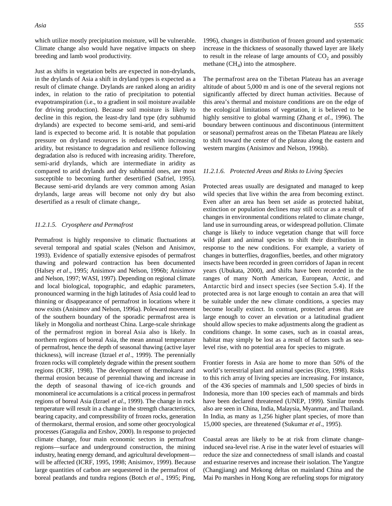which utilize mostly precipitation moisture, will be vulnerable. Climate change also would have negative impacts on sheep breeding and lamb wool productivity.

Just as shifts in vegetation belts are expected in non-drylands, in the drylands of Asia a shift in dryland types is expected as a result of climate change. Drylands are ranked along an aridity index, in relation to the ratio of precipitation to potential evapotranspiration (i.e., to a gradient in soil moisture available for driving production). Because soil moisture is likely to decline in this region, the least-dry land type (dry subhumid drylands) are expected to become semi-arid, and semi-arid land is expected to become arid. It is notable that population pressure on dryland resources is reduced with increasing aridity, but resistance to degradation and resilience following degradation also is reduced with increasing aridity. Therefore, semi-arid drylands, which are intermediate in aridity as compared to arid drylands and dry subhumid ones, are most susceptible to becoming further desertified (Safriel, 1995). Because semi-arid drylands are very common among Asian drylands, large areas will become not only dry but also desertified as a result of climate change,.

#### *11.2.1.5. Cryosphere and Permafrost*

Permafrost is highly responsive to climatic fluctuations at several temporal and spatial scales (Nelson and Anisimov, 1993). Evidence of spatially extensive episodes of permafrost thawing and poleward contraction has been documented (Halsey *et al*., 1995; Anisimov and Nelson, 1996b; Anisimov and Nelson, 1997; WASI, 1997). Depending on regional climate and local biological, topographic, and edaphic parameters, pronounced warming in the high latitudes of Asia could lead to thinning or disappearance of permafrost in locations where it now exists (Anisimov and Nelson, 1996a). Poleward movement of the southern boundary of the sporadic permafrost area is likely in Mongolia and northeast China. Large-scale shrinkage of the permafrost region in boreal Asia also is likely. In n orthern regions of boreal Asia, the mean annual temperature of permafrost, hence the depth of seasonal thawing (active layer thickness), will increase (Izrael *et al*., 1999). The perennially frozen rocks will completely degrade within the present southern regions (ICRF, 1998). The development of thermokarst and thermal erosion because of perennial thawing and increase in the depth of seasonal thawing of ice-rich grounds and monomineral ice accumulations is a critical process in permafrost regions of boreal Asia (Izrael *et al*., 1999). The change in rock temperature will result in a change in the strength characteristics, bearing capacity, and compressibility of frozen rocks, generation of thermokarst, thermal erosion, and some other geocryological processes (Garagulia and Ershov, 2000). In response to projected climate change, four main economic sectors in permafrost regions—surface and underground construction, the mining industry, heating energy demand, and agricultural development will be affected (ICRF, 1995, 1998; Anisimov, 1999). Because large quantities of carbon are sequestered in the permafrost of boreal peatlands and tundra regions (Botch *et al*., 1995; Ping,

1996), changes in distribution of frozen ground and systematic increase in the thickness of seasonally thawed layer are likely to result in the release of large amounts of  $CO<sub>2</sub>$  and possibly methane  $(CH_4)$  into the atmosphere.

The permafrost area on the Tibetan Plateau has an average altitude of about 5,000 m and is one of the several regions not significantly affected by direct human activities. Because of this area's thermal and moisture conditions are on the edge of the ecological limitations of vegetation, it is believed to be highly sensitive to global warming (Zhang *et al.*, 1996). The boundary between continuous and discontinuous (intermittent or seasonal) permafrost areas on the Tibetan Plateau are likely to shift toward the center of the plateau along the eastern and western margins (Anisimov and Nelson, 1996b).

#### *11.2.1.6. Protected Areas and Risks to Living Species*

Protected areas usually are designated and managed to keep wild species that live within the area from becoming extinct. Even after an area has been set aside as protected habitat, extinction or population declines may still occur as a result of changes in environmental conditions related to climate change, land use in surrounding areas, or widespread pollution. Climate change is likely to induce vegetation change that will force wild plant and animal species to shift their distribution in response to the new conditions. For example, a variety of changes in butterflies, dragonflies, beetles, and other migratory insects have been recorded in green corridors of Japan in recent years (Ubukata, 2000), and shifts have been recorded in the ranges of many North American, European, Arctic, and Antarctic bird and insect species (see Section 5.4). If the protected area is not large enough to contain an area that will be suitable under the new climate conditions, a species may become locally extinct. In contrast, protected areas that are large enough to cover an elevation or a latitudinal gradient should allow species to make adjustments along the gradient as conditions change. In some cases, such as in coastal areas, habitat may simply be lost as a result of factors such as sealevel rise, with no potential area for species to migrate.

Frontier forests in Asia are home to more than 50% of the world's terrestrial plant and animal species (Rice, 1998). Risks to this rich array of living species are increasing. For instance, of the 436 species of mammals and 1,500 species of birds in Indonesia, more than 100 species each of mammals and birds have been declared threatened (UNEP, 1999). Similar trends also are seen in China, India, Malaysia, Myanmar, and Thailand. In India, as many as 1,256 higher plant species, of more than 15,000 species, are threatened (Sukumar *et al*., 1995).

Coastal areas are likely to be at risk from climate changeinduced sea-level rise. A rise in the water level of estuaries will reduce the size and connectedness of small islands and coastal and estuarine reserves and increase their isolation. The Yangtze (Changjiang) and Mekong deltas on mainland China and the Mai Po marshes in Hong Kong are refueling stops for migratory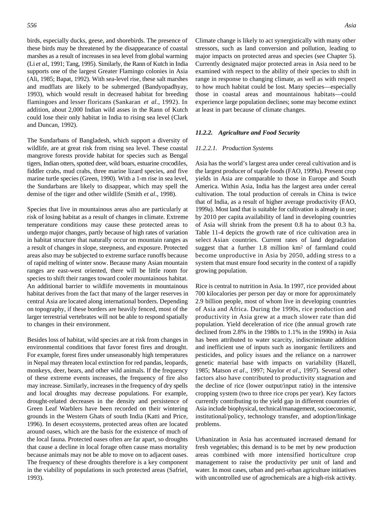birds, especially ducks, geese, and shorebirds. The presence of these birds may be threatened by the disappearance of coastal marshes as a result of increases in sea level from global warming (Li *et al*., 1991; Tang, 1995). Similarly, the Rann of Kutch in India supports one of the largest Greater Flamingo colonies in Asia (Ali, 1985; Bapat, 1992). With sea-level rise, these salt marshes and mudflats are likely to be submerged (Bandyopadhyay, 1993), which would result in decreased habitat for breeding flamingoes and lesser floricans (Sankaran *et al*., 1992). In addition, about 2,000 Indian wild asses in the Rann of Kutch could lose their only habitat in India to rising sea level (Clark and Duncan, 1992).

The Sundarbans of Bangladesh, which support a diversity of wildlife, are at great risk from rising sea level. These coastal mangrove forests provide habitat for species such as Bengal tigers, Indian otters, spotted deer, wild boars, estuarine crocodiles, fiddler crabs, mud crabs, three marine lizard species, and five marine turtle species (Green, 1990). With a 1-m rise in sea level, the Sundarbans are likely to disappear, which may spell the demise of the tiger and other wildlife (Smith *et al*., 1998).

Species that live in mountainous areas also are particularly at risk of losing habitat as a result of changes in climate. Extreme temperature conditions may cause these protected areas to undergo major changes, partly because of high rates of variation in habitat structure that naturally occur on mountain ranges as a result of changes in slope, steepness, and exposure. Protected areas also may be subjected to extreme surface runoffs because of rapid melting of winter snow. Because many Asian mountain ranges are east-west oriented, there will be little room for species to shift their ranges toward cooler mountainous habitat. An additional barrier to wildlife movements in mountainous habitat derives from the fact that many of the larger reserves in central Asia are located along international borders. Depending on topography, if these borders are heavily fenced, most of the larger terrestrial vertebrates will not be able to respond spatially to changes in their environment.

Besides loss of habitat, wild species are at risk from changes in environmental conditions that favor forest fires and drought. For example, forest fires under unseasonably high temperatures in Nepal may threaten local extinction for red pandas, leopards, monkeys, deer, bears, and other wild animals. If the frequency of these extreme events increases, the frequency of fire also may increase. Similarly, increases in the frequency of dry spells and local droughts may decrease populations. For example, drought-related decreases in the density and persistence of Green Leaf Warblers have been recorded on their wintering grounds in the Western Ghats of south India (Katti and Price, 1996). In desert ecosystems, protected areas often are located around oases, which are the basis for the existence of much of the local fauna. Protected oases often are far apart, so droughts that cause a decline in local forage often cause mass mortality because animals may not be able to move on to adjacent oases. The frequency of these droughts therefore is a key component in the viability of populations in such protected areas (Safriel, 1993).

Climate change is likely to act synergistically with many other stressors, such as land conversion and pollution, leading to major impacts on protected areas and species (see Chapter 5). Currently designated major protected areas in Asia need to be examined with respect to the ability of their species to shift in range in response to changing climate, as well as with respect to how much habitat could be lost. Many species—especially those in coastal areas and mountainous habitats—could experience large population declines; some may become extinct at least in part because of climate changes.

#### *11.2.2. Agriculture and Food Security*

#### *11.2.2.1. Production Systems*

Asia has the world's largest area under cereal cultivation and is the largest producer of staple foods (FAO, 1999a). Present crop yields in Asia are comparable to those in Europe and South America. Within Asia, India has the largest area under cereal cultivation. The total production of cereals in China is twice that of India, as a result of higher average productivity (FAO, 1999a). Most land that is suitable for cultivation is already in use; by 2010 per capita availability of land in developing countries of Asia will shrink from the present 0.8 ha to about 0.3 ha. Table 11-4 depicts the growth rate of rice cultivation area in select Asian countries. Current rates of land degradation suggest that a further  $1.8$  million  $km<sup>2</sup>$  of farmland could become unproductive in Asia by 2050, adding stress to a system that must ensure food security in the context of a rapidly growing population.

Rice is central to nutrition in Asia. In 1997, rice provided about 700 kilocalories per person per day or more for approximately 2.9 billion people, most of whom live in developing countries of Asia and Africa. During the 1990s, rice production and productivity in Asia grew at a much slower rate than did population. Yield deceleration of rice (the annual growth rate declined from 2.8% in the 1980s to 1.1% in the 1990s) in Asia has been attributed to water scarcity, indiscriminate addition and inefficient use of inputs such as inorganic fertilizers and pesticides, and policy issues and the reliance on a narrower genetic material base with impacts on variability (Hazell, 1985; Matson *et al*., 1997; Naylor *et al*., 1997). Several other factors also have contributed to productivity stagnation and the decline of rice (lower output/input ratio) in the intensive cropping system (two to three rice crops per year). Key factors currently contributing to the yield gap in different countries of Asia include biophysical, technical/management, socioeconomic, institutional/policy, technology transfer, and adoption/linkage problems.

Urbanization in Asia has accentuated increased demand for fresh vegetables; this demand is to be met by new production areas combined with more intensified horticulture crop management to raise the productivity per unit of land and water. In most cases, urban and peri-urban agriculture initiatives with uncontrolled use of agrochemicals are a high-risk activity.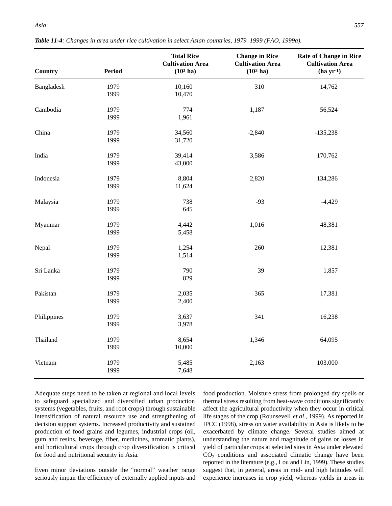| Country     | Period       | <b>Total Rice</b><br><b>Cultivation Area</b><br>$(10^3 \text{ ha})$ | <b>Change in Rice</b><br><b>Cultivation Area</b><br>$(10^3 \text{ ha})$ | <b>Rate of Change in Rice</b><br><b>Cultivation Area</b><br>$(ha yr-1)$ |
|-------------|--------------|---------------------------------------------------------------------|-------------------------------------------------------------------------|-------------------------------------------------------------------------|
| Bangladesh  | 1979<br>1999 | 10,160<br>10,470                                                    | 310                                                                     | 14,762                                                                  |
| Cambodia    | 1979<br>1999 | 774<br>1,961                                                        | 1,187                                                                   | 56,524                                                                  |
| China       | 1979<br>1999 | 34,560<br>31,720                                                    | $-2,840$                                                                | $-135,238$                                                              |
| India       | 1979<br>1999 | 39,414<br>43,000                                                    | 3,586                                                                   | 170,762                                                                 |
| Indonesia   | 1979<br>1999 | 8,804<br>11,624                                                     | 2,820                                                                   | 134,286                                                                 |
| Malaysia    | 1979<br>1999 | 738<br>645                                                          | $-93$                                                                   | $-4,429$                                                                |
| Myanmar     | 1979<br>1999 | 4,442<br>5,458                                                      | 1,016                                                                   | 48,381                                                                  |
| Nepal       | 1979<br>1999 | 1,254<br>1,514                                                      | 260                                                                     | 12,381                                                                  |
| Sri Lanka   | 1979<br>1999 | 790<br>829                                                          | 39                                                                      | 1,857                                                                   |
| Pakistan    | 1979<br>1999 | 2,035<br>2,400                                                      | 365                                                                     | 17,381                                                                  |
| Philippines | 1979<br>1999 | 3,637<br>3,978                                                      | 341                                                                     | 16,238                                                                  |
| Thailand    | 1979<br>1999 | 8,654<br>10,000                                                     | 1,346                                                                   | 64,095                                                                  |
| Vietnam     | 1979<br>1999 | 5,485<br>7,648                                                      | 2,163                                                                   | 103,000                                                                 |

*Table 11-4: Changes in area under rice cultivation in select Asian countries, 1979–1999 (FAO, 1999a).*

Adequate steps need to be taken at regional and local levels to safeguard specialized and diversified urban production systems (vegetables, fruits, and root crops) through sustainable intensification of natural resource use and strengthening of decision support systems. Increased productivity and sustained production of food grains and legumes, industrial crops (oil, gum and resins, beverage, fiber, medicines, aromatic plants), and horticultural crops through crop diversification is critical for food and nutritional security in Asia.

Even minor deviations outside the "normal" weather range seriously impair the efficiency of externally applied inputs and food production. Moisture stress from prolonged dry spells or thermal stress resulting from heat-wave conditions significantly affect the agricultural productivity when they occur in critical life stages of the crop (Rounsevell *et al*., 1999). As reported in IPCC (1998), stress on water availability in Asia is likely to be exacerbated by climate change. Several studies aimed at understanding the nature and magnitude of gains or losses in yield of particular crops at selected sites in Asia under elevated  $CO<sub>2</sub>$  conditions and associated climatic change have been reported in the literature (e.g., Lou and Lin, 1999). These studies suggest that, in general, areas in mid- and high latitudes will experience increases in crop yield, whereas yields in areas in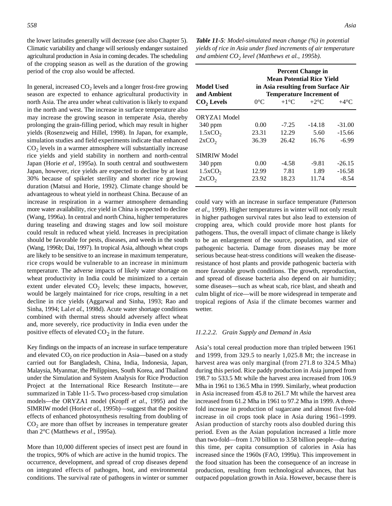the lower latitudes generally will decrease (see also Chapter 5). Climatic variability and change will seriously endanger sustained agricultural production in Asia in coming decades. The scheduling of the cropping season as well as the duration of the growing period of the crop also would be affected.

In general, increased  $CO<sub>2</sub>$  levels and a longer frost-free growing season are expected to enhance agricultural productivity in north Asia. The area under wheat cultivation is likely to expand in the north and west. The increase in surface temperature also may increase the growing season in temperate Asia, thereby prolonging the grain-filling period, which may result in higher yields (Rosenzweig and Hillel, 1998). In Japan, for example, simulation studies and field experiments indicate that enhanced  $CO<sub>2</sub>$  levels in a warmer atmosphere will substantially increase rice yields and yield stability in northern and north-central Japan (Horie *et al*, 1995a). In south central and southwestern Japan, however, rice yields are expected to decline by at least 30% because of spikelet sterility and shorter rice growing duration (Matsui and Horie, 1992). Climate change should be advantageous to wheat yield in northeast China. Because of an increase in respiration in a warmer atmosphere demanding more water availability, rice yield in China is expected to decline (Wang, 1996a). In central and north China, higher temperatures during teaseling and drawing stages and low soil moisture could result in reduced wheat yield. Increases in precipitation should be favorable for pests, diseases, and weeds in the south ( Wang, 1996b; Dai, 1997). In tropical Asia, although wheat crops are likely to be sensitive to an increase in maximum temperature, rice crops would be vulnerable to an increase in minimum temperature. The adverse impacts of likely water shortage on wheat productivity in India could be minimized to a certain extent under elevated  $CO<sub>2</sub>$  levels; these impacts, however, would be largely maintained for rice crops, resulting in a net decline in rice yields (Aggarwal and Sinha, 1993; Rao and Sinha, 1994; Lal *et al*., 1998d). Acute water shortage conditions combined with thermal stress should adversely affect wheat and, more severely, rice productivity in India even under the positive effects of elevated  $CO_2$  in the future.

Key findings on the impacts of an increase in surface temperature and elevated  $CO<sub>2</sub>$  on rice production in Asia—based on a study carried out for Bangladesh, China, India, Indonesia, Japan, Malaysia, Myanmar, the Philippines, South Korea, and Thailand under the Simulation and System Analysis for Rice Production Project at the International Rice Research Institute—are summarized in Table 11-5. Two process-based crop simulation models—the ORYZA1 model (Kropff *et al*., 1995) and the SIMRIW model (Horie *et al.*, 1995b)—suggest that the positive effects of enhanced photosynthesis resulting from doubling of  $CO<sub>2</sub>$  are more than offset by increases in temperature greater than 2°C (Matthews *et al*., 1995a).

More than 10,000 different species of insect pest are found in the tropics, 90% of which are active in the humid tropics. The occurrence, development, and spread of crop diseases depend on integrated effects of pathogen, host, and environmental conditions. The survival rate of pathogens in winter or summer

*Table 11-5: Model-simulated mean change (%) in potential yields of rice in Asia under fixed increments of air temperature and ambient CO<sup>2</sup> level (Matthews et al., 1995b).*

| <b>Model Used</b><br>and Ambient |               |         | <b>Percent Change in</b><br><b>Mean Potential Rice Yield</b><br>in Asia resulting from Surface Air<br><b>Temperature Increment of</b> |               |
|----------------------------------|---------------|---------|---------------------------------------------------------------------------------------------------------------------------------------|---------------|
| $CO2$ Levels                     | $0^{\circ}$ C | $+1$ °C | $+2$ °C                                                                                                                               | $+4^{\circ}C$ |
| ORYZA1 Model                     |               |         |                                                                                                                                       |               |
| 340 ppm                          | 0.00          | $-7.25$ | $-14.18$                                                                                                                              | $-31.00$      |
| 1.5xCO <sub>2</sub>              | 23.31         | 12.29   | 5.60                                                                                                                                  | $-15.66$      |
| 2xCO <sub>2</sub>                | 36.39         | 26.42   | 16.76                                                                                                                                 | $-6.99$       |
| <b>SIMRIW Model</b>              |               |         |                                                                                                                                       |               |
| 340 ppm                          | 0.00          | $-4.58$ | $-9.81$                                                                                                                               | $-26.15$      |
| 1.5xCO <sub>2</sub>              | 12.99         | 7.81    | 1.89                                                                                                                                  | $-16.58$      |
| 2xCO <sub>2</sub>                | 23.92         | 18.23   | 11.74                                                                                                                                 | $-8.54$       |

could vary with an increase in surface temperature (Patterson *et al*., 1999). Higher temperatures in winter will not only result in higher pathogen survival rates but also lead to extension of cropping area, which could provide more host plants for pathogens. Thus, the overall impact of climate change is likely to be an enlargement of the source, population, and size of pathogenic bacteria. Damage from diseases may be more serious because heat-stress conditions will weaken the diseaseresistance of host plants and provide pathogenic bacteria with more favorable growth conditions. The growth, reproduction, and spread of disease bacteria also depend on air humidity; some diseases—such as wheat scab, rice blast, and sheath and culm blight of rice—will be more widespread in temperate and tropical regions of Asia if the climate becomes warmer and wetter.

#### *11.2.2.2. Grain Supply and Demand in Asia*

Asia's total cereal production more than tripled between 1961 and 1999, from 329.5 to nearly 1,025.8 Mt; the increase in harvest area was only marginal (from 271.8 to 324.5 Mha) during this period. Rice paddy production in Asia jumped from 198.7 to 533.5 Mt while the harvest area increased from 106.9 Mha in 1961 to 136.5 Mha in 1999. Similarly, wheat production in Asia increased from 45.8 to 261.7 Mt while the harvest area increased from 61.2 Mha in 1961 to 97.2 Mha in 1999. A threefold increase in production of sugarcane and almost five-fold increase in oil crops took place in Asia during 1961–1999. Asian production of starchy roots also doubled during this period. Even as the Asian population increased a little more than two-fold—from 1.70 billion to 3.58 billion people—during this time, per capita consumption of calories in Asia has increased since the 1960s (FAO, 1999a). This improvement in the food situation has been the consequence of an increase in production, resulting from technological advances, that has outpaced population growth in Asia. However, because there is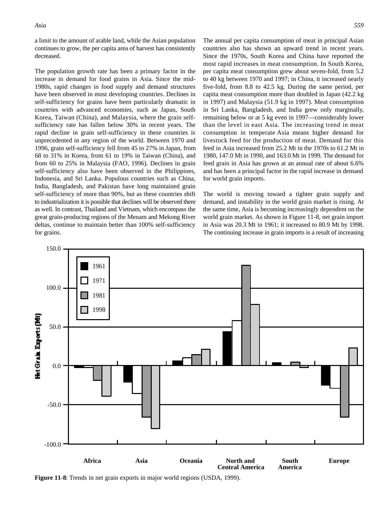a limit to the amount of arable land, while the Asian population continues to grow, the per capita area of harvest has consistently decreased.

The population growth rate has been a primary factor in the increase in demand for food grains in Asia. Since the mid-1980s, rapid changes in food supply and demand structures have been observed in most developing countries. Declines in self-sufficiency for grains have been particularly dramatic in countries with advanced economies, such as Japan, South Korea, Taiwan (China), and Malaysia, where the grain selfsufficiency rate has fallen below 30% in recent years. The rapid decline in grain self-sufficiency in these countries is unprecedented in any region of the world. Between 1970 and 1996, grain self-sufficiency fell from 45 to 27% in Japan, from 68 to 31% in Korea, from 61 to 19% in Taiwan (China), and from 60 to 25% in Malaysia (FAO, 1996). Declines in grain self-sufficiency also have been observed in the Philippines, Indonesia, and Sri Lanka. Populous countries such as China, India, Bangladesh, and Pakistan have long maintained grain self-sufficiency of more than 90%, but as these countries shift to industrialization it is possible that declines will be observed there as well. In contrast, Thailand and Vietnam, which encompass the great grain-producing regions of the Menam and Mekong River deltas, continue to maintain better than 100% self-sufficiency for grains.

The annual per capita consumption of meat in principal Asian countries also has shown an upward trend in recent years. Since the 1970s, South Korea and China have reported the most rapid increases in meat consumption. In South Korea, per capita meat consumption grew about seven-fold, from 5.2 to 40 kg between 1970 and 1997; in China, it increased nearly five-fold, from 8.8 to 42.5 kg. During the same period, per capita meat consumption more than doubled in Japan (42.2 kg in 1997) and Malaysia (51.9 kg in 1997). Meat consumption in Sri Lanka, Bangladesh, and India grew only marginally, remaining below or at 5 kg even in 1997—considerably lower than the level in east Asia. The increasing trend in meat consumption in temperate Asia means higher demand for livestock feed for the production of meat. Demand for this feed in Asia increased from 25.2 Mt in the 1970s to 61.2 Mt in 1980, 147.0 Mt in 1990, and 163.0 Mt in 1999. The demand for feed grain in Asia has grown at an annual rate of about 6.6% and has been a principal factor in the rapid increase in demand for world grain imports.

The world is moving toward a tighter grain supply and demand, and instability in the world grain market is rising. At the same time, Asia is becoming increasingly dependent on the world grain market. As shown in Figure 11-8, net grain import in Asia was 20.3 Mt in 1961; it increased to 80.9 Mt by 1998. The continuing increase in grain imports is a result of increasing



**Figure 11-8**: Trends in net grain exports in major world regions (USDA, 1999).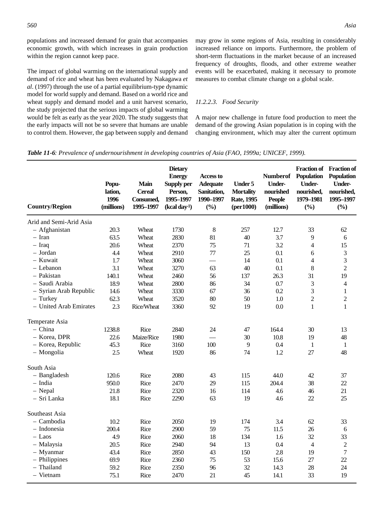populations and increased demand for grain that accompanies economic growth, with which increases in grain production within the region cannot keep pace.

The impact of global warming on the international supply and demand of rice and wheat has been evaluated by Nakagawa *et al.* (1997) through the use of a partial equilibrium-type dynamic model for world supply and demand. Based on a world rice and wheat supply and demand model and a unit harvest scenario, the study projected that the serious impacts of global warming would be felt as early as the year 2020. The study suggests that the early impacts will not be so severe that humans are unable to control them. However, the gap between supply and demand

may grow in some regions of Asia, resulting in considerably increased reliance on imports. Furthermore, the problem of short-term fluctuations in the market because of an increased frequency of droughts, floods, and other extreme weather events will be exacerbated, making it necessary to promote measures to combat climate change on a global scale.

#### *11.2.2.3. Food Security*

A major new challenge in future food production to meet the demand of the growing Asian population is in coping with the changing environment, which may alter the current optimum

| Table 11-6: Prevalence of undernourishment in developing countries of Asia (FAO, 1999a; UNICEF, 1999). |  |  |  |  |
|--------------------------------------------------------------------------------------------------------|--|--|--|--|
|--------------------------------------------------------------------------------------------------------|--|--|--|--|

| <b>Country/Region</b>   | Popu-<br>lation,<br>1996<br>(millions) | Main<br><b>Cereal</b><br>Consumed,<br>1995-1997 | <b>Dietary</b><br><b>Energy</b><br><b>Supply per</b><br>Person,<br>1995-1997<br>(kcal day <sup>1</sup> ) | Access to<br><b>Adequate</b><br>Sanitation,<br>1990-1997<br>$(\%)$ | <b>Under 5</b><br><b>Mortality</b><br>Rate, 1995<br>per1000 | <b>Numberof</b><br><b>Under-</b><br>nourished<br><b>People</b><br>(millions) | Fraction of Fraction of<br>Population<br><b>Under-</b><br>nourished,<br>1979-1981<br>(%) | Population<br><b>Under-</b><br>nourished,<br>1995-1997<br>$(\%)$ |
|-------------------------|----------------------------------------|-------------------------------------------------|----------------------------------------------------------------------------------------------------------|--------------------------------------------------------------------|-------------------------------------------------------------|------------------------------------------------------------------------------|------------------------------------------------------------------------------------------|------------------------------------------------------------------|
| Arid and Semi-Arid Asia |                                        |                                                 |                                                                                                          |                                                                    |                                                             |                                                                              |                                                                                          |                                                                  |
| - Afghanistan           | 20.3                                   | Wheat                                           | 1730                                                                                                     | 8                                                                  | 257                                                         | 12.7                                                                         | 33                                                                                       | 62                                                               |
| $-$ Iran                | 63.5                                   | Wheat                                           | 2830                                                                                                     | 81                                                                 | 40                                                          | 3.7                                                                          | 9                                                                                        | 6                                                                |
| - Iraq                  | 20.6                                   | Wheat                                           | 2370                                                                                                     | 75                                                                 | 71                                                          | 3.2                                                                          | 4                                                                                        | 15                                                               |
| - Jordan                | 4.4                                    | Wheat                                           | 2910                                                                                                     | 77                                                                 | 25                                                          | 0.1                                                                          | 6                                                                                        | 3                                                                |
| - Kuwait                | 1.7                                    | Wheat                                           | 3060                                                                                                     | $\overline{\phantom{0}}$                                           | 14                                                          | 0.1                                                                          | 4                                                                                        | 3                                                                |
| - Lebanon               | 3.1                                    | Wheat                                           | 3270                                                                                                     | 63                                                                 | 40                                                          | 0.1                                                                          | 8                                                                                        | $\overline{2}$                                                   |
| - Pakistan              | 140.1                                  | Wheat                                           | 2460                                                                                                     | 56                                                                 | 137                                                         | 26.3                                                                         | 31                                                                                       | 19                                                               |
| - Saudi Arabia          | 18.9                                   | Wheat                                           | 2800                                                                                                     | 86                                                                 | 34                                                          | 0.7                                                                          | 3                                                                                        | $\overline{4}$                                                   |
| - Syrian Arab Republic  | 14.6                                   | Wheat                                           | 3330                                                                                                     | 67                                                                 | 36                                                          | 0.2                                                                          | 3                                                                                        | $\mathbf{1}$                                                     |
| $-$ Turkey              | 62.3                                   | Wheat                                           | 3520                                                                                                     | 80                                                                 | 50                                                          | 1.0                                                                          | $\overline{2}$                                                                           | $\overline{2}$                                                   |
| - United Arab Emirates  | 2.3                                    | Rice/Wheat                                      | 3360                                                                                                     | 92                                                                 | 19                                                          | 0.0                                                                          | $\mathbf{1}$                                                                             | $\mathbf{1}$                                                     |
| Temperate Asia          |                                        |                                                 |                                                                                                          |                                                                    |                                                             |                                                                              |                                                                                          |                                                                  |
| - China                 | 1238.8                                 | Rice                                            | 2840                                                                                                     | 24                                                                 | 47                                                          | 164.4                                                                        | 30                                                                                       | 13                                                               |
| - Korea, DPR            | 22.6                                   | Maize/Rice                                      | 1980                                                                                                     | $\overline{\phantom{0}}$                                           | 30                                                          | 10.8                                                                         | 19                                                                                       | 48                                                               |
| - Korea, Republic       | 45.3                                   | Rice                                            | 3160                                                                                                     | 100                                                                | 9                                                           | 0.4                                                                          | 1                                                                                        | $\mathbf{1}$                                                     |
| - Mongolia              | 2.5                                    | Wheat                                           | 1920                                                                                                     | 86                                                                 | 74                                                          | 1.2                                                                          | 27                                                                                       | 48                                                               |
| South Asia              |                                        |                                                 |                                                                                                          |                                                                    |                                                             |                                                                              |                                                                                          |                                                                  |
| - Bangladesh            | 120.6                                  | Rice                                            | 2080                                                                                                     | 43                                                                 | 115                                                         | 44.0                                                                         | 42                                                                                       | 37                                                               |
| - India                 | 950.0                                  | Rice                                            | 2470                                                                                                     | 29                                                                 | 115                                                         | 204.4                                                                        | 38                                                                                       | 22                                                               |
| - Nepal                 | 21.8                                   | Rice                                            | 2320                                                                                                     | 16                                                                 | 114                                                         | 4.6                                                                          | 46                                                                                       | 21                                                               |
| - Sri Lanka             | 18.1                                   | Rice                                            | 2290                                                                                                     | 63                                                                 | 19                                                          | 4.6                                                                          | 22                                                                                       | 25                                                               |
| Southeast Asia          |                                        |                                                 |                                                                                                          |                                                                    |                                                             |                                                                              |                                                                                          |                                                                  |
| - Cambodia              | 10.2                                   | Rice                                            | 2050                                                                                                     | 19                                                                 | 174                                                         | 3.4                                                                          | 62                                                                                       | 33                                                               |
| - Indonesia             | 200.4                                  | Rice                                            | 2900                                                                                                     | 59                                                                 | 75                                                          | 11.5                                                                         | 26                                                                                       | 6                                                                |
| $-$ Laos                | 4.9                                    | Rice                                            | 2060                                                                                                     | 18                                                                 | 134                                                         | 1.6                                                                          | 32                                                                                       | 33                                                               |
| - Malaysia              | 20.5                                   | Rice                                            | 2940                                                                                                     | 94                                                                 | 13                                                          | 0.4                                                                          | $\overline{4}$                                                                           | $\overline{c}$                                                   |
| - Myanmar               | 43.4                                   | Rice                                            | 2850                                                                                                     | 43                                                                 | 150                                                         | 2.8                                                                          | 19                                                                                       | $\overline{7}$                                                   |
| - Philippines           | 69.9                                   | Rice                                            | 2360                                                                                                     | 75                                                                 | 53                                                          | 15.6                                                                         | 27                                                                                       | 22                                                               |
| - Thailand              | 59.2                                   | Rice                                            | 2350                                                                                                     | 96                                                                 | 32                                                          | 14.3                                                                         | 28                                                                                       | 24                                                               |
| - Vietnam               | 75.1                                   | Rice                                            | 2470                                                                                                     | 21                                                                 | 45                                                          | 14.1                                                                         | 33                                                                                       | 19                                                               |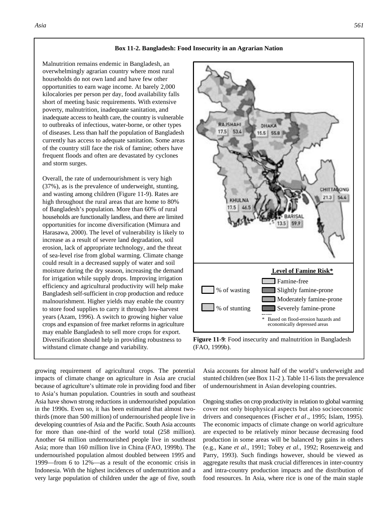Malnutrition remains endemic in Bangladesh, an overwhelmingly agrarian country where most rural households do not own land and have few other opportunities to earn wage income. At barely 2,000 kilocalories per person per day, food availability falls short of meeting basic requirements. With extensive poverty, malnutrition, inadequate sanitation, and in a dequate access to health care, the country is vulnerable to outbreaks of infectious, water-borne, or other types of diseases. Less than half the population of Bangladesh currently has access to adequate sanitation. Some areas of the country still face the risk of famine; others have frequent floods and often are devastated by cyclones and storm surges.

Overall, the rate of undernourishment is very high (37%), as is the prevalence of underweight, stunting, and wasting among children (Figure 11-9). Rates are high throughout the rural areas that are home to 80% of Bangladesh's population. More than 60% of rural households are functionally landless, and there are limited opportunities for income diversification (Mimura and Harasawa, 2000). The level of vulnerability is likely to increase as a result of severe land degradation, soil erosion, lack of appropriate technology, and the threat of sea-level rise from global warming. Climate change could result in a decreased supply of water and soil moisture during the dry season, increasing the demand for irrigation while supply drops. Improving irrigation efficiency and agricultural productivity will help make Bangladesh self-sufficient in crop production and reduce malnourishment. Higher yields may enable the country to store food supplies to carry it through low-harvest years (Azam, 1996). A switch to growing higher value crops and expansion of free market reforms in agriculture may enable Bangladesh to sell more crops for export. Diversification should help in providing robustness to withstand climate change and variability.

**RAJSHAHI** DHAKA 17.5 53.4 15.5 55. CHITTAGONG  $21.3$ 54.4 KHULNA 17.5  $135$ 59.9 **Level of Famine Risk\*** Famine-free % of wasting Slightly famine-prone Moderately famine-prone % of stuntingSeverely famine-prone Based on flood-erosion hazards and economically depressed areas **Figure 11-9**: Food insecurity and malnutrition in Bangladesh (FAO, 1999b).

growing requirement of agricultural crops. The potential impacts of climate change on agriculture in Asia are crucial because of agriculture's ultimate role in providing food and fiber to Asia's human population. Countries in south and southeast Asia have shown strong reductions in undernourished population in the 1990s. Even so, it has been estimated that almost twothirds (more than 500 million) of undernourished people live in developing countries of Asia and the Pacific. South Asia accounts for more than one-third of the world total (258 million). Another 64 million undernourished people live in southeast Asia; more than 160 million live in China (FAO, 1999b). The undernourished population almost doubled between 1995 and 1999—from 6 to 12%—as a result of the economic crisis in Indonesia. With the highest incidences of undernutrition and a very large population of children under the age of five, south

Asia accounts for almost half of the world's underweight and stunted children (see Box 11-2 ). Table 11-6 lists the prevalence of undernourishment in Asian developing countries.

Ongoing studies on crop productivity in relation to global warming cover not only biophysical aspects but also socioeconomic drivers and consequences (Fischer *et al.*, 1995; Islam, 1995). The economic impacts of climate change on world agriculture are expected to be relatively minor because decreasing food production in some areas will be balanced by gains in others (e.g., Kane *et al*., 1991; Tobey *et al*., 1992; Rosenzweig and Parry, 1993). Such findings however, should be viewed as aggregate results that mask crucial differences in inter-country and intra-country production impacts and the distribution of food resources. In Asia, where rice is one of the main staple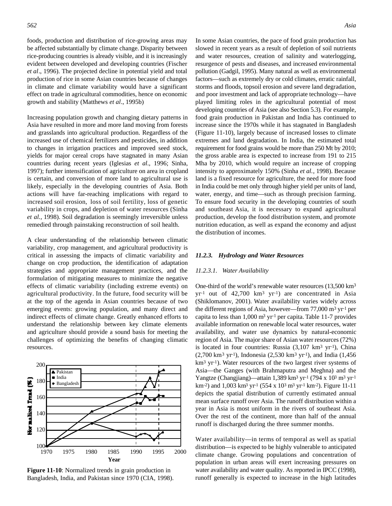foods, production and distribution of rice-growing areas may be affected substantially by climate change. Disparity between rice-producing countries is already visible, and it is increasingly evident between developed and developing countries (Fischer *et al*., 1996). The projected decline in potential yield and total production of rice in some Asian countries because of changes in climate and climate variability would have a significant e ffect on trade in agricultural commodities, hence on economic growth and stability (Matthews *et al*., 1995b)

Increasing population growth and changing dietary patterns in Asia have resulted in more and more land moving from forests and grasslands into agricultural production. Regardless of the increased use of chemical fertilizers and pesticides, in addition to changes in irrigation practices and improved seed stock, yields for major cereal crops have stagnated in many Asian countries during recent years (Iglesias *et al*., 1996; Sinha, 1997); further intensification of agriculture on area in cropland is certain, and conversion of more land to agricultural use is likely, especially in the developing countries of Asia. Both actions will have far-reaching implications with regard to increased soil erosion, loss of soil fertility, loss of genetic variability in crops, and depletion of water resources (Sinha *et al.,* 1998). Soil degradation is seemingly irreversible unless remedied through painstaking reconstruction of soil health.

A clear understanding of the relationship between climatic variability, crop management, and agricultural productivity is critical in assessing the impacts of climatic variability and change on crop production, the identification of adaptation strategies and appropriate management practices, and the formulation of mitigating measures to minimize the negative effects of climatic variability (including extreme events) on agricultural productivity. In the future, food security will be at the top of the agenda in Asian countries because of two emerging events: growing population, and many direct and indirect effects of climate change. Greatly enhanced efforts to understand the relationship between key climate elements and agriculture should provide a sound basis for meeting the challenges of optimizing the benefits of changing climatic resources.



**Figure 11-10**: Normalized trends in grain production in Bangladesh, India, and Pakistan since 1970 (CIA, 1998).

In some Asian countries, the pace of food grain production has slowed in recent years as a result of depletion of soil nutrients and water resources, creation of salinity and waterlogging, resurgence of pests and diseases, and increased environmental pollution (Gadgil, 1995). Many natural as well as environmental factors—such as extremely dry or cold climates, erratic rainfall, storms and floods, topsoil erosion and severe land degradation, and poor investment and lack of appropriate technology—have played limiting roles in the agricultural potential of most developing countries of Asia (see also Section 5.3). For example, food grain production in Pakistan and India has continued to increase since the 1970s while it has stagnated in Bangladesh (Figure 11-10), largely because of increased losses to climate extremes and land degradation. In India, the estimated total requirement for food grains would be more than 250 Mt by 2010; the gross arable area is expected to increase from 191 to 215 Mha by 2010, which would require an increase of cropping intensity to approximately 150% (Sinha *et al.*, 1998). Because land is a fixed resource for agriculture, the need for more food in India could be met only through higher yield per units of land, water, energy, and time—such as through precision farming. To ensure food security in the developing countries of south and southeast Asia, it is necessary to expand agricultural production, develop the food distribution system, and promote nutrition education, as well as expand the economy and adjust the distribution of incomes.

#### *11.2.3. Hydrology and Water Resources*

#### *11.2.3.1. Water Availability*

One-third of the world's renewable water resources (13,500 km<sup>3</sup>  $yr^{-1}$  out of 42,700 km<sup>3</sup> yr<sup>-1</sup>) are concentrated in Asia (Shiklomanov, 2001). Water availability varies widely across the different regions of Asia, however—from  $77,000$  m<sup>3</sup> yr<sup>-1</sup> per capita to less than  $1,000$  m<sup>3</sup> yr<sup>-1</sup> per capita. Table 11-7 provides available information on renewable local water resources, water availability, and water use dynamics by natural-economic region of Asia. The major share of Asian water resources (72%) is located in four countries: Russia  $(3,107 \text{ km}^3 \text{ yr}^{-1})$ , China  $(2,700 \text{ km}^3 \text{ yr}^1)$ , Indonesia  $(2,530 \text{ km}^3 \text{ yr}^1)$ , and India  $(1,456 \text{ m}^3 \text{ yr}^1)$ km<sup>3</sup> yr<sup>-1</sup>). Water resources of the two largest river systems of Asia—the Ganges (with Brahmaputra and Meghna) and the Yangtze (Changjiang)—attain 1,389 km<sup>3</sup> yr<sup>-1</sup> (794 x 10<sup>3</sup> m<sup>3</sup> yr<sup>-1</sup> km<sup>-2</sup>) and 1,003 km<sup>3</sup> yr<sup>-1</sup> (554 x 10<sup>3</sup> m<sup>3</sup> yr<sup>-1</sup> km<sup>-2</sup>). Figure 11-11 depicts the spatial distribution of currently estimated annual mean surface runoff over Asia. The runoff distribution within a year in Asia is most uniform in the rivers of southeast Asia. Over the rest of the continent, more than half of the annual runoff is discharged during the three summer months.

Water availability—in terms of temporal as well as spatial distribution—is expected to be highly vulnerable to anticipated climate change. Growing populations and concentration of population in urban areas will exert increasing pressures on water availability and water quality. As reported in IPCC (1998), runoff generally is expected to increase in the high latitudes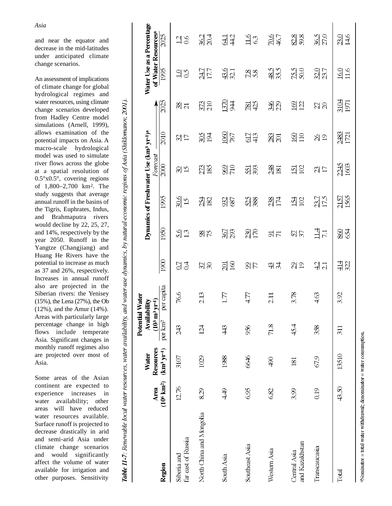and near the equator and decrease in the mid-latitudes under anticipated climate change scenarios.

An assessment of implications of climate change for global hydrological regimes and water resources, using climate change scenarios developed from Hadley Centre model simulations (Arnell, 1999), allows examination of the potential impacts on Asia. A macro-scale hydrological model was used to simulate river flows across the globe at a spatial resolution of 0.5°x0.5°, covering regions of  $1,800-2,700$  km<sup>2</sup>. The study suggests that average annual runoff in the basins of the Tigris, Euphrates, Indus, and Brahmaputra rivers would decline by 22, 25, 27, and 14%, respectively by the year 2050. Runoff in the Yangtze (Changjiang) and Huang He Rivers have the potential to increase as much as 37 and 26%, respectively. Increases in annual runoff also are projected in the Siberian rivers: the Yenisey (15%), the Lena (27%), the Ob (12%), and the Amur (14%). Areas with particularly large percentage change in high flows include temperate Asia. Significant changes in monthly runoff regimes also are projected over most of Asia.

Table 11-7: Renewable local water resources, water availability, and water-use dynamics, by natural-economic regions of Asia (Shiklomanov, 2001).

Some areas of the Asian continent are expected to experience increases in water availability; other areas will have reduced water resources available. Surface runoff is projected to decrease drastically in arid and semi-arid Asia under climate change scenarios and would significantly affect the volume of water available for irrigation and other purposes. Sensitivity

|                                   |      | Water                                                     | Potential Water<br>Availability<br>(10 <sup>3</sup> m <sup>3</sup> yr <sup>-1</sup> ) |                |                       |                                         |                                                                |                                   |                              |                              | Water Use as a Percentage         |                           |
|-----------------------------------|------|-----------------------------------------------------------|---------------------------------------------------------------------------------------|----------------|-----------------------|-----------------------------------------|----------------------------------------------------------------|-----------------------------------|------------------------------|------------------------------|-----------------------------------|---------------------------|
|                                   | Area | Resources                                                 |                                                                                       |                |                       |                                         | Dynamics of Freshwater Use (km <sup>3</sup> yr <sup>-1)a</sup> | Forecast                          |                              |                              | of Water Resources <sup>a</sup>   |                           |
| Region                            |      | $(10^6 \text{ km}^2)$ (km <sup>3</sup> yr <sup>-1</sup> ) | per km <sup>2</sup>                                                                   | per capita     | 1900                  | 1950                                    | 1995                                                           | 2000                              | 2010                         | 2025                         | 1995                              | 2025                      |
| far east of Russia<br>Siberia and | 1276 | 3107                                                      | 243                                                                                   | 766            | $\overline{0}$<br>07  | $\frac{56}{13}$                         | 306<br>$\overline{15}$                                         | $\frac{20}{5}$                    | 27                           | $\frac{8}{21}$               | $\overline{0}5$<br>$\overline{a}$ | $\delta$<br>$\frac{2}{1}$ |
| North China and Mongolia          | 829  | 1029                                                      | 124                                                                                   | 2.13           | $\frac{27}{26}$       | 88 <sub>75</sub>                        | 182<br>$\mathbb{Z}_2$                                          | 185<br>273                        | $\frac{25}{3}$               | $\frac{373}{210}$            | 247<br>177                        | $\frac{362}{204}$         |
| South Asia                        | 449  | 1988                                                      | 43                                                                                    | 177            | 160<br>$\overline{2}$ | 367<br>293                              | 932<br>687                                                     | 710<br>$\frac{50}{20}$            | 1060<br>767                  | <u>1370</u><br>$\frac{4}{3}$ | $\frac{436}{321}$                 | 442<br>$\overline{z}$     |
| Southeast Asia                    | 695  | 8646                                                      | 956                                                                                   | 47             | $\frac{2}{5}$         | 170<br>$\overline{20}$                  | 388<br>525                                                     | 393<br>551                        | 413<br>617                   | $\frac{25}{425}$             | $\frac{8}{58}$                    | $116\,$<br>63             |
| Western Asia                      | 682  | $\frac{8}{4}$                                             | 718                                                                                   | $\frac{11}{2}$ | क्ष श्ल               | 의 느                                     | 238                                                            | $\frac{8}{3}$<br>$\overline{181}$ | <u>283</u><br>$\overline{5}$ | $\frac{346}{229}$            | $\frac{485}{355}$                 | $\frac{5}{2}$<br>467      |
| and Kazakhstan<br>Central Asia    | 399  | 181                                                       | 454                                                                                   | 378            | <u>ଅ</u> ଅ            | $\frac{57}{57}$                         | 괴일                                                             | 102<br>$\overline{5}$             | 110<br>$\overline{8}$        | $\frac{8}{2}$                | $\frac{755}{500}$                 | $\frac{8}{8}$<br>$568$    |
| Transcaucasia                     | 0.19 | 679                                                       | 358                                                                                   | 463            | $\frac{21}{21}$       | $\overline{\square}$<br>$\overline{71}$ | 237<br>175                                                     | $\frac{2}{17}$                    | $\frac{8}{2}$                | $\frac{27}{20}$              | 320<br>237                        | $\frac{365}{270}$         |
| Total                             | 4350 | 13510                                                     | 311                                                                                   | 392            | $\frac{414}{322}$     | 8<br>8<br>3                             | $\frac{2157}{1565}$                                            | 2245                              | 2483                         | $\frac{3104}{1971}$          | $\frac{160}{116}$                 | $\frac{230}{146}$         |

aNominator = total water withdrawal; denominator = water consumption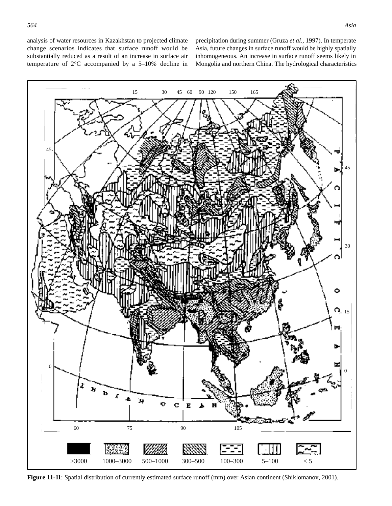analysis of water resources in Kazakhstan to projected climate change scenarios indicates that surface runoff would be substantially reduced as a result of an increase in surface air temperature of 2°C accompanied by a 5–10% decline in precipitation during summer (Gruza et al., 1997). In temperate Asia, future changes in surface runoff would be highly spatially inhomogeneous. An increase in surface runoff seems likely in Mongolia and northern China. The hydrological characteristics



**Figure 11-11**: Spatial distribution of currently estimated surface runoff (mm) over Asian continent (Shiklomanov, 2001).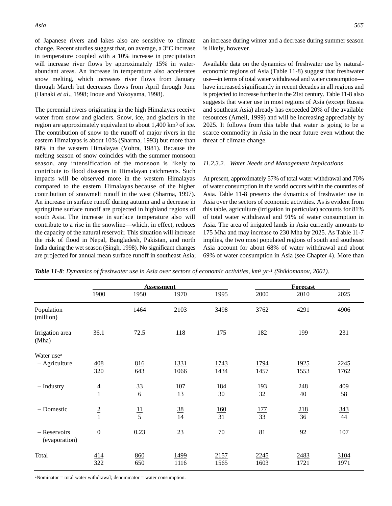of Japanese rivers and lakes also are sensitive to climate change. Recent studies suggest that, on average, a 3°C increase in temperature coupled with a 10% increase in precipitation will increase river flows by approximately 15% in waterabundant areas. An increase in temperature also accelerates snow melting, which increases river flows from January through March but decreases flows from April through June (Hanaki *et al*., 1998; Inoue and Yokoyama, 1998).

The perennial rivers originating in the high Himalayas receive water from snow and glaciers. Snow, ice, and glaciers in the region are approximately equivalent to about 1,400 km<sup>3</sup> of ice. The contribution of snow to the runoff of major rivers in the eastern Himalayas is about 10% (Sharma, 1993) but more than 60% in the western Himalayas (Vohra, 1981). Because the melting season of snow coincides with the summer monsoon season, any intensification of the monsoon is likely to contribute to flood disasters in Himalayan catchments. Such impacts will be observed more in the western Himalayas compared to the eastern Himalayas because of the higher contribution of snowmelt runoff in the west (Sharma, 1997). An increase in surface runoff during autumn and a decrease in springtime surface runoff are projected in highland regions of south Asia. The increase in surface temperature also will contribute to a rise in the snowline—which, in effect, reduces the capacity of the natural reservoir. This situation will increase the risk of flood in Nepal, Bangladesh, Pakistan, and north India during the wet season (Singh, 1998). No significant changes are projected for annual mean surface runoff in southeast Asia;

an increase during winter and a decrease during summer season is likely, however.

Available data on the dynamics of freshwater use by naturaleconomic regions of Asia (Table 11-8) suggest that freshwater use—in terms of total water withdrawal and water consumption have increased significantly in recent decades in all regions and is projected to increase further in the 21st century. Table 11-8 also suggests that water use in most regions of Asia (except Russia and southeast Asia) already has exceeded 20% of the available resources (Arnell, 1999) and will be increasing appreciably by 2025. It follows from this table that water is going to be a scarce commodity in Asia in the near future even without the threat of climate change.

#### *11.2.3.2. Water Needs and Management Implications*

At present, approximately 57% of total water withdrawal and 70% of water consumption in the world occurs within the countries of Asia. Table 11-8 presents the dynamics of freshwater use in Asia over the sectors of economic activities. As is evident from this table, agriculture (irrigation in particular) accounts for 81% of total water withdrawal and 91% of water consumption in Asia. The area of irrigated lands in Asia currently amounts to 175 Mha and may increase to 230 Mha by 2025. As Table 11-7 implies, the two most populated regions of south and southeast Asia account for about 68% of water withdrawal and about 69% of water consumption in Asia (see Chapter 4). More than

|                                         |                  |                | <b>Assessment</b> |                  |                  | Forecast     |                  |  |
|-----------------------------------------|------------------|----------------|-------------------|------------------|------------------|--------------|------------------|--|
|                                         | 1900             | 1950           | 1970              | 1995             | 2000             | 2010         | 2025             |  |
| Population<br>(million)                 |                  | 1464           | 2103              | 3498             | 3762             | 4291         | 4906             |  |
| Irrigation area<br>(Mha)                | 36.1             | 72.5           | 118               | 175              | 182              | 199          | 231              |  |
| Water use <sup>a</sup><br>- Agriculture | 408<br>320       | 816<br>643     | 1331<br>1066      | 1743<br>1434     | 1794<br>1457     | 1925<br>1553 | 2245<br>1762     |  |
| - Industry                              | $\frac{4}{1}$    | $\frac{33}{6}$ | <b>107</b><br>13  | <u>184</u><br>30 | <u>193</u><br>32 | 248<br>40    | <u>409</u><br>58 |  |
| - Domestic                              | $\frac{2}{1}$    | $\frac{11}{5}$ | 38<br>14          | <u>160</u><br>31 | <u>177</u><br>33 | 218<br>36    | <u>343</u><br>44 |  |
| - Reservoirs<br>(evaporation)           | $\boldsymbol{0}$ | 0.23           | 23                | $70\,$           | 81               | 92           | 107              |  |
| Total                                   | 414<br>322       | 860<br>650     | 1499<br>1116      | 2157<br>1565     | 2245<br>1603     | 2483<br>1721 | 3104<br>1971     |  |

*Table 11-8: Dynamics of freshwater use in Asia over sectors of economic activities, km<sup>3</sup> yr-<sup>1</sup> (Shiklomanov, 2001).*

aNominator = total water withdrawal; denominator = water consumption.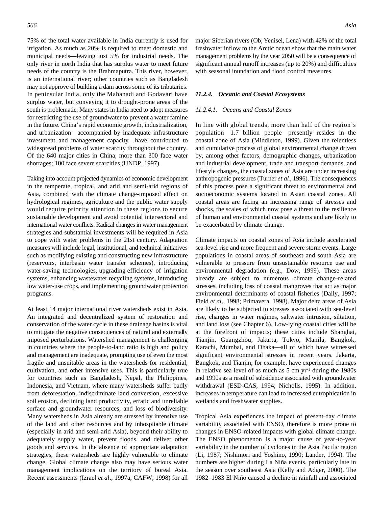75% of the total water available in India currently is used for irrigation. As much as 20% is required to meet domestic and municipal needs—leaving just 5% for industrial needs. The only river in north India that has surplus water to meet future needs of the country is the Brahmaputra. This river, however, is an international river; other countries such as Bangladesh may not approve of building a dam across some of its tributaries. In peninsular India, only the Mahanadi and Godavari have surplus water, but conveying it to drought-prone areas of the south is problematic. Many states in India need to adopt measures for restricting the use of groundwater to prevent a water famine in the future. China's rapid economic growth, industrialization, and urbanization—accompanied by inadequate infrastructure investment and management capacity—have contributed to widespread problems of water scarcity throughout the country. Of the 640 major cities in China, more than 300 face water shortages; 100 face severe scarcities (UNDP, 1997).

Taking into account projected dynamics of economic development in the temperate, tropical, and arid and semi-arid regions of Asia, combined with the climate change-imposed effect on hydrological regimes, agriculture and the public water supply would require priority attention in these regions to secure sustainable development and avoid potential intersectoral and international water conflicts. Radical changes in water management strategies and substantial investments will be required in Asia to cope with water problems in the 21st century. Adaptation measures will include legal, institutional, and technical initiatives such as modifying existing and constructing new infrastructure (reservoirs, interbasin water transfer schemes), introducing water-saving technologies, upgrading efficiency of irrigation systems, enhancing wastewater recycling systems, introducing low water-use crops, and implementing groundwater protection programs.

At least 14 major international river watersheds exist in Asia. An integrated and decentralized system of restoration and conservation of the water cycle in these drainage basins is vital to mitigate the negative consequences of natural and externally imposed perturbations. Watershed management is challenging in countries where the people-to-land ratio is high and policy and management are inadequate, prompting use of even the most fragile and unsuitable areas in the watersheds for residential, cultivation, and other intensive uses. This is particularly true for countries such as Bangladesh, Nepal, the Philippines, Indonesia, and Vietnam, where many watersheds suffer badly from deforestation, indiscriminate land conversion, excessive soil erosion, declining land productivity, erratic and unreliable surface and groundwater resources, and loss of biodiversity. Many watersheds in Asia already are stressed by intensive use of the land and other resources and by inhospitable climate (especially in arid and semi-arid Asia), beyond their ability to adequately supply water, prevent floods, and deliver other goods and services. In the absence of appropriate adaptation strategies, these watersheds are highly vulnerable to climate change. Global climate change also may have serious water management implications on the territory of boreal Asia. Recent assessments (Izrael *et al*., 1997a; CAFW, 1998) for all major Siberian rivers (Ob, Yenisei, Lena) with 42% of the total freshwater inflow to the Arctic ocean show that the main water management problems by the year 2050 will be a consequence of significant annual runoff increases (up to 20%) and difficulties with seasonal inundation and flood control measures.

#### *11.2.4. Oceanic and Coastal Ecosystems*

#### *11.2.4.1. Oceans and Coastal Zones*

In line with global trends, more than half of the region's population—1.7 billion people—presently resides in the coastal zone of Asia (Middleton, 1999). Given the relentless and cumulative process of global environmental change driven by, among other factors, demographic changes, urbanization and industrial development, trade and transport demands, and lifestyle changes, the coastal zones of Asia are under increasing anthropogenic pressures (Turner *et al*., 1996). The consequences of this process pose a significant threat to environmental and socioeconomic systems located in Asian coastal zones. All coastal areas are facing an increasing range of stresses and shocks, the scales of which now pose a threat to the resilience of human and environmental coastal systems and are likely to be exacerbated by climate change.

Climate impacts on coastal zones of Asia include accelerated sea-level rise and more frequent and severe storm events. Large populations in coastal areas of southeast and south Asia are vulnerable to pressure from unsustainable resource use and environmental degradation (e.g., Dow, 1999). These areas already are subject to numerous climate change-related stresses, including loss of coastal mangroves that act as major environmental determinants of coastal fisheries (Daily, 1997; Field *et al*., 1998; Primavera, 1998). Major delta areas of Asia are likely to be subjected to stresses associated with sea-level rise, changes in water regimes, saltwater intrusion, siltation, and land loss (see Chapter 6). Low-lying coastal cities will be at the forefront of impacts; these cities include Shanghai, Tianjin, Guangzhou, Jakarta, Tokyo, Manila, Bangkok, Karachi, Mumbai, and Dhaka—all of which have witnessed significant environmental stresses in recent years. Jakarta, Bangkok, and Tianjin, for example, have experienced changes in relative sea level of as much as  $5 \text{ cm yr}$ <sup>1</sup> during the 1980s and 1990s as a result of subsidence associated with groundwater withdrawal (ESD-CAS, 1994; Nicholls, 1995). In addition, increases in temperature can lead to increased eutrophication in wetlands and freshwater supplies.

Tropical Asia experiences the impact of present-day climate variability associated with ENSO, therefore is more prone to changes in ENSO-related impacts with global climate change. The ENSO phenomenon is a major cause of year-to-year variability in the number of cyclones in the Asia Pacific region (Li, 1987; Nishimori and Yoshino, 1990; Lander, 1994). The numbers are higher during La Niña events, particularly late in the season over southeast Asia (Kelly and Adger, 2000). The 1982–1983 El Niño caused a decline in rainfall and associated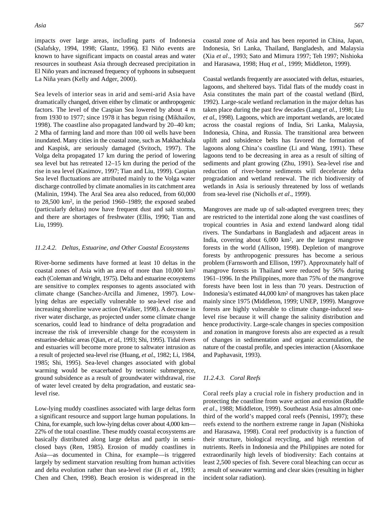impacts over large areas, including parts of Indonesia (Salafsky, 1994, 1998; Glantz, 1996). El Niño events are known to have significant impacts on coastal areas and water resources in southeast Asia through decreased precipitation in El Niño years and increased frequency of typhoons in subsequent La Niña years (Kelly and Adger, 2000).

Sea levels of interior seas in arid and semi-arid Asia have dramatically changed, driven either by climatic or anthropogenic factors. The level of the Caspian Sea lowered by about 4 m from 1930 to 1977; since 1978 it has begun rising (Mikhailov, 1998). The coastline also propagated landward by 20–40 km; 2 Mha of farming land and more than 100 oil wells have been inundated. Many cities in the coastal zone, such as Makhachkala and Kaspisk, are seriously damaged (Svitoch, 1997). The Volga delta propagated 17 km during the period of lowering sea level but has retreated 12–15 km during the period of the rise in sea level (Kasimov, 1997; Tian and Liu, 1999). Caspian Sea level fluctuations are attributed mainly to the Volga water discharge controlled by climate anomalies in its catchment area (Malinin, 1994). The Aral Sea area also reduced, from 60,000 to 28,500 km2, in the period 1960–1989; the exposed seabed (particularly deltas) now have frequent dust and salt storms, and there are shortages of freshwater (Ellis, 1990; Tian and Liu, 1999).

#### *11.2.4.2. Deltas, Estuarine, and Other Coastal Ecosystems*

River-borne sediments have formed at least 10 deltas in the coastal zones of Asia with an area of more than 10,000 km<sup>2</sup> each (Coleman and Wright, 1975). Delta and estuarine ecosystems are sensitive to complex responses to agents associated with climate change (Sanchez-Arcilla and Jimenez, 1997). Lowlying deltas are especially vulnerable to sea-level rise and increasing shoreline wave action (Walker, 1998). A decrease in river water discharge, as projected under some climate change scenarios, could lead to hindrance of delta progradation and increase the risk of irreversible change for the ecosystem in estuarine-deltaic areas (Qian, *et al*., 1993; Shi, 1995). Tidal rivers and estuaries will become more prone to saltwater intrusion as a result of projected sea-level rise (Huang, *et al*., 1982; Li, 1984, 1985; Shi, 1995). Sea-level changes associated with global warming would be exacerbated by tectonic submergence, ground subsidence as a result of groundwater withdrawal, rise of water level created by delta progradation, and eustatic sealevel rise.

Low-lying muddy coastlines associated with large deltas form a significant resource and support large human populations. In China, for example, such low-lying deltas cover about 4,000 km— 22% of the total coastline. These muddy coastal ecosystems are basically distributed along large deltas and partly in semiclosed bays (Ren, 1985). Erosion of muddy coastlines in Asia—as documented in China, for example—is triggered largely by sediment starvation resulting from human activities and delta evolution rather than sea-level rise (Ji *et al*., 1993; Chen and Chen, 1998). Beach erosion is widespread in the coastal zone of Asia and has been reported in China, Japan, Indonesia, Sri Lanka, Thailand, Bangladesh, and Malaysia (Xia *et al*., 1993; Sato and Mimura 1997; Teh 1997; Nishioka and Harasawa, 1998; Huq *et al.*, 1999; Middleton, 1999).

Coastal wetlands frequently are associated with deltas, estuaries, lagoons, and sheltered bays. Tidal flats of the muddy coast in Asia constitutes the main part of the coastal wetland (Bird, 1992). Large-scale wetland reclamation in the major deltas has taken place during the past few decades (Lang *et al.*, 1998; Liu *et al*., 1998). Lagoons, which are important wetlands, are located across the coastal regions of India, Sri Lanka, Malaysia, Indonesia, China, and Russia. The transitional area between uplift and subsidence belts has favored the formation of lagoons along China's coastline (Li and Wang, 1991). These lagoons tend to be decreasing in area as a result of silting of sediments and plant growing (Zhu, 1991). Sea-level rise and reduction of river-borne sediments will decelerate delta progradation and wetland renewal. The rich biodiversity of wetlands in Asia is seriously threatened by loss of wetlands from sea-level rise (Nicholls *et al*., 1999).

Mangroves are made up of salt-adapted evergreen trees; they are restricted to the intertidal zone along the vast coastlines of tropical countries in Asia and extend landward along tidal rivers. The Sundarbans in Bangladesh and adjacent areas in India, covering about 6,000 km2, are the largest mangrove forests in the world (Allison, 1998). Depletion of mangrove forests by anthropogenic pressures has become a serious problem (Farnsworth and Ellison, 1997). Approxmately half of mangrove forests in Thailand were reduced by 56% during 1961–1996. In the Philippines, more than 75% of the mangrove forests have been lost in less than 70 years. Destruction of Indonesia's estimated 44,000 km<sup>2</sup> of mangroves has taken place mainly since 1975 (Middleton, 1999; UNEP, 1999). Mangrove forests are highly vulnerable to climate change-induced sealevel rise because it will change the salinity distribution and hence productivity. Large-scale changes in species composition and zonation in mangrove forests also are expected as a result of changes in sedimentation and organic accumulation, the nature of the coastal profile, and species interaction (Aksornkaoe and Paphavasit, 1993).

#### *11.2.4.3. Coral Reefs*

Coral reefs play a crucial role in fishery production and in protecting the coastline from wave action and erosion (Ruddle *et al*., 1988; Middleton, 1999). Southeast Asia has almost onethird of the world's mapped coral reefs (Pennisi, 1997); these reefs extend to the northern extreme range in Japan (Nishioka and Harasawa, 1998). Coral reef productivity is a function of their structure, biological recycling, and high retention of nutrients. Reefs in Indonesia and the Philippines are noted for extraordinarily high levels of biodiversity: Each contains at least 2,500 species of fish. Severe coral bleaching can occur as a result of seawater warming and clear skies (resulting in higher incident solar radiation).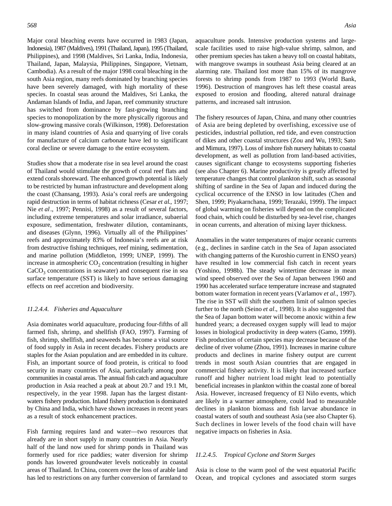Major coral bleaching events have occurred in 1983 (Japan, Indonesia), 1987 (Maldives), 1991 (Thailand, Japan), 1995 (Thailand, Philippines), and 1998 (Maldives, Sri Lanka, India, Indonesia, Thailand, Japan, Malaysia, Philippines, Singapore, Vietnam, Cambodia). As a result of the major 1998 coral bleaching in the south Asia region, many reefs dominated by branching species have been severely damaged, with high mortality of these species. In coastal seas around the Maldives, Sri Lanka, the Andaman Islands of India, and Japan, reef community structure has switched from dominance by fast-growing branching species to monopolization by the more physically rigorous and slow-growing massive corals (Wilkinson, 1998). Deforestation in many island countries of Asia and quarrying of live corals for manufacture of calcium carbonate have led to significant coral decline or severe damage to the entire ecosystem.

Studies show that a moderate rise in sea level around the coast of Thailand would stimulate the growth of coral reef flats and extend corals shoreward. The enhanced growth potential is likely to be restricted by human infrastructure and development along the coast (Chansang, 1993). Asia's coral reefs are undergoing rapid destruction in terms of habitat richness (Cesar *et al*., 1997; Nie *et al*., 1997; Pennisi, 1998) as a result of several factors, including extreme temperatures and solar irradiance, subaerial exposure, sedimentation, freshwater dilution, contaminants, and diseases (Glynn, 1996). Virtually all of the Philippines' reefs and approximately 83% of Indonesia's reefs are at risk from destructive fishing techniques, reef mining, sedimentation, and marine pollution (Middleton, 1999; UNEP, 1999). The increase in atmospheric  $CO_2$  concentration (resulting in higher  $CaCO<sub>3</sub>$  concentrations in seawater) and consequent rise in sea surface temperature (SST) is likely to have serious damaging effects on reef accretion and biodiversity.

#### *11.2.4.4. Fisheries and Aquaculture*

Asia dominates world aquaculture, producing four-fifths of all farmed fish, shrimp, and shellfish (FAO, 1997). Farming of fish, shrimp, shellfish, and seaweeds has become a vital source of food supply in Asia in recent decades. Fishery products are staples for the Asian population and are embedded in its culture. Fish, an important source of food protein, is critical to food security in many countries of Asia, particularly among poor communities in coastal areas. The annual fish catch and aquaculture production in Asia reached a peak at about 20.7 and 19.1 Mt, respectively, in the year 1998. Japan has the largest distantwaters fishery production. Inland fishery production is dominated by China and India, which have shown increases in recent years as a result of stock enhancement practices.

Fish farming requires land and water—two resources that already are in short supply in many countries in Asia. Nearly half of the land now used for shrimp ponds in Thailand was formerly used for rice paddies; water diversion for shrimp ponds has lowered groundwater levels noticeably in coastal areas of Thailand. In China, concern over the loss of arable land has led to restrictions on any further conversion of farmland to aquaculture ponds. Intensive production systems and largescale facilities used to raise high-value shrimp, salmon, and other premium species has taken a heavy toll on coastal habitats, with mangrove swamps in southeast Asia being cleared at an alarming rate. Thailand lost more than 15% of its mangrove forests to shrimp ponds from 1987 to 1993 (World Bank, 1996). Destruction of mangroves has left these coastal areas exposed to erosion and flooding, altered natural drainage patterns, and increased salt intrusion.

The fishery resources of Japan, China, and many other countries of Asia are being depleted by overfishing, excessive use of pesticides, industrial pollution, red tide, and even construction of dikes and other coastal structures (Zou and Wu, 1993; Sato and Mimura, 1997). Loss of inshore fish nursery habitats to coastal development, as well as pollution from land-based activities, causes significant change to ecosystems supporting fisheries (see also Chapter 6). Marine productivity is greatly affected by temperature changes that control plankton shift, such as seasonal shifting of sardine in the Sea of Japan and induced during the cyclical occurrence of the ENSO in low latitudes (Chen and Shen, 1999; Piyakarnchana, 1999; Terazaki, 1999). The impact of global warming on fisheries will depend on the complicated food chain, which could be disturbed by sea-level rise, changes in ocean currents, and alteration of mixing layer thickness.

Anomalies in the water temperatures of major oceanic currents (e.g., declines in sardine catch in the Sea of Japan associated with changing patterns of the Kuroshio current in ENSO years) have resulted in low commercial fish catch in recent years (Yoshino, 1998b). The steady wintertime decrease in mean wind speed observed over the Sea of Japan between 1960 and 1990 has accelerated surface temperature increase and stagnated bottom water formation in recent years (Varlamov *et al*., 1997). The rise in SST will shift the southern limit of salmon species further to the north (Seino *et al*., 1998). It is also suggested that the Sea of Japan bottom water will become anoxic within a few hundred years; a decreased oxygen supply will lead to major losses in biological productivity in deep waters (Gamo, 1999). Fish production of certain species may decrease because of the decline of river volume (Zhou, 1991). Increases in marine culture products and declines in marine fishery output are current trends in most south Asian countries that are engaged in commercial fishery activity. It is likely that increased surface runoff and higher nutrient load might lead to potentially beneficial increases in plankton within the coastal zone of boreal Asia. However, increased frequency of El Niño events, which are likely in a warmer atmosphere, could lead to measurable declines in plankton biomass and fish larvae abundance in coastal waters of south and southeast Asia (see also Chapter 6). Such declines in lower levels of the food chain will have negative impacts on fisheries in Asia.

#### *11.2.4.5. Tropical Cyclone and Storm Surges*

Asia is close to the warm pool of the west equatorial Pacific Ocean, and tropical cyclones and associated storm surges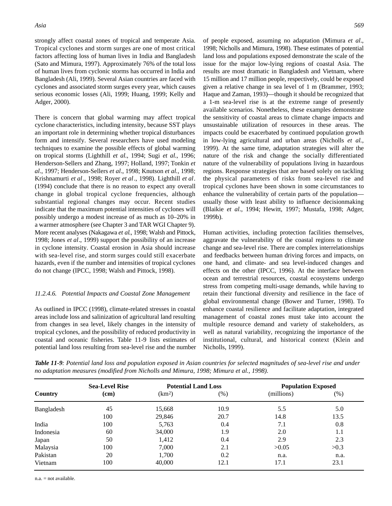strongly affect coastal zones of tropical and temperate Asia. Tropical cyclones and storm surges are one of most critical factors affecting loss of human lives in India and Bangladesh (Sato and Mimura, 1997). Approximately 76% of the total loss of human lives from cyclonic storms has occurred in India and Bangladesh (Ali, 1999). Several Asian countries are faced with cyclones and associated storm surges every year, which causes serious economic losses (Ali, 1999; Huang, 1999; Kelly and Adger, 2000).

There is concern that global warming may affect tropical cyclone characteristics, including intensity, because SST plays an important role in determining whether tropical disturbances form and intensify. Several researchers have used modeling techniques to examine the possible effects of global warming on tropical storms (Lighthill *et al*., 1994; Sugi *et al*., 1996; Henderson-Sellers and Zhang, 1997; Holland, 1997; Tonkin *et al*., 1997; Henderson-Sellers *et al*., 1998; Knutson *et al.,* 1998; Krishnamurti *et al*., 1998; Royer *et al*., 1998). Lighthill *et al*. (1994) conclude that there is no reason to expect any overall change in global tropical cyclone frequencies, although substantial regional changes may occur. Recent studies indicate that the maximum potential intensities of cyclones will possibly undergo a modest increase of as much as 10–20% in a warmer atmosphere (see Chapter 3 and TAR WGI Chapter 9). More recent analyses (Nakagawa *et al*., 1998; Walsh and Pittock, 1998; Jones *et al*., 1999) support the possibility of an increase in cyclone intensity. Coastal erosion in Asia should increase with sea-level rise, and storm surges could still exacerbate hazards, even if the number and intensities of tropical cyclones do not change (IPCC, 1998; Walsh and Pittock, 1998).

#### *11.2.4.6. Potential Impacts and Coastal Zone Management*

As outlined in IPCC (1998), climate-related stresses in coastal areas include loss and salinization of agricultural land resulting from changes in sea level, likely changes in the intensity of tropical cyclones, and the possibility of reduced productivity in coastal and oceanic fisheries. Table 11-9 lists estimates of potential land loss resulting from sea-level rise and the number

of people exposed, assuming no adaptation (Mimura *et al*., 1998; Nicholls and Mimura, 1998). These estimates of potential land loss and populations exposed demonstrate the scale of the issue for the major low-lying regions of coastal Asia. The results are most dramatic in Bangladesh and Vietnam, where 15 million and 17 million people, respectively, could be exposed given a relative change in sea level of 1 m (Brammer, 1993; Haque and Zaman, 1993)—though it should be recognized that a 1-m sea-level rise is at the extreme range of presently available scenarios. Nonetheless, these examples demonstrate the sensitivity of coastal areas to climate change impacts and unsustainable utilization of resources in these areas. The impacts could be exacerbated by continued population growth in low-lying agricultural and urban areas (Nicholls *et al.*, 1999). At the same time, adaptation strategies will alter the nature of the risk and change the socially differentiated nature of the vulnerability of populations living in hazardous regions. Response strategies that are based solely on tackling the physical parameters of risks from sea-level rise and tropical cyclones have been shown in some circumstances to enhance the vulnerability of certain parts of the population usually those with least ability to influence decisionmaking (Blaikie *et al*., 1994; Hewitt, 1997; Mustafa, 1998; Adger,

Human activities, including protection facilities themselves, aggravate the vulnerability of the coastal regions to climate change and sea-level rise. There are complex interrelationships and feedbacks between human driving forces and impacts, on one hand, and climate- and sea level-induced changes and effects on the other (IPCC, 1996). At the interface between ocean and terrestrial resources, coastal ecosystems undergo stress from competing multi-usage demands, while having to retain their functional diversity and resilience in the face of global environmental change (Bower and Turner, 1998). To enhance coastal resilience and facilitate adaptation, integrated management of coastal zones must take into account the multiple resource demand and variety of stakeholders, as well as natural variability, recognizing the importance of the institutional, cultural, and historical context (Klein and Nicholls, 1999).

|            | <b>Sea-Level Rise</b><br>(cm) | <b>Potential Land Loss</b> |        | <b>Population Exposed</b> |        |
|------------|-------------------------------|----------------------------|--------|---------------------------|--------|
| Country    |                               | (km <sup>2</sup> )         | $(\%)$ | (millions)                | $(\%)$ |
| Bangladesh | 45                            | 15,668                     | 10.9   | 5.5                       | 5.0    |
|            | 100                           | 29,846                     | 20.7   | 14.8                      | 13.5   |
| India      | 100                           | 5,763                      | 0.4    | 7.1                       | 0.8    |
| Indonesia  | 60                            | 34,000                     | 1.9    | 2.0                       | 1.1    |
| Japan      | 50                            | 1,412                      | 0.4    | 2.9                       | 2.3    |
| Malaysia   | 100                           | 7,000                      | 2.1    | >0.05                     | >0.3   |
| Pakistan   | 20                            | 1,700                      | 0.2    | n.a.                      | n.a.   |
| Vietnam    | 100                           | 40,000                     | 12.1   | 17.1                      | 23.1   |

*Table 11-9: Potential land loss and population exposed in Asian countries for selected magnitudes of sea-level rise and under no adaptation measures (modified from Nicholls and Mimura, 1998; Mimura et al., 1998).*

1999b).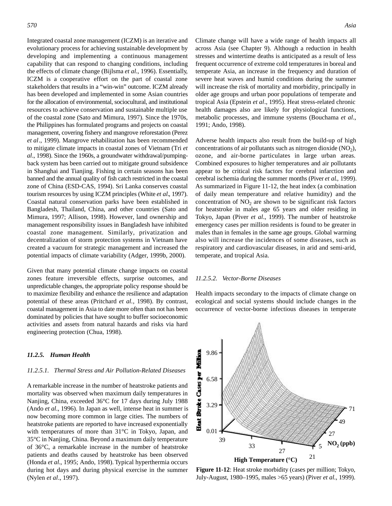Integrated coastal zone management (ICZM) is an iterative and evolutionary process for achieving sustainable development by developing and implementing a continuous management capability that can respond to changing conditions, including the effects of climate change (Bijlsma *et al*., 1996). Essentially, ICZM is a cooperative effort on the part of coastal zone stakeholders that results in a "win-win" outcome. ICZM already has been developed and implemented in some Asian countries for the allocation of environmental, sociocultural, and institutional resources to achieve conservation and sustainable multiple use of the coastal zone (Sato and Mimura, 1997). Since the 1970s, the Philippines has formulated programs and projects on coastal management, covering fishery and mangrove reforestation (Perez *et al*., 1999). Mangrove rehabilitation has been recommended to mitigate climate impacts in coastal zones of Vietnam (Tri *et al.*, 1998). Since the 1960s, a groundwater withdrawal/pumpingback system has been carried out to mitigate ground subsidence in Shanghai and Tianjing. Fishing in certain seasons has been banned and the annual quality of fish catch restricted in the coastal zone of China (ESD-CAS, 1994). Sri Lanka conserves coastal tourism resources by using ICZM principles (White *et al.*, 1997). Coastal natural conservation parks have been established in Bangladesh, Thailand, China, and other countries (Sato and Mimura, 1997; Allison, 1998). However, land ownership and management responsibility issues in Bangladesh have inhibited coastal zone management. Similarly, privatization and decentralization of storm protection systems in Vietnam have created a vacuum for strategic management and increased the potential impacts of climate variability (Adger, 1999b, 2000).

Given that many potential climate change impacts on coastal zones feature irreversible effects, surprise outcomes, and unpredictable changes, the appropriate policy response should be to maximize flexibility and enhance the resilience and adaptation potential of these areas (Pritchard *et al.*, 1998). By contrast, coastal management in Asia to date more often than not has been dominated by policies that have sought to buffer socioeconomic activities and assets from natural hazards and risks via hard engineering protection (Chua, 1998).

#### *11.2.5. Human Health*

#### *11.2.5.1. Thermal Stress and Air Pollution-Related Diseases*

A remarkable increase in the number of heatstroke patients and mortality was observed when maximum daily temperatures in Nanjing, China, exceeded 36°C for 17 days during July 1988 (Ando *et al*., 1996). In Japan as well, intense heat in summer is now becoming more common in large cities. The numbers of heatstroke patients are reported to have increased exponentially with temperatures of more than 31°C in Tokyo, Japan, and 35°C in Nanjing, China. Beyond a maximum daily temperature of 36°C, a remarkable increase in the number of heatstroke patients and deaths caused by heatstroke has been observed (Honda *et al*., 1995; Ando, 1998). Typical hyperthermia occurs during hot days and during physical exercise in the summer (Nylen *et al*., 1997).

Climate change will have a wide range of health impacts all across Asia (see Chapter 9). Although a reduction in health stresses and wintertime deaths is anticipated as a result of less frequent occurrence of extreme cold temperatures in boreal and temperate Asia, an increase in the frequency and duration of severe heat waves and humid conditions during the summer will increase the risk of mortality and morbidity, principally in older age groups and urban poor populations of temperate and tropical Asia (Epstein *et al*., 1995). Heat stress-related chronic health damages also are likely for physiological functions, metabolic processes, and immune systems (Bouchama *et al*., 1991; Ando, 1998).

Adverse health impacts also result from the build-up of high concentrations of air pollutants such as nitrogen dioxide  $(NO<sub>2</sub>)$ , ozone, and air-borne particulates in large urban areas. Combined exposures to higher temperatures and air pollutants appear to be critical risk factors for cerebral infarction and cerebral ischemia during the summer months (Piver *et al*., 1999). As summarized in Figure 11-12, the heat index (a combination of daily mean temperature and relative humidity) and the concentration of  $NO<sub>2</sub>$  are shown to be significant risk factors for heatstroke in males age 65 years and older residing in Tokyo, Japan (Piver *et al*., 1999). The number of heatstroke emergency cases per million residents is found to be greater in males than in females in the same age groups. Global warming also will increase the incidences of some diseases, such as respiratory and cardiovascular diseases, in arid and semi-arid, temperate, and tropical Asia.

#### *11.2.5.2. Vector-Borne Diseases*

Health impacts secondary to the impacts of climate change on ecological and social systems should include changes in the occurrence of vector-borne infectious diseases in temperate



Figure 11-12: Heat stroke morbidity (cases per million; Tokyo, July-August, 1980–1995, males >65 years) (Piver *et al*., 1999).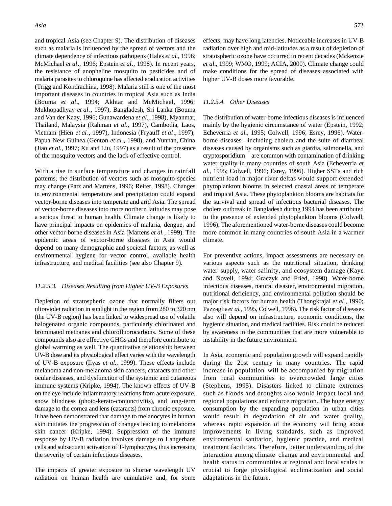and tropical Asia (see Chapter 9). The distribution of diseases such as malaria is influenced by the spread of vectors and the climate dependence of infectious pathogens (Hales *et al*., 1996; McMichael *et al*., 1996; Epstein *et al*., 1998). In recent years, the resistance of anopheline mosquito to pesticides and of malaria parasites to chloroquine has affected eradication activities (Trigg and Kondrachina, 1998). Malaria still is one of the most important diseases in countries in tropical Asia such as India (Bouma *et al*., 1994; Akhtar and McMichael, 1996; Mukhopadhyay *et al*., 1997), Bangladesh, Sri Lanka (Bouma and Van der Kaay, 1996; Gunawardena *et al*., 1998), Myanmar, Thailand, Malaysia (Rahman *et al*., 1997), Cambodia, Laos, Vietnam (Hien *et al*., 1997), Indonesia (Fryauff *et al*., 1997), Papua New Guinea (Genton *et al*., 1998), and Yunnan, China (Jiao *et al*., 1997; Xu and Liu, 1997) as a result of the presence of the mosquito vectors and the lack of effective control.

With a rise in surface temperature and changes in rainfall patterns, the distribution of vectors such as mosquito species may change (Patz and Martens, 1996; Reiter, 1998). Changes in environmental temperature and precipitation could expand vector-borne diseases into temperate and arid Asia. The spread of vector-borne diseases into more northern latitudes may pose a serious threat to human health. Climate change is likely to have principal impacts on epidemics of malaria, dengue, and other vector-borne diseases in Asia (Martens *et al.*, 1999). The epidemic areas of vector-borne diseases in Asia would depend on many demographic and societal factors, as well as environmental hygiene for vector control, available health infrastructure, and medical facilities (see also Chapter 9)*.*

#### *11.2.5.3. Diseases Resulting from Higher UV-B Exposures*

Depletion of stratospheric ozone that normally filters out ultraviolet radiation in sunlight in the region from 280 to 320 nm (the UV-B region) has been linked to widespread use of volatile halogenated organic compounds, particularly chlorinated and brominated methanes and chlorofluorocarbons. Some of these compounds also are effective GHGs and therefore contribute to global warming as well. The quantitative relationship between UV-B dose and its physiological effect varies with the wavelength of UV-B exposure (Ilyas *et al.*, 1999). These effects include melanoma and non-melanoma skin cancers, cataracts and other ocular diseases, and dysfunction of the systemic and cutaneous immune systems (Kripke, 1994). The known effects of UV-B on the eye include inflammatory reactions from acute exposure, snow blindness (photo-kerato-conjunctivitis), and long-term damage to the cornea and lens (cataracts) from chronic exposure. It has been demonstrated that damage to melanocytes in human skin initiates the progression of changes leading to melanoma skin cancer (Kripke, 1994). Suppression of the immune response by UV-B radiation involves damage to Langerhans cells and subsequent activation of T-lymphocytes, thus increasing the severity of certain infectious diseases.

The impacts of greater exposure to shorter wavelength UV radiation on human health are cumulative and, for some effects, may have long latencies. Noticeable increases in UV-B radiation over high and mid-latitudes as a result of depletion of stratospheric ozone have occurred in recent decades (Mckenzie *et al*., 1999; WMO, 1999; ACIA, 2000). Climate change could make conditions for the spread of diseases associated with higher UV-B doses more favorable.

#### *11.2.5.4. Other Diseases*

The distribution of water-borne infectious diseases is influenced mainly by the hygienic circumstance of water (Epstein, 1992; Echeverria *et al*., 1995; Colwell, 1996; Esrey, 1996). Waterborne diseases—including cholera and the suite of diarrheal diseases caused by organisms such as giardia, salmonella, and cryptosporidium—are common with contamination of drinking water quality in many countries of south Asia (Echeverria *et al*., 1995; Colwell, 1996; Esrey, 1996). Higher SSTs and rich nutrient load in major river deltas would support extended phytoplankton blooms in selected coastal areas of temperate and tropical Asia. These phytoplankton blooms are habitats for the survival and spread of infectious bacterial diseases. The cholera outbreak in Bangladesh during 1994 has been attributed to the presence of extended phytoplankton blooms (Colwell, 1996). The aforementioned water-borne diseases could become more common in many countries of south Asia in a warmer climate.

For preventive actions, impact assessments are necessary on various aspects such as the nutritional situation, drinking water supply, water salinity, and ecosystem damage (Kaye and Novell, 1994; Graczyk and Fried, 1998). Water-borne infectious diseases, natural disaster, environmental migration, nutritional deficiency, and environmental pollution should be major risk factors for human health (Thongkrajai *et al*., 1990; Pazzaglia *et al*., 1995, Colwell, 1996). The risk factor of diseases also will depend on infrastructure, economic conditions, the hygienic situation, and medical facilities. Risk could be reduced by awareness in the communities that are more vulnerable to instability in the future environment.

In Asia, economic and population growth will expand rapidly during the 21st century in many countries. The rapid increase in population will be accompanied by migration from rural communities to overcrowded large cities (Stephens, 1995). Disasters linked to climate extremes such as floods and droughts also would impact local and regional populations and enforce migration. The huge energy consumption by the expanding population in urban cities would result in degradation of air and water quality, whereas rapid expansion of the economy will bring about improvements in living standards, such as improved environmental sanitation, hygienic practice, and medical treatment facilities. Therefore, better understanding of the interaction among climate change and environmental and health status in communities at regional and local scales is crucial to forge physiological acclimatization and social adaptations in the future.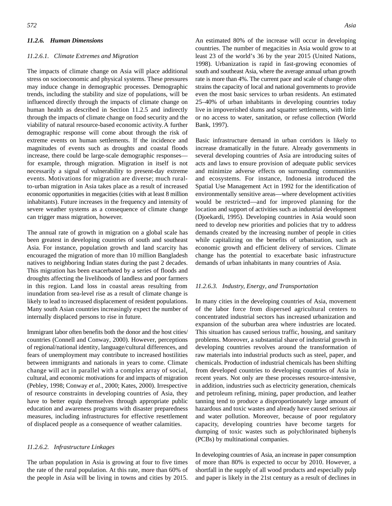#### *11.2.6. Human Dimensions*

#### *11.2.6.1. Climate Extremes and Migration*

The impacts of climate change on Asia will place additional stress on socioeconomic and physical systems. These pressures may induce change in demographic processes. Demographic trends, including the stability and size of populations, will be influenced directly through the impacts of climate change on human health as described in Section 11.2.5 and indirectly through the impacts of climate change on food security and the viability of natural resource-based economic activity.A further demographic response will come about through the risk of extreme events on human settlements. If the incidence and magnitudes of events such as droughts and coastal floods increase, there could be large-scale demographic responses for example, through migration. Migration in itself is not necessarily a signal of vulnerability to present-day extreme events. Motivations for migration are diverse; much ruralto-urban migration in Asia takes place as a result of increased economic opportunities in megacities (cities with at least 8 million inhabitants). Future increases in the frequency and intensity of severe weather systems as a consequence of climate change can trigger mass migration, however.

The annual rate of growth in migration on a global scale has been greatest in developing countries of south and southeast Asia. For instance, population growth and land scarcity has encouraged the migration of more than 10 million Bangladesh natives to neighboring Indian states during the past 2 decades. This migration has been exacerbated by a series of floods and droughts affecting the livelihoods of landless and poor farmers in this region. Land loss in coastal areas resulting from in undation from sea-level rise as a result of climate change is likely to lead to increased displacement of resident populations. Many south Asian countries increasingly expect the number of internally displaced persons to rise in future.

Immigrant labor often benefits both the donor and the host cities/ countries (Connell and Conway, 2000). However, perceptions of regional/national identity, language/cultural differences, and fears of unemployment may contribute to increased hostilities between immigrants and nationals in years to come. Climate change will act in parallel with a complex array of social, cultural, and economic motivations for and impacts of migration (Pebley, 1998; Conway *et al*., 2000; Kates, 2000). Irrespective of resource constraints in developing countries of Asia, they have to better equip themselves through appropriate public education and awareness programs with disaster preparedness measures, including infrastructures for effective resettlement of displaced people as a consequence of weather calamities.

#### *11.2.6.2. Infrastructure Linkages*

The urban population in Asia is growing at four to five times the rate of the rural population. At this rate, more than 60% of the people in Asia will be living in towns and cities by 2015. An estimated 80% of the increase will occur in developing countries. The number of megacities in Asia would grow to at least 23 of the world's 36 by the year 2015 (United Nations, 1998). Urbanization is rapid in fast-growing economies of south and southeast Asia, where the average annual urban growth rate is more than 4%. The current pace and scale of change often strains the capacity of local and national governments to provide even the most basic services to urban residents. An estimated 25–40% of urban inhabitants in developing countries today live in impoverished slums and squatter settlements, with little or no access to water, sanitation, or refuse collection (World Bank, 1997).

Basic infrastructure demand in urban corridors is likely to increase dramatically in the future. Already governments in several developing countries of Asia are introducing suites of acts and laws to ensure provision of adequate public services and minimize adverse effects on surrounding communities and ecosystems. For instance, Indonesia introduced the Spatial Use Management Act in 1992 for the identification of environmentally sensitive areas—where development activities would be restricted—and for improved planning for the location and support of activities such as industrial development (Djoekardi, 1995). Developing countries in Asia would soon need to develop new priorities and policies that try to address demands created by the increasing number of people in cities while capitalizing on the benefits of urbanization, such as economic growth and efficient delivery of services. Climate change has the potential to exacerbate basic infrastructure demands of urban inhabitants in many countries of Asia.

#### *11.2.6.3. Industry, Energy, and Transportation*

In many cities in the developing countries of Asia, movement of the labor force from dispersed agricultural centers to concentrated industrial sectors has increased urbanization and expansion of the suburban area where industries are located. This situation has caused serious traffic, housing, and sanitary problems. Moreover, a substantial share of industrial growth in developing countries revolves around the transformation of raw materials into industrial products such as steel, paper, and chemicals. Production of industrial chemicals has been shifting from developed countries to developing countries of Asia in recent years. Not only are these processes resource-intensive, in addition, industries such as electricity generation, chemicals and petroleum refining, mining, paper production, and leather tanning tend to produce a disproportionately large amount of hazardous and toxic wastes and already have caused serious air and water pollution. Moreover, because of poor regulatory capacity, developing countries have become targets for dumping of toxic wastes such as polychlorinated biphenyls (PCBs) by multinational companies.

In developing countries of Asia, an increase in paper consumption of more than 80% is expected to occur by 2010. However, a shortfall in the supply of all wood products and especially pulp and paper is likely in the 21st century as a result of declines in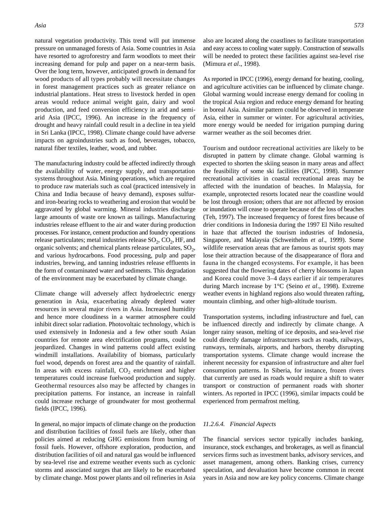natural vegetation productivity. This trend will put immense pressure on unmanaged forests of Asia. Some countries in Asia have resorted to agroforestry and farm woodlots to meet their increasing demand for pulp and paper on a near-term basis. Over the long term, however, anticipated growth in demand for wood products of all types probably will necessitate changes in forest management practices such as greater reliance on industrial plantations*.* Heat stress to livestock herded in open areas would reduce animal weight gain, dairy and wool production, and feed conversion efficiency in arid and semiarid Asia (IPCC, 1996). An increase in the frequency of drought and heavy rainfall could result in a decline in tea yield in Sri Lanka (IPCC, 1998). Climate change could have adverse impacts on agroindustries such as food, beverages, tobacco, natural fiber textiles, leather, wood, and rubber.

The manufacturing industry could be affected indirectly through the availability of water, energy supply, and transportation systems throughout Asia. Mining operations, which are required to produce raw materials such as coal (practiced intensively in China and India because of heavy demand), exposes sulfurand iron-bearing rocks to weathering and erosion that would be aggravated by global warming. Mineral industries discharge large amounts of waste ore known as tailings. Manufacturing industries release effluent to the air and water during production processes. For instance, cement production and foundry operations release particulates; metal industries release  $\text{SO}_2, \text{CO}_2, \text{HF}$ , and organic solvents; and chemical plants release particulates,  $\text{SO}_2$ , and various hydrocarbons. Food processing, pulp and paper industries, brewing, and tanning industries release effluents in the form of contaminated water and sediments. This degradation of the environment may be exacerbated by climate change.

Climate change will adversely affect hydroelectric energy generation in Asia, exacerbating already depleted water resources in several major rivers in Asia. Increased humidity and hence more cloudiness in a warmer atmosphere could inhibit direct solar radiation. Photovoltaic technology, which is used extensively in Indonesia and a few other south Asian countries for remote area electrification programs, could be jeopardized. Changes in wind patterns could affect existing windmill installations. Availability of biomass, particularly fuel wood, depends on forest area and the quantity of rainfall. In areas with excess rainfall,  $CO<sub>2</sub>$  enrichment and higher temperatures could increase fuelwood production and supply. Geothermal resources also may be affected by changes in precipitation patterns. For instance, an increase in rainfall could increase recharge of groundwater for most geothermal fields (IPCC, 1996).

In general, no major impacts of climate change on the production and distribution facilities of fossil fuels are likely, other than policies aimed at reducing GHG emissions from burning of fossil fuels. However, offshore exploration, production, and distribution facilities of oil and natural gas would be influenced by sea-level rise and extreme weather events such as cyclonic storms and associated surges that are likely to be exacerbated by climate change. Most power plants and oil refineries in Asia also are located along the coastlines to facilitate transportation and easy access to cooling water supply. Construction of seawalls will be needed to protect these facilities against sea-level rise (Mimura *et al*., 1998).

As reported in IPCC (1996), energy demand for heating, cooling, and agriculture activities can be influenced by climate change. Global warming would increase energy demand for cooling in the tropical Asia region and reduce energy demand for heating in boreal Asia. Asimilar pattern could be observed in temperate Asia, either in summer or winter. For agricultural activities, more energy would be needed for irrigation pumping during warmer weather as the soil becomes drier.

Tourism and outdoor recreational activities are likely to be disrupted in pattern by climate change. Global warming is expected to shorten the skiing season in many areas and affect the feasibility of some ski facilities (IPCC, 1998). Summer recreational activities in coastal recreational areas may be a ffected with the inundation of beaches. In Malaysia, for example, unprotected resorts located near the coastline would be lost through erosion; others that are not affected by erosion or inundation will cease to operate because of the loss of beaches (Teh, 1997). The increased frequency of forest fires because of drier conditions in Indonesia during the 1997 El Niño resulted in haze that affected the tourism industries of Indonesia, Singapore, and Malaysia (Schweithelm *et al*., 1999). Some wildlife reservation areas that are famous as tourist spots may lose their attraction because of the disappearance of flora and fauna in the changed ecosystems. For example, it has been suggested that the flowering dates of cherry blossoms in Japan and Korea could move 3–4 days earlier if air temperatures during March increase by 1°C (Seino et al., 1998). Extreme weather events in highland regions also would threaten rafting, mountain climbing, and other high-altitude tourism.

Transportation systems, including infrastructure and fuel, can be influenced directly and indirectly by climate change. A longer rainy season, melting of ice deposits, and sea-level rise could directly damage infrastructures such as roads, railways, runways, terminals, airports, and harbors, thereby disrupting transportation systems. Climate change would increase the inherent necessity for expansion of infrastructure and alter fuel consumption patterns. In Siberia, for instance, frozen rivers that currently are used as roads would require a shift to water transport or construction of permanent roads with shorter winters. As reported in IPCC (1996), similar impacts could be experienced from permafrost melting.

#### *11.2.6.4. Financial Aspects*

The financial services sector typically includes banking, in surance, stock exchanges, and brokerages, as well as financial services firms such as investment banks, advisory services, and asset management, among others. Banking crises, currency speculation, and devaluation have become common in recent years in Asia and now are key policy concerns. Climate change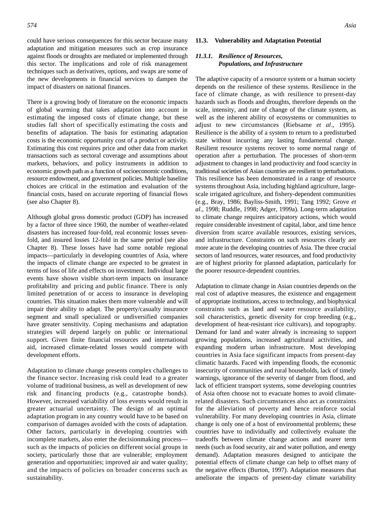could have serious consequences for this sector because many adaptation and mitigation measures such as crop insurance against floods or droughts are mediated or implemented through this sector. The implications and role of risk management techniques such as derivatives, options, and swaps are some of the new developments in financial services to dampen the impact of disasters on national finances.

There is a growing body of literature on the economic impacts of global warming that takes adaptation into account in estimating the imposed costs of climate change, but these studies fall short of specifically estimating the costs and benefits of adaptation. The basis for estimating adaptation costs is the economic opportunity cost of a product or activity. Estimating this cost requires price and other data from market transactions such as sectoral coverage and assumptions about markets, behaviors, and policy instruments in addition to economic growth path as a function of socioeconomic conditions, resource endowment, and government policies. Multiple baseline choices are critical in the estimation and evaluation of the financial costs, based on accurate reporting of financial flows (see also Chapter 8).

Although global gross domestic product (GDP) has increased by a factor of three since 1960, the number of weather-related disasters has increased four-fold, real economic losses sevenfold, and insured losses 12-fold in the same period (see also Chapter 8). These losses have had some notable regional impacts—particularly in developing countries of Asia, where the impacts of climate change are expected to be greatest in terms of loss of life and effects on investment. Individual large events have shown visible short-term impacts on insurance profitability and pricing and public finance. There is only limited penetration of or access to insurance in developing countries. This situation makes them more vulnerable and will impair their ability to adapt. The property/casualty insurance segment and small specialized or undiversified companies have greater sensitivity. Coping mechanisms and adaptation strategies will depend largely on public or international support. Given finite financial resources and international aid, increased climate-related losses would compete with development efforts.

Adaptation to climate change presents complex challenges to the finance sector. Increasing risk could lead to a greater volume of traditional business, as well as development of new risk and financing products (e.g., catastrophe bonds). However, increased variability of loss events would result in greater actuarial uncertainty. The design of an optimal adaptation program in any country would have to be based on comparison of damages avoided with the costs of adaptation. Other factors, particularly in developing countries with incomplete markets, also enter the decisionmaking process such as the impacts of policies on different social groups in society, particularly those that are vulnerable; employment generation and opportunities; improved air and water quality; and the impacts of policies on broader concerns such as sustainability.

#### **11.3. Vulnerability and Adaptation Potential**

#### *11.3.1. Resilience of Resources, Populations, and Infrastructure*

The adaptive capacity of a resource system or a human society depends on the resilience of these systems. Resilience in the face of climate change, as with resilience to present-day hazards such as floods and droughts, therefore depends on the scale, intensity, and rate of change of the climate system, as well as the inherent ability of ecosystems or communities to adjust to new circumstances (Riebsame *et al*., 1995). Resilience is the ability of a system to return to a predisturbed state without incurring any lasting fundamental change. Resilient resource systems recover to some normal range of operation after a perturbation. The processes of short-term adjustment to changes in land productivity and food scarcity in traditional societies of Asian countries are resilient to perturbations. This resilience has been demonstrated in a range of resource systems throughout Asia, including highland agriculture, largescale irrigated agriculture, and fishery-dependent communities (e.g., Bray, 1986; Bayliss-Smith, 1991; Tang 1992; Grove *et al*., 1998; Ruddle, 1998; Adger, 1999a). Long-term adaptation to climate change requires anticipatory actions, which would require considerable investment of capital, labor, and time hence diversion from scarce available resources, existing services, and infrastructure. Constraints on such resources clearly are more acute in the developing countries of Asia. The three crucial sectors of land resources, water resources, and food productivity are of highest priority for planned adaptation, particularly for the poorer resource-dependent countries.

Adaptation to climate change in Asian countries depends on the real cost of adaptive measures, the existence and engagement of appropriate institutions, access to technology, and biophysical constraints such as land and water resource availability, soil characteristics, genetic diversity for crop breeding (e.g., development of heat-resistant rice cultivars), and topography. Demand for land and water already is increasing to support growing populations, increased agricultural activities, and expanding modern urban infrastructure. Most developing countries in Asia face significant impacts from present-day climatic hazards. Faced with impending floods, the economic insecurity of communities and rural households, lack of timely warnings, ignorance of the severity of danger from flood, and lack of efficient transport systems, some developing countries of Asia often choose not to evacuate homes to avoid climaterelated disasters. Such circumstances also act as constraints for the alleviation of poverty and hence reinforce social vulnerability. For many developing countries in Asia, climate change is only one of a host of environmental problems; these countries have to individually and collectively evaluate the tradeoffs between climate change actions and nearer term needs (such as food security, air and water pollution, and energy demand). Adaptation measures designed to anticipate the potential effects of climate change can help to offset many of the negative effects (Burton, 1997). Adaptation measures that ameliorate the impacts of present-day climate variability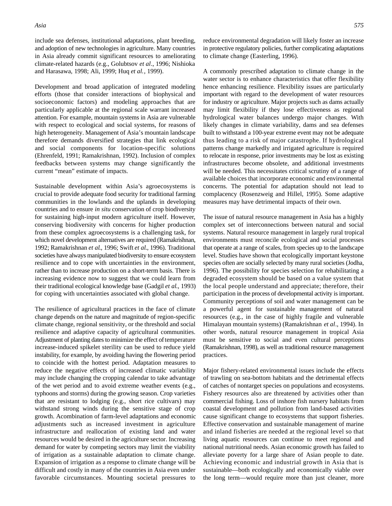include sea defenses, institutional adaptations, plant breeding, and adoption of new technologies in agriculture. Many countries in Asia already commit significant resources to ameliorating climate-related hazards (e.g., Golubtsov *et al*., 1996; Nishioka and Harasawa, 1998; Ali, 1999; Huq *et al.*, 1999).

Development and broad application of integrated modeling efforts (those that consider interactions of biophysical and socioeconomic factors) and modeling approaches that are particularly applicable at the regional scale warrant increased attention. For example, mountain systems in Asia are vulnerable with respect to ecological and social systems, for reasons of high heterogeneity. Management of Asia's mountain landscape therefore demands diversified strategies that link ecological and social components for location-specific solutions (Ehrenfeld, 1991; Ramakrishnan, 1992). Inclusion of complex feedbacks between systems may change significantly the current "mean" estimate of impacts.

Sustainable development within Asia's agroecosystems is crucial to provide adequate food security for traditional farming communities in the lowlands and the uplands in developing countries and to ensure *in situ* conservation of crop biodiversity for sustaining high-input modern agriculture itself. However, conserving biodiversity with concerns for higher production from these complex agroecosystems is a challenging task, for which novel development alternatives are required (Ramakrishnan, 1992; Ramakrishnan *et al.*, 1996; Swift *et al.*, 1996). Traditional societies have always manipulated biodiversity to ensure ecosystem resilience and to cope with uncertainties in the environment, rather than to increase production on a short-term basis. There is increasing evidence now to suggest that we could learn from their traditional ecological knowledge base (Gadgil *et al*., 1993) for coping with uncertainties associated with global change.

The resilience of agricultural practices in the face of climate change depends on the nature and magnitude of region-specific climate change, regional sensitivity, or the threshold and social resilience and adaptive capacity of agricultural communities. Adjustment of planting dates to minimize the effect of temperature increase-induced spikelet sterility can be used to reduce yield in stability, for example, by avoiding having the flowering period to coincide with the hottest period. Adaptation measures to reduce the negative effects of increased climatic variability may include changing the cropping calendar to take advantage of the wet period and to avoid extreme weather events (e.g., typhoons and storms) during the growing season. Crop varieties that are resistant to lodging (e.g., short rice cultivars) may withstand strong winds during the sensitive stage of crop growth. Acombination of farm-level adaptations and economic adjustments such as increased investment in agriculture infrastructure and reallocation of existing land and water resources would be desired in the agriculture sector. Increasing demand for water by competing sectors may limit the viability of irrigation as a sustainable adaptation to climate change. Expansion of irrigation as a response to climate change will be difficult and costly in many of the countries in Asia even under favorable circumstances. Mounting societal pressures to reduce environmental degradation will likely foster an increase in protective regulatory policies, further complicating adaptations to climate change (Easterling, 1996).

A commonly prescribed adaptation to climate change in the water sector is to enhance characteristics that offer flexibility hence enhancing resilience. Flexibility issues are particularly important with regard to the development of water resources for industry or agriculture. Major projects such as dams actually may limit flexibility if they lose effectiveness as regional hydrological water balances undergo major changes. With likely changes in climate variability, dams and sea defenses built to withstand a 100-year extreme event may not be adequate thus leading to a risk of major catastrophe. If hydrological patterns change markedly and irrigated agriculture is required to relocate in response, prior investments may be lost as existing infrastructures become obsolete, and additional investments will be needed. This necessitates critical scrutiny of a range of available choices that incorporate economic and environmental concerns. The potential for adaptation should not lead to complacency (Rosenzweig and Hillel, 1995). Some adaptive measures may have detrimental impacts of their own.

The issue of natural resource management in Asia has a highly complex set of interconnections between natural and social systems. Natural resource management in largely rural tropical environments must reconcile ecological and social processes that operate at a range of scales, from species up to the landscape level. Studies have shown that ecologically important keystone species often are socially selected by many rural societies (Jodha, 1996). The possibility for species selection for rehabilitating a degraded ecosystem should be based on a value system that the local people understand and appreciate; therefore, their participation in the process of developmental activity is important. Community perceptions of soil and water management can be a powerful agent for sustainable management of natural resources (e.g., in the case of highly fragile and vulnerable Himalayan mountain systems) (Ramakrishnan *et al*., 1994). In other words, natural resource management in tropical Asia must be sensitive to social and even cultural perceptions (Ramakrishnan, 1998), as well as traditional resource management practices.

Major fishery-related environmental issues include the effects of trawling on sea-bottom habitats and the detrimental effects of catches of nontarget species on populations and ecosystems. Fishery resources also are threatened by activities other than commercial fishing. Loss of inshore fish nursery habitats from coastal development and pollution from land-based activities cause significant change to ecosystems that support fisheries. Effective conservation and sustainable management of marine and inland fisheries are needed at the regional level so that living aquatic resources can continue to meet regional and national nutritional needs. Asian economic growth has failed to alleviate poverty for a large share of Asian people to date. Achieving economic and industrial growth in Asia that is sustainable—both ecologically and economically viable over the long term—would require more than just cleaner, more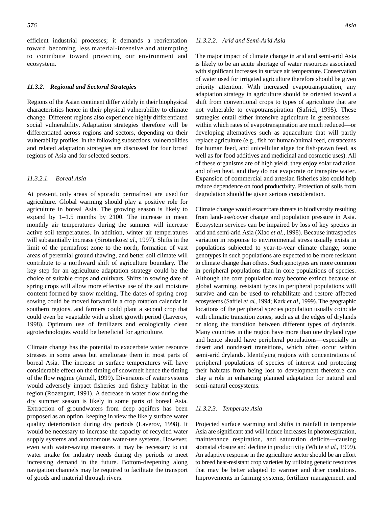e fficient industrial processes; it demands a reorientation toward becoming less material-intensive and attempting to contribute toward protecting our environment and ecosystem.

#### *11.3.2. Regional and Sectoral Strategies*

Regions of the Asian continent differ widely in their biophysical characteristics hence in their physical vulnerability to climate change. Different regions also experience highly differentiated social vulnerability. Adaptation strategies therefore will be differentiated across regions and sectors, depending on their vulnerability profiles. In the following subsections, vulnerabilities and related adaptation strategies are discussed for four broad regions of Asia and for selected sectors.

#### *11.3.2.1. Boreal Asia*

At present, only areas of sporadic permafrost are used for agriculture. Global warming should play a positive role for agriculture in boreal Asia. The growing season is likely to expand by 1–1.5 months by 2100. The increase in mean monthly air temperatures during the summer will increase active soil temperatures. In addition, winter air temperatures will substantially increase (Sirotenko *et al*., 1997). Shifts in the limit of the permafrost zone to the north, formation of vast areas of perennial ground thawing, and better soil climate will contribute to a northward shift of agriculture boundary. The key step for an agriculture adaptation strategy could be the choice of suitable crops and cultivars. Shifts in sowing date of spring crops will allow more effective use of the soil moisture content formed by snow melting. The dates of spring crop sowing could be moved forward in a crop rotation calendar in southern regions, and farmers could plant a second crop that could even be vegetable with a short growth period (Laverov, 1998). Optimum use of fertilizers and ecologically clean agrotechnologies would be beneficial for agriculture.

Climate change has the potential to exacerbate water resource stresses in some areas but ameliorate them in most parts of boreal Asia. The increase in surface temperatures will have considerable effect on the timing of snowmelt hence the timing of the flow regime (Arnell, 1999). Diversions of water systems would adversely impact fisheries and fishery habitat in the region (Rozengurt, 1991). A decrease in water flow during the dry summer season is likely in some parts of boreal Asia. Extraction of groundwaters from deep aquifers has been proposed as an option, keeping in view the likely surface water quality deterioration during dry periods (Laverov, 1998). It would be necessary to increase the capacity of recycled water supply systems and autonomous water-use systems. However, even with water-saving measures it may be necessary to cut water intake for industry needs during dry periods to meet increasing demand in the future. Bottom-deepening along navigation channels may be required to facilitate the transport of goods and material through rivers.

#### *11.3.2.2. Arid and Semi-Arid Asia*

The major impact of climate change in arid and semi-arid Asia is likely to be an acute shortage of water resources associated with significant increases in surface air temperature. Conservation of water used for irrigated agriculture therefore should be given priority attention. With increased evapotranspiration, any adaptation strategy in agriculture should be oriented toward a shift from conventional crops to types of agriculture that are not vulnerable to evapotranspiration (Safriel, 1995). These strategies entail either intensive agriculture in greenhouses within which rates of evapotranspiration are much reduced—or developing alternatives such as aquaculture that will partly replace agriculture (e.g., fish for human/animal feed, crustaceans for human feed, and unicellular algae for fish/prawn feed, as well as for food additives and medicinal and cosmetic uses). All of these organisms are of high yield; they enjoy solar radiation and often heat, and they do not evaporate or transpire water. Expansion of commercial and artesian fisheries also could help reduce dependence on food productivity. Protection of soils from degradation should be given serious consideration.

Climate change would exacerbate threats to biodiversity resulting from land-use/cover change and population pressure in Asia. Ecosystem services can be impaired by loss of key species in arid and semi-arid Asia (Xiao *et al.,*1998). Because intraspecies variation in response to environmental stress usually exists in populations subjected to year-to-year climate change, some genotypes in such populations are expected to be more resistant to climate change than others. Such genotypes are more common in peripheral populations than in core populations of species. Although the core population may become extinct because of global warming, resistant types in peripheral populations will survive and can be used to rehabilitate and restore affected ecosystems (Safriel *et al*., 1994; Kark *et al*., 1999). The geographic locations of the peripheral species population usually coincide with climatic transition zones, such as at the edges of drylands or along the transition between different types of drylands. Many countries in the region have more than one dryland type and hence should have peripheral populations—especially in desert and nondesert transitions, which often occur within semi-arid drylands. Identifying regions with concentrations of peripheral populations of species of interest and protecting their habitats from being lost to development therefore can play a role in enhancing planned adaptation for natural and semi-natural ecosystems.

#### *11.3.2.3. Temperate Asia*

Projected surface warming and shifts in rainfall in temperate Asia are significant and will induce increases in photorespiration, maintenance respiration, and saturation deficits—causing stomatal closure and decline in productivity (White *et al*., 1999). An adaptive response in the agriculture sector should be an effort to breed heat-resistant crop varieties by utilizing genetic resources that may be better adapted to warmer and drier conditions. Improvements in farming systems, fertilizer management, and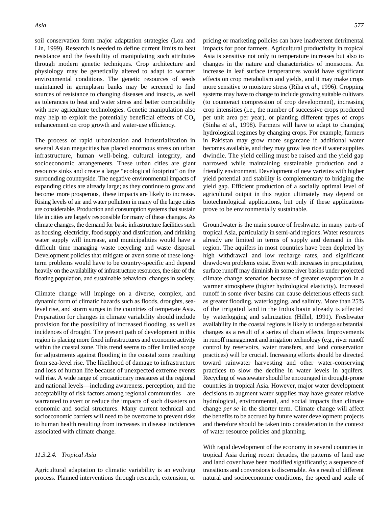#### *Asia 577*

soil conservation form major adaptation strategies (Lou and Lin, 1999). Research is needed to define current limits to heat resistance and the feasibility of manipulating such attributes through modern genetic techniques. Crop architecture and physiology may be genetically altered to adapt to warmer environmental conditions. The genetic resources of seeds maintained in germplasm banks may be screened to find sources of resistance to changing diseases and insects, as well as tolerances to heat and water stress and better compatibility with new agriculture technologies. Genetic manipulation also may help to exploit the potentially beneficial effects of  $CO<sub>2</sub>$ enhancement on crop growth and water-use efficiency.

The process of rapid urbanization and industrialization in several Asian megacities has placed enormous stress on urban infrastructure, human well-being, cultural integrity, and socioeconomic arrangements. These urban cities are giant resource sinks and create a large "ecological footprint" on the surrounding countryside. The negative environmental impacts of expanding cities are already large; as they continue to grow and become more prosperous, these impacts are likely to increase. Rising levels of air and water pollution in many of the large cities are considerable. Production and consumption systems that sustain life in cities are largely responsible for many of these changes. As climate changes, the demand for basic infrastructure facilities such as housing, electricity, food supply and distribution, and drinking water supply will increase, and municipalities would have a difficult time managing waste recycling and waste disposal. Development policies that mitigate or avert some of these longterm problems would have to be country-specific and depend he avily on the availability of infrastructure resources, the size of the floating population, and sustainable behavioral changes in society.

Climate change will impinge on a diverse, complex, and dynamic form of climatic hazards such as floods, droughts, sealevel rise, and storm surges in the countries of temperate Asia. Preparation for changes in climate variability should include provision for the possibility of increased flooding, as well as incidences of drought. The present path of development in this region is placing more fixed infrastructures and economic activity within the coastal zone. This trend seems to offer limited scope for adjustments against flooding in the coastal zone resulting from sea-level rise. The likelihood of damage to infrastructure and loss of human life because of unexpected extreme events will rise. A wide range of precautionary measures at the regional and national levels—including awareness, perception, and the acceptability of risk factors among regional communities—are warranted to avert or reduce the impacts of such disasters on economic and social structures. Many current technical and socioeconomic barriers will need to be overcome to prevent risks to human health resulting from increases in disease incidences associated with climate change.

#### *11.3.2.4. Tropical Asia*

Agricultural adaptation to climatic variability is an evolving process. Planned interventions through research, extension, or

pricing or marketing policies can have inadvertent detrimental impacts for poor farmers. Agricultural productivity in tropical Asia is sensitive not only to temperature increases but also to changes in the nature and characteristics of monsoons. An increase in leaf surface temperatures would have significant effects on crop metabolism and yields, and it may make crops more sensitive to moisture stress (Riha *et al*., 1996). Cropping systems may have to change to include growing suitable cultivars (to counteract compression of crop development), increasing crop intensities (i.e., the number of successive crops produced per unit area per year), or planting different types of crops (Sinha *et al*., 1998). Farmers will have to adapt to changing hydrological regimes by changing crops. For example, farmers in Pakistan may grow more sugarcane if additional water becomes available, and they may grow less rice if water supplies dwindle. The yield ceiling must be raised and the yield gap narrowed while maintaining sustainable production and a friendly environment. Development of new varieties with higher yield potential and stability is complementary to bridging the yield gap. Efficient production of a socially optimal level of agricultural output in this region ultimately may depend on biotechnological applications, but only if these applications prove to be environmentally sustainable.

Groundwater is the main source of freshwater in many parts of tropical Asia, particularly in semi-arid regions. Water resources already are limited in terms of supply and demand in this region. The aquifers in most countries have been depleted by high withdrawal and low recharge rates, and significant drawdown problems exist. Even with increases in precipitation, surface runoff may diminish in some river basins under projected climate change scenarios because of greater evaporation in a warmer atmosphere (higher hydrological elasticity). Increased runoff in some river basins can cause deleterious effects such as greater flooding, waterlogging, and salinity. More than 25% of the irrigated land in the Indus basin already is affected by waterlogging and salinization (Hillel, 1991). Freshwater availability in the coastal regions is likely to undergo substantial changes as a result of a series of chain effects. Improvements in runoff management and irrigation technology (e.g., river runoff control by reservoirs, water transfers, and land conservation practices) will be crucial. Increasing efforts should be directed toward rainwater harvesting and other water-conserving practices to slow the decline in water levels in aquifers. Recycling of wastewater should be encouraged in drought-prone countries in tropical Asia. However, major water development decisions to augment water supplies may have greater relative hydrological, environmental, and social impacts than climate change *per se* in the shorter term. Climate change will affect the benefits to be accrued by future water development projects and therefore should be taken into consideration in the context of water resource policies and planning.

With rapid development of the economy in several countries in tropical Asia during recent decades, the patterns of land use and land cover have been modified significantly; a sequence of transitions and conversions is discernable. As a result of different natural and socioeconomic conditions, the speed and scale of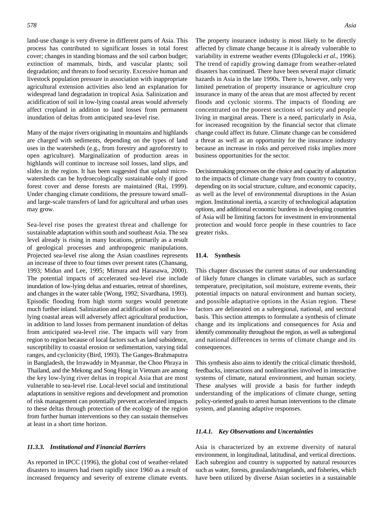land-use change is very diverse in different parts of Asia. This process has contributed to significant losses in total forest cover; changes in standing biomass and the soil carbon budget; extinction of mammals, birds, and vascular plants; soil degradation; and threats to food security. Excessive human and livestock population pressure in association with inappropriate agricultural extension activities also lend an explanation for widespread land degradation in tropical Asia. Salinization and acidification of soil in low-lying coastal areas would adversely a ffect cropland in addition to land losses from permanent in undation of deltas from anticipated sea-level rise.

Many of the major rivers originating in mountains and highlands are charged with sediments, depending on the types of land uses in the watersheds (e.g., from forestry and agroforestry to open agriculture). Marginalization of production areas in highlands will continue to increase soil losses, land slips, and slides in the region. It has been suggested that upland microwatersheds can be hydroecologically sustainable only if good forest cover and dense forests are maintained (Rai, 1999). Under changing climate conditions, the pressure toward smalland large-scale transfers of land for agricultural and urban uses may grow.

Sea-level rise poses the greatest threat and challenge for sustainable adaptation within south and southeast Asia. The sea level already is rising in many locations, primarily as a result of geological processes and anthropogenic manipulations. Projected sea-level rise along the Asian coastlines represents an increase of three to four times over present rates (Chansang, 1993; Midun and Lee, 1995; Mimura and Harasawa, 2000). The potential impacts of accelerated sea-level rise include inundation of low-lying deltas and estuaries, retreat of shorelines, and changes in the water table (Wong, 1992; Sivardhana, 1993). Episodic flooding from high storm surges would penetrate much further inland. Salinization and acidification of soil in lowlying coastal areas will adversely affect agricultural production, in addition to land losses from permanent inundation of deltas from anticipated sea-level rise. The impacts will vary from region to region because of local factors such as land subsidence, susceptibility to coastal erosion or sedimentation, varying tidal ranges, and cyclonicity (Bird, 1993). The Ganges-Brahmaputra in Bangladesh, the Irrawaddy in Myanmar, the Choo Phraya in Thailand, and the Mekong and Song Hong in Vietnam are among the key low-lying river deltas in tropical Asia that are most vulnerable to sea-level rise. Local-level social and institutional adaptations in sensitive regions and development and promotion of risk management can potentially prevent accelerated impacts to these deltas through protection of the ecology of the region from further human interventions so they can sustain themselves at least in a short time horizon.

#### *11.3.3. Institutional and Financial Barriers*

As reported in IPCC (1996), the global cost of weather-related disasters to insurers had risen rapidly since 1960 as a result of increased frequency and severity of extreme climate events.

The property insurance industry is most likely to be directly affected by climate change because it is already vulnerable to variability in extreme weather events (Dlugolecki *et al*., 1996). The trend of rapidly growing damage from weather-related disasters has continued. There have been several major climatic hazards in Asia in the late 1990s. There is, however, only very limited penetration of property insurance or agriculture crop insurance in many of the areas that are most affected by recent floods and cyclonic storms. The impacts of flooding are concentrated on the poorest sections of society and people living in marginal areas. There is a need, particularly in Asia, for increased recognition by the financial sector that climate change could affect its future. Climate change can be considered a threat as well as an opportunity for the insurance industry because an increase in risks and perceived risks implies more business opportunities for the sector.

Decisionmaking processes on the choice and capacity of adaptation to the impacts of climate change vary from country to country, depending on its social structure, culture, and economic capacity, as well as the level of environmental disruptions in the Asian region. Institutional inertia, a scarcity of technological adaptation options, and additional economic burdens in developing countries of Asia will be limiting factors for investment in environmental protection and would force people in these countries to face greater risks.

#### **11.4. Synthesis**

This chapter discusses the current status of our understanding of likely future changes in climate variables, such as surface temperature, precipitation, soil moisture, extreme events, their potential impacts on natural environment and human society, and possible adaptative options in the Asian region. These factors are delineated on a subregional, national, and sectoral basis. This section attempts to formulate a synthesis of climate change and its implications and consequences for Asia and identify commonality throughout the region, as well as subregional and national differences in terms of climate change and its consequences.

This synthesis also aims to identify the critical climatic threshold, feedbacks, interactions and nonlinearities involved in interactive systems of climate, natural environment, and human society. These analyses will provide a basis for further indepth understanding of the implications of climate change, setting policy-oriented goals to arrest human interventions to the climate system, and planning adaptive responses.

#### *11.4.1. Key Observations and Uncertainties*

Asia is characterized by an extreme diversity of natural environment, in longitudinal, latitudinal, and vertical directions. Each subregion and country is supported by natural resources such as water, forests, grasslands/rangelands, and fisheries, which have been utilized by diverse Asian societies in a sustainable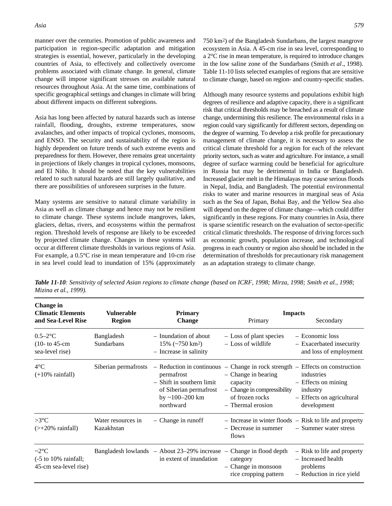manner over the centuries. Promotion of public awareness and participation in region-specific adaptation and mitigation strategies is essential, however, particularly in the developing countries of Asia, to effectively and collectively overcome problems associated with climate change. In general, climate change will impose significant stresses on available natural resources throughout Asia. At the same time, combinations of specific geographical settings and changes in climate will bring about different impacts on different subregions.

Asia has long been affected by natural hazards such as intense rainfall, flooding, droughts, extreme temperatures, snow avalanches, and other impacts of tropical cyclones, monsoons, and ENSO. The security and sustainability of the region is highly dependent on future trends of such extreme events and preparedness for them. However, there remains great uncertainty in projections of likely changes in tropical cyclones, monsoons, and El Niño. It should be noted that the key vulnerabilities related to such natural hazards are still largely qualitative, and there are possibilities of unforeseen surprises in the future.

Many systems are sensitive to natural climate variability in Asia as well as climate change and hence may not be resilient to climate change. These systems include mangroves, lakes, glaciers, deltas, rivers, and ecosystems within the permafrost region. Threshold levels of response are likely to be exceeded by projected climate change. Changes in these systems will occur at different climate thresholds in various regions of Asia. For example, a 0.5°C rise in mean temperature and 10-cm rise in sea level could lead to inundation of 15% (approximately

750 km2) of the Bangladesh Sundarbans, the largest mangrove ecosystem in Asia. A 45-cm rise in sea level, corresponding to a 2°C rise in mean temperature, is required to introduce changes in the low saline zone of the Sundarbans (Smith *et al*., 1998). Table 11-10 lists selected examples of regions that are sensitive to climate change, based on region- and country-specific studies.

Although many resource systems and populations exhibit high degrees of resilience and adaptive capacity, there is a significant risk that critical thresholds may be breached as a result of climate change, undermining this resilience. The environmental risks in a region could vary significantly for different sectors, depending on the degree of warming. To develop a risk profile for precautionary management of climate change, it is necessary to assess the critical climate threshold for a region for each of the relevant priority sectors, such as water and agriculture. For instance, a small degree of surface warming could be beneficial for agriculture in Russia but may be detrimental in India or Bangladesh. Increased glacier melt in the Himalayas may cause serious floods in Nepal, India, and Bangladesh. The potential environmental risks to water and marine resources in marginal seas of Asia such as the Sea of Japan, Bohai Bay, and the Yellow Sea also will depend on the degree of climate change—which could differ significantly in these regions. For many countries in Asia, there is sparse scientific research on the evaluation of sector-specific critical climatic thresholds. The response of driving forces such as economic growth, population increase, and technological progress in each country or region also should be included in the determination of thresholds for precautionary risk management as an adaptation strategy to climate change.

*Table 11-10: Sensitivity of selected Asian regions to climate change (based on ICRF, 1998; Mirza, 1998; Smith et al., 1998; Mizina et al., 1999).*

| Change in<br><b>Climatic Elements</b><br>and Sea-Level Rise                     | <b>Vulnerable</b><br><b>Region</b> | <b>Primary</b><br><b>Change</b>                                                                        | Primary                                                                                                                                                                                       | <b>Impacts</b><br>Secondary                                                                |
|---------------------------------------------------------------------------------|------------------------------------|--------------------------------------------------------------------------------------------------------|-----------------------------------------------------------------------------------------------------------------------------------------------------------------------------------------------|--------------------------------------------------------------------------------------------|
| $0.5-2$ °C<br>$(10 - to 45-cm)$<br>sea-level rise)                              | Bangladesh<br><b>Sundarbans</b>    | - Inundation of about<br>$15\%$ (~750 km <sup>2</sup> )<br>- Increase in salinity                      | - Loss of plant species<br>- Loss of wildlife                                                                                                                                                 | - Economic loss<br>- Exacerbated insecurity<br>and loss of employment                      |
| $4^{\circ}$ C<br>$(+10\% \text{ rainfall})$                                     | Siberian permafrosts               | permafrost<br>- Shift in southern limit<br>of Siberian permafrost<br>by $\sim$ 100–200 km<br>northward | $-$ Reduction in continuous $-$ Change in rock strength $-$ Effects on construction<br>- Change in bearing<br>capacity<br>- Change in compressibility<br>of frozen rocks<br>- Thermal erosion | industries<br>- Effects on mining<br>industry<br>- Effects on agricultural<br>development  |
| $>3^{\circ}C$<br>$(\geq +20\%$ rainfall)                                        | Water resources in<br>Kazakhstan   | - Change in runoff                                                                                     | - Decrease in summer<br>flows                                                                                                                                                                 | $-$ Increase in winter floods $-$ Risk to life and property<br>- Summer water stress       |
| $\sim$ 2°C<br>$(-5 \text{ to } 10\% \text{ rainfall})$<br>45-cm sea-level rise) |                                    | Bangladesh lowlands $-$ About 23–29% increase $-$ Change in flood depth<br>in extent of inundation     | category<br>- Change in monsoon<br>rice cropping pattern                                                                                                                                      | - Risk to life and property<br>- Increased health<br>problems<br>- Reduction in rice yield |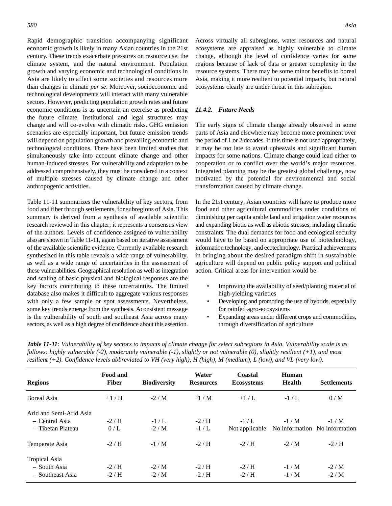Rapid demographic transition accompanying significant economic growth is likely in many Asian countries in the 21st century. These trends exacerbate pressures on resource use, the climate system, and the natural environment. Population growth and varying economic and technological conditions in Asia are likely to affect some societies and resources more than changes in climate *per se*. Moreover, socioeconomic and technological developments will interact with many vulnerable sectors. However, predicting population growth rates and future economic conditions is as uncertain an exercise as predicting the future climate. Institutional and legal structures may change and will co-evolve with climatic risks. GHG emission scenarios are especially important, but future emission trends will depend on population growth and prevailing economic and technological conditions. There have been limited studies that simultaneously take into account climate change and other human-induced stresses. For vulnerability and adaptation to be addressed comprehensively, they must be considered in a context of multiple stresses caused by climate change and other anthropogenic activities.

Table 11-11 summarizes the vulnerability of key sectors, from food and fiber through settlements, for subregions of Asia. This summary is derived from a synthesis of available scientific research reviewed in this chapter; it represents a consensus view of the authors. Levels of confidence assigned to vulnerability also are shown in Table 11-11, again based on iterative assessment of the available scientific evidence. Currently available research synthesized in this table reveals a wide range of vulnerability, as well as a wide range of uncertainties in the assessment of these vulnerabilities. Geographical resolution as well as integration and scaling of basic physical and biological responses are the key factors contributing to these uncertainties. The limited database also makes it difficult to aggregate various responses with only a few sample or spot assessments. Nevertheless, some key trends emerge from the synthesis. Aconsistent message is the vulnerability of south and southeast Asia across many sectors, as well as a high degree of confidence about this assertion. Across virtually all subregions, water resources and natural ecosystems are appraised as highly vulnerable to climate change, although the level of confidence varies for some regions because of lack of data or greater complexity in the resource systems. There may be some minor benefits to boreal Asia, making it more resilient to potential impacts, but natural ecosystems clearly are under threat in this subregion.

#### *11.4.2. Future Needs*

The early signs of climate change already observed in some parts of Asia and elsewhere may become more prominent over the period of 1 or 2 decades. If this time is not used appropriately, it may be too late to avoid upheavals and significant human impacts for some nations. Climate change could lead either to cooperation or to conflict over the world's major resources. Integrated planning may be the greatest global challenge, now motivated by the potential for environmental and social transformation caused by climate change.

In the 21st century, Asian countries will have to produce more food and other agricultural commodities under conditions of diminishing per capita arable land and irrigation water resources and expanding biotic as well as abiotic stresses, including climatic constraints. The dual demands for food and ecological security would have to be based on appropriate use of biotechnology, information technology, and ecotechnology. Practical achievements in bringing about the desired paradigm shift in sustainable agriculture will depend on public policy support and political action. Critical areas for intervention would be:

- Improving the availability of seed/planting material of high-yielding varieties
- Developing and promoting the use of hybrids, especially for rainfed agro-ecosystems
- Expanding areas under different crops and commodities, through diversification of agriculture

| <b>Regions</b>          | Food and<br><b>Fiber</b> | <b>Biodiversity</b> | Water<br><b>Resources</b> | Coastal<br><b>Ecosystems</b> | Human<br><b>Health</b> | <b>Settlements</b>            |
|-------------------------|--------------------------|---------------------|---------------------------|------------------------------|------------------------|-------------------------------|
| Boreal Asia             | $+1/H$                   | $-2/M$              | $+1/M$                    | $+1/L$                       | $-1/L$                 | 0/M                           |
| Arid and Semi-Arid Asia |                          |                     |                           |                              |                        |                               |
| - Central Asia          | $-2/H$                   | $-1/L$              | $-2/H$                    | $-1/L$                       | $-1/M$                 | $-1/M$                        |
| - Tibetan Plateau       | 0/L                      | $-2/M$              | $-1/L$                    | Not applicable               |                        | No information No information |
| Temperate Asia          | $-2/H$                   | $-1/M$              | $-2/H$                    | $-2/H$                       | $-2/M$                 | $-2/H$                        |
| <b>Tropical Asia</b>    |                          |                     |                           |                              |                        |                               |
| $-$ South Asia          | $-2/H$                   | $-2/M$              | $-2/H$                    | $-2/H$                       | $-1/M$                 | $-2/M$                        |
| - Southeast Asia        | $-2/H$                   | $-2/M$              | $-2/H$                    | $-2/H$                       | $-1/M$                 | $-2/M$                        |

*Table 11-11: Vulnerability of key sectors to impacts of climate change for select subregions in Asia. Vulnerability scale is as follows: highly vulnerable (-2), moderately vulnerable (-1), slightly or not vulnerable (0), slightly resilient (+1), and most resilient (+2). Confidence levels abbreviated to VH (very high), H (high), M (medium), L (low), and VL (very low).*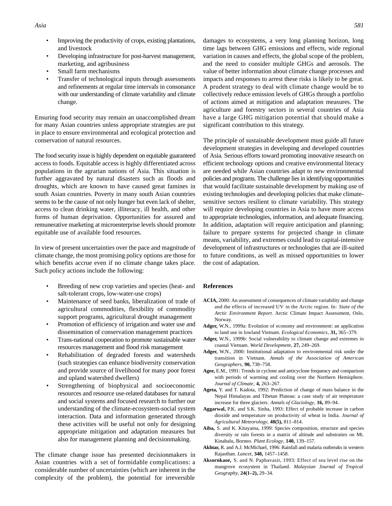- Improving the productivity of crops, existing plantations, and livestock
- Developing infrastructure for post-harvest management, marketing, and agribusiness
- Small farm mechanisms
- Transfer of technological inputs through assessments and refinements at regular time intervals in consonance with our understanding of climate variability and climate change.

Ensuring food security may remain an unaccomplished dream for many Asian countries unless appropriate strategies are put in place to ensure environmental and ecological protection and conservation of natural resources.

The food security issue is highly dependent on equitable guaranteed access to foods. Equitable access is highly differentiated across populations in the agrarian nations of Asia. This situation is further aggravated by natural disasters such as floods and droughts, which are known to have caused great famines in south Asian countries. Poverty in many south Asian countries seems to be the cause of not only hunger but even lack of shelter, access to clean drinking water, illiteracy, ill health, and other forms of human deprivation. Opportunities for assured and remunerative marketing at microenterprise levels should promote equitable use of available food resources.

In view of present uncertainties over the pace and magnitude of climate change, the most promising policy options are those for which benefits accrue even if no climate change takes place. Such policy actions include the following:

- Breeding of new crop varieties and species (heat- and salt-tolerant crops, low-water-use crops)
- Maintenance of seed banks, liberalization of trade of agricultural commodities, flexibility of commodity support programs, agricultural drought management
- Promotion of efficiency of irrigation and water use and dissemination of conservation management practices
- Trans-national cooperation to promote sustainable water resources management and flood risk management
- Rehabilitation of degraded forests and watersheds (such strategies can enhance biodiversity conservation and provide source of livelihood for many poor forest and upland watershed dwellers)
- Strengthening of biophysical and socioeconomic resources and resource use-related databases for natural and social systems and focused research to further our understanding of the climate-ecosystem-social system interaction. Data and information generated through these activities will be useful not only for designing appropriate mitigation and adaptation measures but also for management planning and decisionmaking.

The climate change issue has presented decisionmakers in Asian countries with a set of formidable complications: a considerable number of uncertainties (which are inherent in the complexity of the problem), the potential for irreversible damages to ecosystems, a very long planning horizon, long time lags between GHG emissions and effects, wide regional variation in causes and effects, the global scope of the problem, and the need to consider multiple GHGs and aerosols. The value of better information about climate change processes and impacts and responses to arrest these risks is likely to be great. A prudent strategy to deal with climate change would be to collectively reduce emission levels of GHGs through a portfolio of actions aimed at mitigation and adaptation measures. The agriculture and forestry sectors in several countries of Asia have a large GHG mitigation potential that should make a significant contribution to this strategy.

The principle of sustainable development must guide all future development strategies in developing and developed countries of Asia. Serious efforts toward promoting innovative research on e fficient technology options and creative environmental literacy are needed while Asian countries adapt to new environmental policies and programs. The challenge lies in identifying opportunities that would facilitate sustainable development by making use of existing technologies and developing policies that make climatesensitive sectors resilient to climate variability. This strategy will require developing countries in Asia to have more access to appropriate technologies, information, and adequate financing. In addition, adaptation will require anticipation and planning; failure to prepare systems for projected change in climate means, variability, and extremes could lead to capital-intensive development of infrastructures or technologies that are ill-suited to future conditions, as well as missed opportunities to lower the cost of adaptation.

#### **References**

- **ACIA,** 2000: An assessment of consequences of climate variability and change and the effects of increased UV in the Arctic region. In: *State of the A rctic Environment Report*. Arctic Climate Impact Assessment, Oslo, Norway.
- **Adger,** W.N., 1999a: Evolution of economy and environment: an application to land use in lowland Vietnam. *Ecological Economics*, **31,** 365–379.
- **Adger,** W.N., 1999b: Social vulnerability to climate change and extremes in coastal Vietnam. *World Development*, **27,** 249–269.
- **Adger,** W.N., 2000: Institutional adaptation to environmental risk under the transition in Vietnam. Annals of the Association of American *Geographers*, **90,** 738–758.
- Agee, E.M., 1991: Trends in cyclone and anticyclone frequency and comparison with periods of warming and cooling over the Northern Hemisphere. *Journal of Climate*, **4,** 263–267.
- **Ageta,** Y. and T. Kadota, 1992: Prediction of change of mass balance in the Nepal Himalayas and Tibetan Plateau: a case study of air temperature increase for three glaciers. *Annals of Glaciology*, **16,** 89–94.
- **Aggarwal,** P.K. and S.K. Sinha, 1993: Effect of probable increase in carbon dioxide and temperature on productivity of wheat in India. *Journal of Agricultural Meteorology*, **48(5),** 811–814.
- **Aiba,** S. and K. Kitayama, 1999: Species composition, structure and species diversity or rain forests in a matrix of altitude and substraites on Mt. Kinabalu, Borneo. *Plant Ecology*, **140,** 139–157.
- Akhtar, R. and A.J. McMichael, 1996: Rainfall and malaria outbreaks in western Rajasthan. *Lancet*, **348,** 1457–1458.
- Aksornkaoe, S. and N. Paphavasit, 1993: Effect of sea level rise on the mangrove ecosystem in Thailand. *Malaysian Journal of Tropical Geography*, **24(1–2),** 29–34.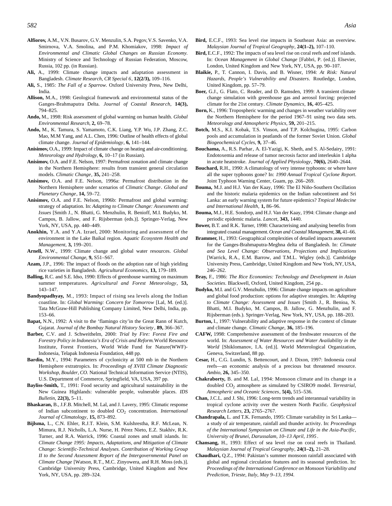- **Alfiorov,** A.M., V.N. Busarov, G.V. Menzulin, S.A. Pegov,V.S. Savenko, V.A. Smirnova, V.A. Smolina, and P.M. Khomiakov, 1998: *Impact of Environmental and Climatic Global Changes on Russian Economy*. Ministry of Science and Technology of Russian Federation, Moscow, Russia, 102 pp. (in Russian).
- Ali, A., 1999: Climate change impacts and adaptation assessment in Bangladesh. *Climate Research, CR Special 6*, **12(2/3),** 109–116.
- **Ali,** S., 1985: *The Fall of a Sparrow*. Oxford University Press, New Delhi, India.
- **Allison,** M.A., 1998: Geological framework and environmental status of the Ganges-Brahmaputra Delta. *Journal of Coastal Research*, 14(3), 794–825.
- **Ando,** M., 1998: Risk assessment of global warming on human health. *Global Environmental Research*, **2,** 69–78.
- **Ando,** M., K. Tamura, S. Yamamoto, C.K. Liang, Y.P. Wu, J.P. Zhang, Z.C. Mao, M.M Yang, and A.L. Chen, 1996: Outline of health effects of global climate change. *Journal of Epidemiology*, **6,** 141–144.
- **Anisimov, O.A., 1999: Impact of climate change on heating and air-conditioning.** *Meteorology and Hydrology*, **6,** 10–17 (in Russian).
- Anisimov, O.A. and F.E. Nelson, 1997: Permafrost zonation and climate change in the Northern Hemisphere: results from transient general circulation models. *Climatic Change*, **35,** 241–258.
- **Anisimov,** O.A. and F.E. Nelson, 1996a: Permafrost distribution in the Northern Hemisphere under scenarios of *Climatic Change*. *Global and Planetary Change*, **14,** 59–72.
- **Anisimov,** O.A. and F.E. Nelson, 1996b: Permafrost and global warming: strategy of adaptation. In: *Adapting to Climate Change: Assessments and Issues* [Smith J., N. Bhatti, G. Menzhulin, R. Benioff, M.I. Budyko, M. Campos, B. Jallow, and F. Rijsberman (eds.)]. Springer-Verlag, New York, NY, USA, pp. 440–449.
- Anokhin, Y.A. and Y.A. Izrael, 2000: Monitoring and assessment of the environment in the Lake Baikal region. *Aquatic Ecosystem Health and Management*, **3,** 199–201.
- **Arnell,** N.W., 1999: Climate change and global water resources. *Global Environmental Change*, **9,** S51–S67.
- **Azam,** J.P., 1996: The impact of floods on the adoption rate of high yielding rice varieties in Bangladesh. *Agricultural Economics*, **13,** 179–189.
- **Balling, R.C.** and S.E. Idso, 1990: Effects of greenhouse warming on maximum summer temperatures. *Agricultural and Forest Meteorology*, 53, 143–147.
- Bandyopadhyay, M., 1993: Impact of rising sea levels along the Indian coastline. In: *Global Warming: Concern for Tomorrow* [Lal, M. (ed.)]. Tata McGraw-Hill Publishing Company Limited, New Delhi, India, pp. 153–66.
- **Bapat,** N.N., 1992: A visit to the 'flamingo city'in the Great Rann of Kutch, Gujarat. *Journal of the Bombay Natural History Society* , **89,** 366–367.
- **Barber,** C.V. and J. Schweithelm, 2000: *Trial by Fire: Forest Fire and Forestry Policy in Indonesia's Era of Crisis and Reform*.World Resource Institute, Forest Frontiers, World Wide Fund for Nature(WWF)- Indonesia, Telapak Indonesia Foundation, 448 pp.
- **Bardin,** M.Y., 1994: Parameters of cyclonicity at 500 mb in the Northern Hemisphere extratropics. In: *Proceedings of XVIII Climate Diagnostic Workshop, Boulder, CO*. National Technical Information Service (NTIS), U.S. Department of Commerce, Springfield, VA, USA, 397 pp.
- **Bayliss-Smith,** T., 1991: Food security and agricultural sustainability in the New Guinea Highlands: vulnerable people, vulnerable places. *IDS Bulletin*, **22(3),** 5–11.
- Bhaskaran, B., J.F.B. Mitchell, M. Lal, and J. Lavery, 1995: Climatic response of Indian subcontinent to doubled CO<sub>2</sub> concentration. *International Journal of Climatology*, **15,** 873–892.
- **Bijlsma,** L., C.N. Ehler, R.J.T. Klein, S.M. Kulshrestha, R.F. McLean, N. Mimura, R.J. Nicholls, L.A. Nurse, H. Pérez Nieto, E.Z. Stakhiv, R.K. Turner, and R.A. Warrick, 1996: Coastal zones and small islands. In: *Climate Change 1995: Impacts, Adaptations, and Mitigation of Climate Change: Scientific-Technical Analyses. Contribution of Working Group II to the Second Assessment Report of the Intergovernmental Panel on Climate Change* [Watson, R.T., M.C. Zinyowera, and R.H. Moss (eds.)]. Cambridge University Press, Cambridge, United Kingdom and New York, NY, USA, pp. 289–324.
- **Bird,** E.C.F., 1993: Sea level rise impacts in Southeast Asia: an overview. *Malaysian Journal of Tropical Geography*, **24(1–2),** 107–110.
- **Bird,** E.C.F., 1992: The impacts of sea level rise on coral reefs and reef islands. In: *Ocean Management in Global Change* [Fabbri, P. (ed.)]. Elsevier, London, United Kingdom and New York, NY, USA, pp. 90–107.
- **Blaikie,** P., T. Cannon, I. Davis, and B. Wisner, 1994: *At Risk: Natural Hazards, People's Vulnerability and Disasters*. Routledge, London, United Kingdom, pp. 57–79.
- **Boer,** G.J., G. Flato, C. Reader, and D. Ramsden, 1999: A transient climate change simulation with greenhouse gas and aerosol forcing: projected climate for the 21st century. *Climate Dynamics*, **16,** 405–425.
- **Born,** K., 1996: Tropospheric warming and changes in weather variability over the Northern Hemisphere for the period 1967–91 using two data sets. *Meteorology and Atmospheric Physics*, **59,** 201–215.
- **Botch,** M.S., K.I. Kobak, T.S. Vinson, and T.P. Kolchugina, 1995: Carbon pools and accumulation in peatlands of the former Soviet Union. *Global Biogeochemical Cycles*, **9,** 37–46.
- **Bouchama,** A., R.S. Parhar, A. El-Yazigi, K. Sheth, and S. Al-Sedairy, 1991: Endotoxemia and release of tumor necrosis factor and interleukin 1 alpha in acute heatstroke. *Journal of Applied Physiology*, **70(6),** 2640–2644.
- **Bouchard,** R.H., 1990: A climatology of very intense typhoons: or where have all the super typhoons gone? In: *1990 Annual Tropical Cyclone Report*. Joint Typhoon Warning Center, Guam, pp. 266–269.
- **Bouma,** M.J. and H.J. Van der Kaay, 1996: The El Niño-Southern Oscillation and the historic malaria epidemics on the Indian subcontinent and Sri Lanka: an early warning system for future epidemics? *Tropical Medecine and International Health,* **1,** 86–96.
- **Bouma,** M.J., H.E. Sondorp, and H.J. Van der Kaay, 1994: Climate change and periodic epidemic malaria. *Lancet*, **343,** 1440.
- **Bower,** B.T. and R.K. Turner, 1998: Characterising and analysing benefits from integrated coastal management. Ocean and Coastal Management, 38, 41-66.
- Brammer, H., 1993: Geographical complexities of detailed impacts assessment for the Ganges-Brahmaputra-Meghna delta of Bangladesh. In: *Climate and Sea Level Change: Observations, Projections and Implications* [Warrick, R.A., E.M. Barrow, and T.M.L. Wigley (eds.)]. Cambridge University Press, Cambridge, United Kingdom and New York, NY, USA, 246–262.
- **Bray,** F., 1986: *The Rice Economies: Technology and Development in Asian Societies*. Blackwell, Oxford, United Kingdom, 254 pp..
- **Budyko, M.I.** and G.V. Menzhulin, 1996: Climate change impacts on agriculture and global food production: options for adaptive strategies. In: *Adapting to Climate Change: Assessment and Issues* [Smith J., R. Benioa, N. Bhatti, M.I. Budyko, M. Campos, B. Jallow, G. Menzhulin, and F. Rijsberman (eds.). Springer-Verlag, New York, NY, USA, pp. 188–203.
- **Burton,** I., 1997: Vulnerability and adaptive response in the context of climate and climate change. *Climatic Change*, **36,** 185–196.
- **CAFW,** 1998: Comprehensive assessment of the freshwater resources of the world. In: *Assessment of Water Resources and Water Availability in the World* [Shiklomanov, I.A. (ed.)]. World Meterological Organization, Geneva, Switzerland, 88 pp.
- **Cesar,** H., C.G. Lundin, S. Bettencourt, and J. Dixon, 1997: Indonesia coral reefs—an economic analysis of a precious but threatened resource. *Ambio*, **26,** 345–350.
- Chakraborty, B. and M. Lal, 1994: Monsoon climate and its change in a doubled CO<sub>2</sub> atmosphere as simulated by CSIRO9 model. *Terrestrial*, *Atmospheric and Oceanic Sciences*, **5(4),** 515–536.
- **Chan,** J.C.L. and J. Shi, 1996: Long-term trends and interannual variability in tropical cyclone activity over the western North Pacific. *Geophysical Research Letters*, **23,** 2765–2767.
- **Chandrapala,** L. and T.K. Fernando, 1995: Climate variability in Sri Lanka a study of air temperature, rainfall and thunder activity. In: *Proceedings of the International Symposium on Climate and Life in the Asia-Pacific, University of Brunei, Darussalam, 10–13 April, 1995* .
- **Chansang,** H., 1993: Effect of sea level rise on coral reefs in Thailand. *Malaysian Journal of Tropical Geography*, **24(1–2),** 21–28.
- **Chaudhari,** Q.Z., 1994: Pakistan's summer monsoon rainfall associated with global and regional circulation features and its seasonal prediction. In: *Proceedings of the International Conference on Monsoon Variability and Prediction, Trieste, Italy, May 9–13, 1994*.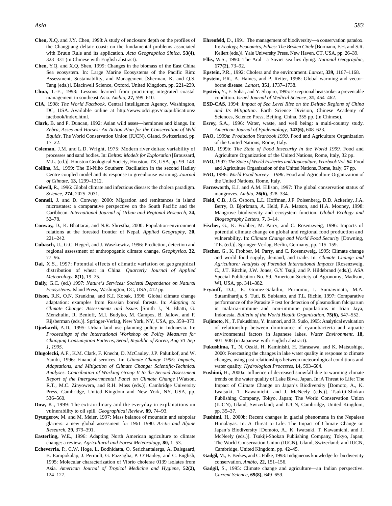- **Chen,** X.Q. and J.Y. Chen, 1998: A study of enclosure depth on the profiles of the Changjiang deltaic coast: on the fundamental problems associated with Bruun Rule and its application. *Acta Geographica Sinica*, **53(4),** 323–331 (in Chinese with English abstract).
- **Chen,** Y.Q. and X.Q. Shen, 1999: Changes in the biomass of the East China Sea ecosystem. In: Large Marine Ecosystems of the Pacific Rim: Assessment, Sustainability, and Management [Sherman, K. and Q.S. Tang (eds.)]. Blackwell Science, Oxford, United Kingdom, pp. 221–239.
- Chua, T.-E., 1998: Lessons learned from practicing integrated coastal management in southeast Asia. Ambio, 27, 599-610.
- **CIA,** 1998: *The World Factbook*. Central Intelligence Agency, Washington, DC, USA. Available online at http://www.odci.gov/cia/publications/ factbook/index.html.
- **Clark,** B. and P. Duncan, 1992: Asian wild asses—hemiones and kiangs. In: *Zebra, Asses and Horses: An Action Plan for the Conservation of Wild Equids*. The World Conservation Union (IUCN), Gland, Switzerland, pp. 17–22.
- **Coleman, J.M. and L.D. Wright, 1975: Modern river deltas: variability of** processes and sand bodies. In: *Deltas: Models for Exploration* [Broussard, M.L. (ed.)]. Houston Geological Society, Houston, TX, USA, pp. 99–149.
- **Collins,** M., 1999: The El-Niño Southern Oscillation in the second Hadley Centre coupled model and its response to greenhouse warming. *Journal of Climate*, **13,** 1299–1312.
- **Colwell, R., 1996:** Global climate and infectious disease: the cholera paradigm. *Science*, **274,** 2025–2031.
- **Connell,** J. and D. Conway, 2000: Migration and remittances in island microstates: a comparative perspective on the South Pacific and the Caribbean. *International Journal of Urban and Regional Research*, **24,** 52–78.
- **Conway,** D., K. Bhattarai, and N.R. Shrestha, 2000: Population-environment relations at the forested frontier of Nepal. *Applied Geography*, **20,** 221–242.
- **Cubasch,** U., G.C. Hegerl, and J. Waszkewitz, 1996: Prediction, detection and regional assessment of anthropogenic climate change. *Geophysica*, **32,** 77–96.
- Dai, X.S., 1997: Potential effects of climatic variation on geographical distribution of wheat in China. *Quarterly Journal of Applied Meteorology*, **8(1),** 19–25.
- **Daily,** G.C. (ed.) 1997: *Nature's Services: Societal Dependence on Natural Ecosystems*. Island Press, Washington, DC, USA, 412 pp.
- **Dixon,** R.K, O.N. Krankina, and K.I. Kobak, 1996: Global climate change adaptation: examples from Russian boreal forests. In: *Adapting to Climate Change: Assessments and Issues* [Smith J., N. Bhatti, G. Menzhulin, R. Benioff, M.I. Budyko, M. Campos, B. Jallow, and F. Rijsberman (eds.)]. Springer-Verlag, New York, NY, USA, pp. 359–373.
- **Djoekardi,** A.D., 1995: Urban land use planning policy in Indonesia. In: *Proceedings of the International Workshop on Policy Measures for Changing Consumption Patterns, Seoul, Republic of Korea, Aug 30–Sep 1, 1995*.
- **Dlugolecki,** A.F., K.M. Clark, F. Knecht, D. McCauley, J.P. Palutikof, and W. Yambi, 1996: Financial services. In: *Climate Change 1995: Impacts, Adaptations, and Mitigation of Climate Change: Scientific-Technical Analyses. Contribution of Working Group II to the Second Assessment Report of the Intergovernmental Panel on Climate Change* [Watson, R.T., M.C. Zinyowera, and R.H. Moss (eds.)]. Cambridge University Press, Cambridge, United Kingdom and New York, NY, USA, pp. 536–560.
- Dow, K., 1999: The extraordinary and the everyday in explanations on vulnerability to oil spill. *Geographical Review*, 89, 74-93.
- **Dyurgerov,** M. and M. Meier, 1997: Mass balance of mountain and subpolar glaciers: a new global assessment for 1961–1990. *Arctic and Alpine Research*, **29,** 379–391.
- **Easterling,** W.E., 1996: Adapting North American agriculture to climate change: a review. *Agricultural and Forest Meteorology*, **80,** 1–53.
- **Echeverria,** P., C.W. Hoge, L. Bodhidatta, O. Serichantalergs, A. Dalsgaard, B. Eampokalap, J. Perrault, G. Pazzaglia, P. O'Hanley, and C. English, 1995: Molecular characterization of Vibrio cholerae 0139 isolates from Asia. *American Journal of Tropical Medicine and Hygiene*, **52(2),** 124–127.
- **Ehrenfeld,** D., 1991: The management of biodiversity—a conservation paradox. In: *Ecology, Economics, Ethics: The Broken Circle* [Bormann, F.H. and S.R. Kellert (eds.)]. Yale University Press, New Haven, CT, USA, pp. 26–39.
- **Ellis,** W.S., 1990: The Aral—a Soviet sea lies dying. *National Geographic*, **177(2),** 73–92.
- **Epstein,** P.R., 1992: Cholera and the environment. *Lancet*, **339,** 1167–1168.
- **Epstein,** P.R., A. Haines, and P. Reiter, 1998: Global warming and vectorborne disease. *Lancet*, **351,** 1737–1738.
- Epstein, Y., E. Sohar, and Y. Shapiro, 1995: Exceptional heatstroke: a preventable condition. *Israel Journal of Medical Science*, **31,** 454–462.
- **ESD-CAS,** 1994: *Impact of Sea Level Rise on the Deltaic Regions of China and Its Mitigation*. Earth Science Division, Chinese Academy of Sciences, Science Press, Beijing, China, 355 pp. (in Chinese).
- **Esrey,** S.A., 1996: Water, waste, and well being: a multi-country study. *American Journal of Epidemiology*, **143(6),** 608–623.
- **FAO,** 1999a: *Production Yearbook 1999*. Food and Agriculture Organization of the United Nations, Rome, Italy.
- **FAO,** 1999b: *The State of Food Insecurity in the World 1999*. Food and Agriculture Organization of the United Nations, Rome, Italy, 32 pp.
- FAO, 1997: The State of World Fisheries and Aquaculture, Yearbook Vol. 84. Food and Agriculture Organization of the United Nations, Rome, Italy, 57 pp.
- **FAO,** 1996: *World Food Survey—1996*. Food and Agriculture Organization of the United Nations, Rome, Italy.
- **Farnsworth,** E.J. and A.M. Ellison, 1997: The global conservation status of mangroves. *Ambio*, **26(6),** 328–334.
- **Field,** C.B., J.G. Osborn, L.L. Hoffman, J.F. Polsenberg, D.D. Ackerley, J.A. Berry, O. Bjorkman, A. Held, P.A. Matson, and H.A. Mooney, 1998: Mangrove biodiversity and ecosystem function. *Global Ecology and Biogeography Letters*, **7,** 3–14.
- **Fischer,** G., K. Frohber, M. Parry, and C. Rosenzweig, 1996: Impacts of potential climate change on global and regional food production and vulnerability. In: *Climate Change and World Food Security* [Downing, T.E. (ed.)]. Springer-Verlag, Berlin, Germany, pp. 115–159.
- **Fischer,** G., K. Frohber, M. Parry, and C. Rosenzweig, 1995: Climate change and world food supply, demand, and trade. In: *Climate Change and Agriculture: Analysis of Potential International Impacts* [Rosenzweig, C., J.T. Ritchie, J.W. Jones, G.Y. Tsuji, and P. Hildebrand (eds.)]. ASA Special Publication No. 59, American Society of Agronomy, Madison, WI, USA, pp. 341–382.
- Fryauff, D.J., E. Gomez-Saladin, Purnomo, I. Sumawinata, M.A. Sutamihardja, S. Tuti, B. Subianto, and T.L. Richie, 1997: Comparative performance of the Parasite F test for detection of plasmodium falciparum in malaria-immune and non-immune populations in Irian Jaya, Indonesia. *Bulletin of the World Health Organization*, **75(6),** 547–552.
- **Fujimoto, N., T. Fukushima, Y. Inamori, and R. Sudo, 1995: Analytical evaluation** of relationship between dominance of cyanobacteria and aquatic environmental factors in Japanese lakes. Water Environment, 18, 901–908 (in Japanese with English abstract).
- **Fukushima,** T., N. Ozaki, H. Kaminishi, H. Harasawa, and K. Matsushige, 2000: Forecasting the changes in lake water quality in response to climate changes, using past relationships between meteorological conditions and water quality. *Hydrological Processes,* **14,** 593–604.
- **Fushimi,** H., 2000a: Influence of decreased snowfall due to warming climate trends on the water quality of Lake Biwa, Japan. In: A Threat to Life: The Impact of Climate Change on Japan's Biodiversity [Domoto, A., K. Iwatsuki, T. Kawamichi, and J. McNeely (eds.)]. Tsukiji-Shokan Publishing Company, Tokyo, Japan; The World Conservation Union (IUCN), Gland, Swizerland; and IUCN, Cambridge, United Kingdom, pp. 35–37.
- **Fushimi,** H., 2000b: Recent changes in glacial phenomena in the Nepalese Himalayas. In: A Threat to Life: The Impact of Climate Change on Japan's Biodiversity [Domoto, A., K. Iwatsuki, T. Kawamichi, and J. McNeely (eds.)]. Tsukiji-Shokan Publishing Company, Tokyo, Japan; The World Conservation Union (IUCN), Gland, Swizerland; and IUCN, Cambridge, United Kingdom, pp. 42–45.
- Gadgil, M., F. Berkes, and C. Folke, 1993: Indigineous knowledge for biodiversity conservation. *Ambio*, **22,** 151–156.
- Gadgil, S., 1995: Climate change and agriculture—an Indian perspective. *Current Science*, **69(8),** 649–659.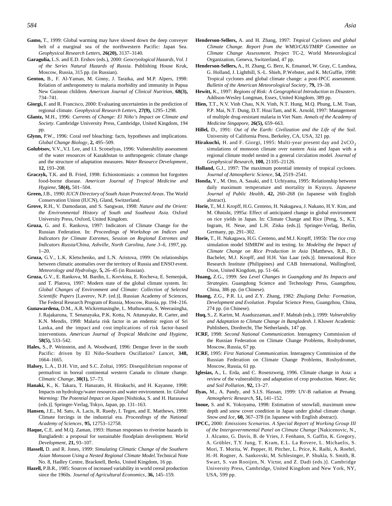- **Gamo,** T., 1999: Global warming may have slowed down the deep conveyer belt of a marginal sea of the northwestern Pacific: Japan Sea. *Geophysical Research Letters*, **26(20),** 3137–3140.
- **Garagulia,** L.S. and E.D. Ershov (eds.), 2000: *Geocryological Hazards, Vol. 1 of the Series Natural Hazards of Russia.* Publishing House Kruk, Moscow, Russia, 315 pp. (in Russian).
- **Genton,** B., F. Al-Yaman, M. Ginny, J. Taraika, and M.P. Alpers, 1998: Relation of anthropometry to malaria morbidity and immunity in Papua New Guinean children*. American Journal of Clinical Nutrition*, **68(3),** 734–741.
- **Giorgi,** F. and R. Francisco, 2000: Evaluating uncertainties in the prediction of regional climate. *Geophysical Research Letters*, **27(9),** 1295–1298.
- **Glantz,** M.H., 1996: *Currents of Change: El Niño's Impact on Climate and Society*. Cambridge University Press, Cambridge, United Kingdom, 194 pp.
- **Glynn,** P.W., 1996: Coral reef bleaching: facts, hypotheses and implications*. Global Change Biology*, **2,** 495–509.
- **Golubtsov,** V.V., V.I. Lee, and I.I. Scotselyas, 1996: Vulnerability assessment of the water resources of Kazakhstan to anthropogenic climate change and the structure of adaptation measures. *Water Resource Development*, **12,** 193–208.
- **Graczyk,** T.K. and B. Fried, 1998: Echiostomiasis: a common but forgotten food-borne disease. *American Journal of Tropical Medicine and Hygiene*, **58(4),** 501–504.
- **Green,**J.B., 1990: *IUCN Directory of South Asian Protected Areas*. The World Conservation Union (IUCN), Gland, Switzerland.
- **Grove,** R.H., V. Damodaran, and S. Sangwan, 1998: *Nature and the Orient: the Environmental History of South and Southeast Asia.* Oxford University Press, Oxford, United Kingdom.
- **Gruza,** G. and E. Rankova, 1997: Indicators of Climate Change for the Russian Federation. In: Proceedings of Workshop on Indices and *Indicators for Climate Extremes, Session on Regional Extremes and Indicators Russia/China, Ashville, North Carolina, June 3–6, 1997*, pp. 1–20.
- **Gruza,** G.V., L.K. Kletschenko, and L.N. Aristova, 1999: On relationships between climatic anomalies over the territory of Russia and ENSO event. *Meteorology and Hydrology*, **5,** 26–45 (in Russian).
- **Gruza,** G.V., E. Rankova, M. Bardin, L. Korvkina, E. Rocheva, E. Semenjuk, and T. Platova, 1997: Modern state of the global climate system. In: *Global Changes of Environment and Climate: Collection of Selected Scientific Papers* [Laverov, N.P. (ed.)]. Russian Academy of Sciences, The Federal Research Program of Russia, Moscow, Russia, pp. 194–216.
- **Gunawardena,** D.M., A.R. Wickremasinghe, L. Muthuwatta, S. Weerasingha, J. Rajakaruna, T. Senanayaka, P.K. Kotta, N. Attanayake, R. Carter, and K.N. Mendis, 1998: Malaria risk factor in an endemic region of Sri Lanka, and the impact and cost implications of risk factor-based interventions. American Journal of Tropical Medicine and Hygiene, **58(5),** 533–542.
- **Hales,** S., P. Weinstein, and A. Woodward, 1996: Dengue fever in the south Pacific: driven by El Niño-Southern Oscillation? *Lancet*, 348, 1664–1665.
- Halsey, L.A., D.H. Vitt, and S.C. Zoltai, 1995: Disequilibrium response of permafrost in boreal continental western Canada to climate change. *Climatic Change*, **30(1),** 57–73.
- **Hanaki,** K., K. Takara, T. Hanazato, H. Hirakuchi, and H. Kayanne, 1998: Impacts on hydrology/water resources and water environment. In: *Global Warming: The Potential Impact on Japan* [Nishioka, S. and H. Harasawa (eds.)]. Springer-Verlag, Tokyo, Japan, pp. 131–163.
- **Hansen,** J.E., M. Sato, A. Lacis, R. Ruedy, I. Tegen, and E. Matthews, 1998: Climate forcings in the industrial era. *Proceedings of the National Academy of Sciences*, **95,** 12753–12758.
- **Haque,** C.E. and M.Q. Zaman, 1993: Human responses to riverine hazards in Bangladesh: a proposal for sustainable floodplain development. *World Development*, **21,** 93–107.
- **Hassell,** D. and R. Jones, 1999: *Simulating Climatic Change of the Southern Asian Monsoon Using a Nested Regional Climate Model.*Technical Note No. 8, Hadley Centre, Bracknell, Berks, United Kingdom, 16 pp.
- Hazell, P.B.R., 1985: Sources of increased variability in world cereal production since the 1960s. *Journal of Agricultural Economics*, **36,** 145–159.
- **Henderson-Sellers,** A. and H. Zhang, 1997: *Tropical Cyclones and global Climate Change. Report from the WMO/CAS/TMRP Committee on Climate Change Assessment*. Project TC-2, World Meteorological Organization, Geneva, Switzerland, 47 pp.
- **Henderson-Sellers,** A., H. Zhang, G. Berz, K. Emanuel, W. Gray, C. Landsea, G. Holland, J. Lighthill, S.-L. Shieh, P.Webster, and K. McGuffie, 1998: Tropical cyclones and global climate change: a post-IPCC assessment. *Bulletin of the American Meteorological Society*, **79,** 19–38.
- **Hewitt,** K., 1997: *Regions of Risk: A Geographical Introduction to Disasters*. Addison-Wesley Longman, Essex, United Kingdom, 389 pp.
- **Hien,** T.T., N.V. Vinh Chau, N.N. Vinh, N.T. Hung, M.Q. Phung, L.M. Toan, P.P. Mai, N.T. Dung, D.T. Hoai Tam, and K. Arnold, 1997: Management of multiple drug-resistant malaria in Viet Nam. *Annals of the Academy of Medicine Singapore*, **26(5),** 659–663.
- **Hillel,** D., 1991: *Out of the Earth: Civilization and the Life of the Soil*. University of California Press, Berkeley, CA, USA, 321 pp.
- **Hirakuchi,** H. and F. Giorgi, 1995: Multi-year present day and 2xCO<sub>2</sub> simulations of monsoon climate over eastern Asia and Japan with a regional climate model nested in a general circulation model. *Journal of Geophysical Research*, **100,** 21105–21126.
- **Holland,** G.J., 1997: The maximum potential intensity of tropical cyclones. *Journal of Atmospheric Science*, **54,** 2519–2541.
- Honda, Y., M. Ono, A. Sasaki, and I. Uchiyama, 1995: Relationship between daily maximum temperature and mortality in Kyusyu. Japanese Journal of Public Health, 42, 260-268 (in Japanese with English abstract).
- **Horie,** T., M.J. Kropff, H.G. Centeno, H. Nakagawa, J. Nakano, H.Y. Kim, and M. Ohnishi, 1995a: Effect of anticipated change in global environment on rice yields in Japan. In: Climate Change and Rice [Peng, S., K.T. Ingram, H. Neue, and L.H. Ziska (eds.)]. Springer-Verlag, Berlin, Germany, pp. 291–302.
- **Horie,** T., H. Nakagawa, H.G. Centeno, and M.J. Kropff, 1995b: The rice crop simulation model SIMRIW and its testing. In: *Modeling the Impact of Climate Change on Rice Production in Asia* [Matthews, R.B., D. Bachelet, M.J. Kropff, and H.H. Van Laar (eds.)]. International Rice Research Institute (Philippines) and CAB International, Wallingford, Oxon, United Kingdom, pp. 51–66.
- **Huang,** Z.G., 1999: *Sea Level Changes in Guangdong and Its Impacts and Strategies*. Guangdong Science and Technology Press, Guangzhou, China, 386 pp. (in Chinese).
- **Huang,** Z.G., P.R. Li, and Z.Y. Zhang, 1982: *Zhujiang Delta: Formation, Development and Evolution* . Popular Science Press, Guangzhou, China, 274 pp. (in Chinese).
- **Huq,** S., Z. Karim, M. Asaduzzaman, and F. Mahtab (eds.), 1999: *Vulnerability and Adaptation to Climate Change in Bangladesh*. J. Kluwer Academic Publishers, Dordrecht, The Netherlands, 147 pp.
- **ICRF,** 1998: *Second National Communication*. Interagency Commission of the Russian Federation on Climate Change Problems, Roshydromet, Moscow, Russia, 67 pp.
- **ICRF,** 1995: *First National Communication*. Interagency Commission of the Russian Federation on Climate Change Problems, Roshydromet, Moscow, Russia, 61 pp.
- **Iglesias,** A., L. Erda, and C. Rosenzweig, 1996. Climate change in Asia: a review of the vulnerability and adaptation of crop production. *Water, Air, and Soil Pollution*, **92,** 13–27.
- **Ilyas,** M., A. Pandy, and S.I.S. Hassan, 1999: UV-B radiation at Penang. *Atmospheric Research*, **51,** 141–152.
- **Inoue,** S. and K. Yokoyama, 1998: Estimation of snowfall, maximum snow depth and snow cover condition in Japan under global climate change. *Snow and Ice*, **60,** 367–378 (in Japanese with English abstract).
- **IPCC,** 2000: *Emissions Scenarios. A Special Report of Working Group III of the Intergovernmental Panel on Climate Change* [Nakicenovic, N., J. Alcamo, G. Davis, B. de Vries, J. Fenhann, S. Gaffin, K. Gregory, A. Grübler, T.Y. Jung, T. Kram, E.L. La Rovere, L. Michaelis, S. Mori, T. Morita, W. Pepper, H. Pitcher, L. Price, K. Raihi, A. Roehrl, H.-H. Rogner, A. Sankovski, M. Schlesinger, P. Shukla, S. Smith, R. Swart, S. van Rooijen, N. Victor, and Z. Dadi (eds.)]. Cambridge University Press, Cambridge, United Kingdom and New York, NY, USA, 599 pp.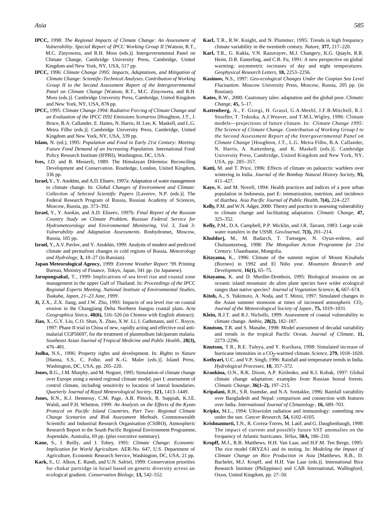- **IPCC,** 1998: *The Regional Impacts of Climate Change: An Assessment of Vulnerability. Special Report of IPCC Working Group II* [Watson, R.T., M.C. Zinyowera, and R.H. Moss (eds.)]. Intergovernmental Panel on Climate Change, Cambridge University Press, Cambridge, United Kingdom and New York, NY, USA, 517 pp.
- **IPCC,** 1996: *Climate Change 1995: Impacts, Adaptations, and Mitigation of Climate Change: Scientific-Technical Analyses. Contribution of Working Group II to the Second Assessment Report of the Intergovernmental Panel on Climate Change* [Watson, R.T., M.C. Zinyowera, and R.H. Moss (eds.)]. Cambridge University Press, Cambridge, United Kingdom and New York, NY, USA, 878 pp.
- **IPCC,** 1995: *Climate Change 1994: Radiative Forcing of Climate Change and an Evaluation of the IPCC IS92 Emissions Scenarios* [Houghton, J.T., J. Bruce, B.A. Callander, E. Haites, N. Harris, H. Lee, K. Maskell, and L.G. Meira Filho (eds.)]. Cambridge University Press, Cambridge, United Kingdom and New York, NY, USA, 339 pp.
- **Islam,** N. (ed.), 1995: *Population and Food in Early 21st Century: Meeting Future Food Demand of an Increasing Population*. International Food Policy Research Institute (IFPRI), Washington, DC, USA.
- **Ives,** J.D. and B. Messerli, 1989: The Himalayan Dilemma: Reconciling Development and Conservation. Routledge, London, United Kingdom, 336 pp.
- **Izrael**, Y., Y. Anokhin, and A.D. Eliseev, 1997a: Adaptation of water management to climate change. In: *Global Changes of Environment and Climate: Collection of Selected Scientific Papers* [Laverov, N.P. (eds.)]. The Federal Research Program of Russia, Russian Academy of Sciences, Moscow, Russia, pp. 373–392.
- **Izrael,** Y., Y. Anokin, and A.D. Eliseev, 1997b: *Final Report of the Russian* Country Study on Climate Problem, Russian Federal Service for Hydrometeorology and Environmental Monitoring, Vol. 3, Task 3: *Vulnerability and Adaptation Assessments*. Roshydromet, Moscow, Russia, 105 pp.
- **Izrael,** Y., A.V. Pavlov, and Y. Anokhin, 1999: Analysis of modern and predicted climate and permafrost changes in cold regions of Russia. *Meteorology and Hydrology*, **3,** 18–27 (in Russian).
- **Japan Meteorological Agency,** 1999: *Extreme Weather Report '99*. Printing Bureau, Ministry of Finance, Tokyo, Japan, 341 pp. (in Japanese).
- **Jarupongsakul,** T., 1999: Implications of sea level rise and coastal zone management in the upper Gulf of Thailand. In: *Proceedings of the IPCC Regional Experts Meeting, National Institute of Environmental Studies, Tsukuba, Japan, 21–23 June, 1999*.
- **Ji,** Z.X., Z.X. Jiang, and J.W. Zhu, 1993: Impacts of sea level rise on coastal erosion in the Changjiang Delta Northern Jiangsu coastal plain. *Acta Geographica Sinica*, **48(6),** 516–526 (in Chinese with English abstract).
- **Jiao,** X., G.Y. Liu, C.O. Shan, X. Zhao, X.W. Li, I. Gathmann, and C. Royce, 1997: Phase II trial in China of new, rapidly acting and effective oral antimalarial CGP56697, for the treatment of plasmodium falciparum malaria. *Southeast Asian Journal of Tropical Medicine and Public Health* , **28(3),** 476–481.
- **Jodha,** N.S., 1996: Property rights and development. In: *Rights to Nature* [Hanna, S.S., C. Folke, and K.-G. Maler (eds.)]. Island Press, Washington, DC, USA, pp. 205–220.
- **Jones,** R.G., J.M. Murphy, and M. Noguer, 1995: Simulation of climate change over Europe using a nested regional climate model, part I: assessment of control climate, including sensitivity to location of lateral boundaries. *Quarterly Journal of Royal Meteorological Society,* **121,** 1413–1449.
- **Jones,** R.N., K.J. Hennessy, C.M. Page, A.B. Pittock, R. Suppiah, K.J.E. Walsh, and P.H. Whetton, 1999: *An Analysis on the Effects of the Kyoto Protocol on Pacific Island Countries, Part Two: Regional Climate Change Scenarios and Risk Assessment Methods*. Commonwealth Scientific and Industrial Research Organisation (CSIRO), Atmospheric Research Report to the South Pacific Regional Environment Programme, Aspendale, Australia, 69 pp. (plus executive summary).
- Kane, S., J. Reilly, and J. Tobey, 1991: *Climate Change: Economic Implication for World Agriculture*. AER-No. 647, U.S. Department of Agriculture, Economic Research Service, Washington, DC, USA, 21 pp.
- **Kark,** S., U. Alkon, E. Randi, and U.N. Safriel, 1999: Conservation priorities for chukar partridge in Israel based on genetic diversity across an e c ological gradient. *Conservation Biology*, **13,** 542–552.
- **Karl,** T.R., R.W. Knight, and N. Plummer, 1995: Trends in high frequency climate variability in the twentieth century. *Nature*, 377, 217–220.
- **Karl,** T.R., G. Kukla, V.N. Razuvayev, M.J. Changery, K.G. Quayle, R.R. Heim, D.R. Easterling, and C.B. Fu, 1991: A new perspective on global warming: asymmetric increases of day and night temperatures. *Geophysical Research Letters*, **18,** 2253–2256.
- **Kasimov,** N.S., 1997: *Geo-ecological Changes Under the Caspian Sea Level Fluctuation*. Moscow University Press, Moscow, Russia, 205 pp. (in Russian).
- **Kates,** R.W., 2000: Cautionary tales: adaptation and the global poor. *Climatic Change*, **45,** 5–17.
- Kattenberg, A., F. Giorgi, H. Grassl, G.A.Meehl, J.F.B.Mitchell, R.J. Stouffer, T. Tokioka, A.J.Weaver, and T.M.L.Wigley, 1996: Climate models—projections of future climate. In: *Climate Change 1995: The Science of Climate Change. Contribution of Working Group I to the Second Assessment Report of the Intergovernmental Panel on Climate Change* [Houghton, J.T., L.G. Meira Filho, B.A. Callander, N. Harris, A. Kattenberg, and K. Maskell (eds.)]. Cambridge University Press, Cambridge, United Kingdom and New York, NY, USA, pp. 285–357.
- **Katti,** M. and T. Price, 1996: Effects of climate on palearctic warblers over wintering in India. *Journal of the Bombay Natural History Society*, **93,** 411–427.
- **Kaye,** K. and M. Novell, 1994: Health practices and indices of a poor urban population in Indonesia, part E: immunization, nutrition, and incidence of diarrhea. *Asia Pacific Journal of Public Health*, **7(4),** 224–227.
- Kelly, P.M. and W.N. Adger, 2000: Theory and practice in assessing vulnerability to climate change and facilitating adaptation. *Climatic Change*, **47,** 325–352.
- **Kelly,** P.M., D.A. Campbell, P.P. Micklin, and J.R. Tarrant, 1983: Large scale water transfers in the USSR. *GeoJournal*, **7(3),** 201–214.
- Khuldorj, M., M. Badarch, T. Tsetsegee, N. Oyun-erdene, and Chuluuntsetseg, 1998: *The Mongolian Action Programme for 21st Century*. Ulaanbaatar, Mongolia.
- **Kitayama,** K., 1996: Climate of the summit region of Mount Kinabalu (Borneo) in 1992 and El Niño year. *Mountain Research and Development*, **16(1),** 65–75.
- **Kitayama,** K. and D. Mueller-Dombois, 1995: Biological invasion on an oceanic island mountain: do alien plant species have wider ecological ranges than native species? *Journal of Vegetation Science*, **6,** 667–674.
- **Kitoh,** A., S. Yukimoto, A. Noda, and T. Motoi, 1997: Simulated changes in the Asian summer monsoon at times of increased atmospheric  $CO<sub>2</sub>$ . *Journal of the Meteorological Society of Japan*, **75,** 1019–1031.
- **Klein,** R.J.T. and R.J. Nicholls, 1999: Assessment of coastal vulnerability to climate change. *Ambio*, **28(2),** 182–187.
- **Knutson,** T.R. and S. Manabe, 1998: Model assessment of decadal variability and trends in the tropical Pacific Ocean. *Journal of Climate*, **11,** 2273–2296.
- Knutson, T.R., R.E. Tuleya, and Y. Kurihara, 1998: Simulated increase of hurricane intensities in a CO<sub>2</sub>-warmed climate. *Science*, **279**, 1018-1020.
- **Kothyari,** U.C. and V.P. Singh, 1996: Rainfall and temperature trends in India. *Hydrological Processes*, **10,** 357–372.
- **Krankina,** O.N., R.K. Dixon, A.P. Kirilenko, and K.I. Kobak, 1997: Global climate change adaptation: examples from Russian boreal forests. *Climatic Change*, **36(1–2),** 197–215.
- **Kripalani,** R.H., S.R. Inamdar, and N.A. Sontakke, 1996: Rainfall variability over Bangladesh and Nepal: comparison and connection with features over India. *International Journal of Climatology*, **16,** 689–703.
- **Kripke,** M.L., 1994: Ultraviolet radiation and immunology: something new under the sun. *Cancer Research*, **54,** 6102–6105.
- **Krishnamurti,** T.N., R. Correa-Torres, M. Latif, and G. Daughenbaugh, 1998: The impact of current and possibly future SST anomalies on the frequency of Atlantic hurricanes. *Tellus*, **50A**, 186-210.
- **Kropff,** M.J., R.B. Matthews, H.H. Van Laar, and H.F.M. Ten Berge, 1995: The rice model ORYZA1 and its testing. In: *Modeling the Impact of Climate Change on Rice Production in Asia* [Matthews, R.B., D. Bachelet, M.J. Kropff, and H.H. Van Laar (eds.)]. International Rice Research Institute (Philippines) and CAB International, Wallingford, Oxon, United Kingdom, pp. 27–50.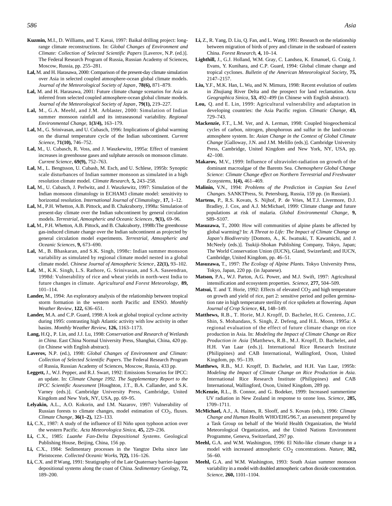- **Kuzmin,** M.I., D. Williams, and T. Kavai, 1997: Baikal drilling project: longrange climate reconstructions. In: *Global Changes of Environment and Climate: Collection of Selected Scientific Papers* [Laverov, N.P. (ed.)]. The Federal Research Program of Russia, Russian Academy of Sciences, Moscow, Russia, pp. 255–281.
- Lal, M. and H. Harasawa, 2000: Comparison of the present-day climate simulation over Asia in selected coupled atmosphere-ocean global climate models. *Journal of the Meteorological Society of Japan*, **78(6),** 871–879.
- **Lal,** M. and H. Harasawa, 2001: Future climate change scenarios for Asia as inferred from selected coupled atmosphere-ocean global climate models. *Journal of the Meteorological Society of Japan*, **79(1),** 219–227.
- Lal, M., G.A. Meehl, and J.M. Arblaster, 2000: Simulation of Indian summer monsoon rainfall and its intraseasonal variability. *Regional Environmental Change*, **1(3/4),** 163–179.
- **Lal,** M., G. Srinivasan, and U. Cubasch, 1996: Implications of global warming on the diurnal temperature cycle of the Indian subcontinent. *Current Science*, **71(10),** 746–752.
- **Lal,** M., U. Cubasch, R. Voss, and J. Waszkewitz, 1995a: Effect of transient increases in greenhouse gases and sulphate aerosols on monsoon climate. *Current Science*, **69(9),** 752–763.
- **Lal,** M., L. Bengtsson, U. Cubash, M. Esch, and U. Schlese, 1995b: Synoptic scale disturbances of Indian summer monsoon as simulated in a high resolution climate model. *Climate Research*, **5,** 243–258.
- **Lal,** M., U. Cubasch, J. Perlwitz, and J. Waszkewitz, 1997: Simulation of the Indian monsoon climatology in ECHAM3 climate model: sensitivity to horizontal resolution. *International Journal of Climatology*, **17,** 1–12.
- **Lal,** M., P.H. Whetton, A.B. Pittock, and B. Chakraborty, 1998a: Simulation of present-day climate over the Indian subcontinent by general circulation models. *Terrestrial, Atmospheric and Oceanic Sciences*, **9(1),** 69–96.
- Lal, M., P.H. Whetton, A.B. Pittock, and B. Chakraborty, 1998b: The greenhouse gas-induced climate change over the Indian subcontinent as projected by general circulation model experiments. *Terrestrial, Atmospheric and Oceanic Sciences*, **9,** 673–690.
- Lal, M., B. Bhaskaran, and S.K. Singh, 1998c: Indian summer monsoon variability as simulated by regional climate model nested in a global climate model. *Chinese Journal of Atmospheric Science*, 22(1), 93-102.
- Lal, M., K.K. Singh, L.S. Rathore, G. Srinivasan, and S.A. Saseendran, 1998d: Vulnerability of rice and wheat yields in north-west India to future changes in climate. *Agricultural and Forest Meteorology*, 89,  $101 - 114.$
- Lander, M., 1994: An exploratory analysis of the relationship between tropical storm formation in the western north Pacific and ENSO. *Monthly Weather Review*, **122,** 636–651.
- **Lander,** M.A. and C.P. Guard, 1998: A look at global tropical cyclone activity during 1995: contrasting high Atlantic activity with low activity in other basins. *Monthly Weather Review*, **126,** 1163–1173.
- **Lang,** H.Q., P. Lin, and J.J. Lu, 1998: *Conservation and Research of Wetlands in China*. East China Normal University Press, Shanghai, China, 420 pp. (in Chinese with English abstract).
- **Laverov,** N.P. (ed.), 1998: *Global Changes of Environment and Climate: Collection of Selected Scientific Papers*. The Federal Research Program of Russia, Russian Academy of Sciences, Moscow, Russia, 433 pp.
- **Leggett,** J., W.J. Pepper, and R.J. Swart, 1992: Emissions Scenarios for IPCC: an update. In: *Climate Change 1992. The Supplementary Report to the IPCC Scientific Assessment* [Houghton, J.T., B.A. Callander, and S.K. Varney (eds.)]. Cambridge University Press, Cambridge, United Kingdom and New York, NY, USA, pp. 69–95.
- **Lelyakin,** A.L., A.O. Kokorin, and I.M. Nazarov, 1997: Vulnerability of Russian forests to climate changes, model estimation of  $CO<sub>2</sub>$ , fluxes. *Climate Change*, **36(1–2),** 123–133.
- **Li,** C.X., 1987: A study of the influence of El Niño upon typhoon action over the western Pacific. *Acta Meteorologica Sinica*, **45,** 229–236.
- Li, C.X., 1985: Luanhe Fan-Delta Depositional Systems. Geological Publishing House, Beijing, China, 156 pp.
- **Li,** C.X., 1984: Sedimentary processes in the Yangtze Delta since late Pleistocene. *Collected Oceanic Works*, **7(2),** 116–126.
- **Li,** C.X. and P.Wang, 1991: Stratigraphy of the Late Quaternary barrier-lagoon depositional systems along the coast of China. *Sedimentary Geology*, **72,** 189–200.
- Li, Z., R. Yang, D. Liu, Q. Fan, and L. Wang, 1991: Research on the relationship between migration of birds of prey and climate in the seaboard of eastern China. *Forest Research*, **4,** 10–14.
- **Lighthill,** J., G.J. Holland, W.M. Gray, C. Landsea, K. Emanuel, G. Craig, J. Evans, Y. Kunihara, and C.P. Guard, 1994: Global climate change and tropical cyclones. *Bulletin of the American Meteorological Society*, **75,** 2147–2157.
- **Liu,** Y.F., M.K. Han, L. Wu, and N. Mimura, 1998: Recent evolution of outlets in Zhujiang River Delta and the prospect for land reclamation. *Acta Geographica Sinica*, **53,** 492–499 (in Chinese with English abstract).
- Lou, Q. and E. Lin, 1999: Agricultural vulnerability and adaptation in developing countries: the Asia Pacific region. *Climatic Change*, 43, 729–743.
- **Mackenzie,** F.T., L.M. Ver, and A. Lerman, 1998: Coupled biogeochemical cycles of carbon, nitrogen, phosphorous and sulfur in the land-oceanatmosphere system. In: *Asian Change in the Context of Global Climate Change* [Galloway, J.N. and J.M. Melillo (eds.)]. Cambridge University Press, Cambridge, United Kingdom and New York, NY, USA, pp. 42–100.
- Makarov, M.V., 1999: Influence of ultraviolet-radiation on growth of the dominant macroalgae of the Barents Sea. *Chemosphere Global Change Science: Climate Change effect on Northern Terrestrial and Freshwater Ecosystems*, **1(4),** 461–469.
- **Malinin,** V.N., 1994: *Problems of the Prediction in Caspian Sea Level Changes*. SANKTPress, St. Petersburg, Russia, 159 pp. (in Russian).
- **Martens,** P., R.S. Kovats, S. Nijhof, P. de Vries, M.T.J. Livermore, D.J. Bradley, J. Cox, and A.J. McMichael, 1999: Climate change and future populations at risk of malaria. *Global Environmental Change*, **9 ,** S89–S107.
- **Masuzawa,** T., 2000: How will communities of alpine plants be affected by global warming? In: *A Threat to Life: The Impact of Climate Change on Japan's Biodiversity* [Domoto, A., K. Iwatsuki, T. Kawamichi, and J. McNeely (eds.)]. Tsukiji-Shokan Publishing Company, Tokyo, Japan; The World Conservation Union (IUCN), Gland, Swizerland; and IUCN, Cambridge, United Kingdom, pp. 46–51.
- **Masuzawa,** T., 1997: *The Ecology of Alpine Plants*. Tokyo University Press, Tokyo, Japan, 220 pp. (in Japanese).
- **Matson,** P.A., W.J. Parton, A.G. Power, and M.J. Swift, 1997: Agricultural intensification and ecosystem properties. *Science*, **277,** 504–509.
- **Matsui,** T. and T. Horie, 1992: Effects of elevated  $CO_2$  and high temperature on growth and yield of rice, part 2: sensitive period and pollen germination rate in high temperature sterility of rice spikelets at flowering. *Japan Journal of Crop Science*, **61,** 148–149.
- Matthews, R.B., T. Horie, M.J. Kropff, D. Bachelet, H.G. Centeno, J.C. Shin, S. Mohandass, S. Singh, Z. Defeng, and H.L. Moon, 1995a: A regional evaluation of the effect of future climate change on rice production in Asia. In: *Modeling the Impact of Climate Change on Rice Production in Asia* [Matthews, R.B., M.J. Kropff, D. Bachelet, and H.H. Van Laar (eds.)]. International Rice Research Institute (Philippines) and CAB International, Wallingford, Oxon, United Kingdom, pp. 95–139.
- **Matthews,** R.B., M.J. Kropff, D. Bachelet, and H.H. Van Laar, 1995b: *Modeling the Impact of Climate Change on Rice Production in Asia*. International Rice Research Institute (Philippines) and CAB International, Wallingford, Oxon, United Kingdom, 289 pp.
- **McKenzie,** R.L., B. Connor, and G. Bodeker, 1999: Increased summertime UV radiation in New Zealand in response to ozone loss. *Science*, **285,** 1709–1711.
- **McMichael,** A.J., A. Haines, R. Slooff, and S. Kovats (eds.), 1996: *Climate Change and Human Health*. WHO/EHG/96.7, an assessment prepared by a Task Group on behalf of the World Health Organization, the World Meteorological Organization, and the United Nations Environment Programme, Geneva, Switzerland, 297 pp.
- **Meehl,** G.A. and W.M. Washington, 1996: El Niño-like climate change in a model with increased atmospheric CO<sub>2</sub> concentrations. *Nature*, **382**, 56–60.
- **Meehl,** G.A. and W.M. Washington, 1993: South Asian summer monsoon variability in a model with doubled atmospheric carbon dioxide concentration. *Science*, **260,** 1101–1104.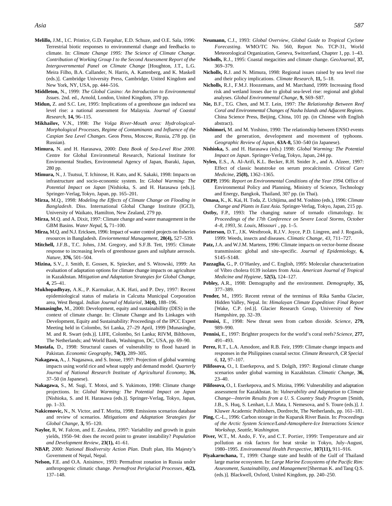- **Melillo,** J.M., I.C. Printice, G.D. Farquhar, E.D. Schuze, and O.E. Sala, 1996: Terrestrial biotic responses to environmental change and feedbacks to climate. In: *Climate Change 1995: The Science of Climate Change. Contribution of Working Group I to the Second Assessment Report of the Intergovernmental Panel on Climate Change* [Houghton, J.T., L.G. Meira Filho, B.A. Callander, N. Harris, A. Kattenberg, and K. Maskell (eds.)]. Cambridge University Press, Cambridge, United Kingdom and New York, NY, USA, pp. 444–516.
- **Middleton,** N., 1999: *The Global Casino: An Introduction to Environmental Issues*. 2nd. ed., Arnold, London, United Kingdom, 370 pp.
- **Midun,** Z. and S.C. Lee, 1995: Implications of a greenhouse gas induced sea level rise: a national assessment for Malaysia. *Journal of Coastal Research*, **14,** 96–115.
- Mikhailov, V.N., 1998: The Volga River-Mouth area: Hydrological-*Morphological Processes, Regime of Contaminants and Influence of the Caspian Sea Level Changes*. Geos Press, Moscow, Russia, 278 pp. (in Russian).
- **Mimura,** N. and H. Harasawa, 2000: *Data Book of Sea-Level Rise 2000*. Centre for Global Environmetal Research, National Institute for Enviromental Studies, Environmetal Agency of Japan, Ibaraki, Japan, 280 pp.
- **Mimura,** N., J. Tsutsui, T. Ichinose, H. Kato, and K. Sakaki, 1998: Impacts on infrastructure and socio-economic system. In: *Global Warming: The Potential Impact on Japan* [Nishioka, S. and H. Harasawa (eds.)]. Springer-Verlag, Tokyo, Japan, pp. 165–201.
- **Mirza,** M.Q., 1998: *Modeling the Effects of Climate Change on Flooding in Bangladesh*. Diss. International Global Change Institute (IGCI), University of Waikato, Hamilton, New Zealand, 279 pp.
- **Mirza,** M.Q. and A. Dixit, 1997: Climate change and water management in the GBM Basins*. Water Nepal*, **5,** 71–100.
- Mirza, M.Q. and N.J. Ericksen, 1996: Impact of water control projects on fisheries resources in Bangladesh. *Enviornmental Management*, **20(4),** 527–539.
- **Mitchell,** J.F.B., T.C. Johns, J.M. Gregory, and S.F.B. Tett, 1995: Climate response to increasing levels of greenhouse gases and sulphate aerosols. *Nature*, **376,** 501–504.
- **Mizina,** S.V., J. Smith, E. Gossen, K. Spiecker, and S. Witowski, 1999: An evaluation of adaptation options for climate change impacts on agriculture in Kazakhstan. *Mitigation and Adaptation Strategies for Global Change*, **4,** 25–41.
- **Mukhopadhyay, A.K., P. Karmakar, A.K. Hati, and P. Dey, 1997: Recent** epidemiological status of malaria in Calcutta Municipal Corporation area, West Bengal. *Indian Journal of Malariol*, **34(4),** 188–196.
- **Munasinghe,** M., 2000: Development, equity and sustainabillity (DES) in the context of climate change. In: Climate Change and Its Linkages with Development, Equity and Sustainability: Proceedings of the IPCC Expert Meeting held in Colombo, Sri Lanka, 27–29 April, 1999 [Munasinghe, M. and R. Swart (eds.)]. LIFE, Colombo, Sri Lanka; RIVM, Bilthoven, The Netherlands; and World Bank, Washington, DC, USA, pp. 69–90.
- **Mustafa,** D., 1998: Structural causes of vulnerability to flood hazard in Pakistan. *Economic Geography*, **74(3),** 289–305.
- Nakagawa, A., J. Nagasawa, and S. Inoue, 1997: Projection of global warming impacts using world rice and wheat supply and demand model. *Quarterly Journal of National Research Institute of Agricultural Economy*, **36,** 37–50 (in Japanese).
- **Nakagawa,** S., M. Sugi, T. Motoi, and S. Yukimoto, 1998: Climate change projections. In: *Global Warming: The Potential Impact on Japan* [Nishioka, S. and H. Harasawa (eds.)]. Springer-Verlag, Tokyo, Japan, pp. 1–33.
- **Nakicenovic,** N., N. Victor, and T. Morita, 1998: Emissions scenarios database and review of scenarios. *Mitigations and Adaptation Strategies for Global Change*, **3,** 95–120.
- **Naylor,** R, W. Falcon, and E. Zavaleta, 1997: Variability and growth in grain yields, 1950–94: does the record point to greater instability? *Population and Development Review*, **23(1),** 41–61.
- **NBAP,** 2000: *National Biodiversity Action Plan*. Draft plan, His Majesty's Government of Nepal, Nepal.
- **Nelson,** F.E. and O.A. Anisimov, 1993: Permafrost zonation in Russia under anthropogenic climatic change. *Permafrost Periglacial Processes*, **4(2),** 137–148.
- **Neumann,** C.J., 1993: *Global Overview, Global Guide to Tropical Cyclone Forecasting.* WMO/TC No. 560, Report No. TCP-31, World Meteorological Organization, Geneva, Switzerland, Chapter 1, pp. 1–43.
- **Nicholls,** R.J., 1995: Coastal megacities and climate change. *GeoJournal*, **37,** 369–379.
- **Nicholls,** R.J. and N. Mimura, 1998: Regional issues raised by sea level rise and their policy implications. *Climate Research*, **11,** 5–18.
- **Nicholls,** R.J., F.M.J. Hoozemans, and M. Marchand, 1999: Increasing flood risk and wetland losses due to global sea-level rise: regional and global analyses. *Global Environmental Change*, **9,** S69–S87.
- **Nie,** B.F., T.G. Chen, and M.T. Lein, 1997: *The Relationship Between Reef Coral and Environmental Changes of Nasha Islands and Adjacent Regions*. China Science Press, Beijing, China, 101 pp. (in Chinese with English abstract).
- **Nishimori,** M. and M. Yoshino, 1990: The relationship between ENSO events and the generation, development and movement of typhoons. *Geographic Review of Japan*, **63A-8,** 530–540 (in Japanese).
- **Nishioka,** S. and H. Harasawa (eds.) 1998: *Global Warming: The Potential Impact on Japan*. Springer-Verlag, Tokyo, Japan, 244 pp.
- **Nylen,** E.S., A. Al-Arifi, K.L. Becker, R.H. Snider Jr., and A. Alzeer, 1997: E ffect of classic heatstroke on serum procalcitonin. *Critical Care Medicine*, **25(8),** 1362–1365.
- **OEPP,** 1996: *Report on Environmental Conditions of the Year 1994*. Office of Environmental Policy and Planning, Ministry of Science, Technology and Energy, Bangkok, Thailand, 307 pp. (in Thai).
- Omasa, K., K. Kai, H. Toda, Z. Uchijima, and M. Yoshino (eds.), 1996: *Climate Change and Plants in East Asia.* Springer-Verlag, Tokyo, Japan, 215 pp.
- Ostby, F.P., 1993: The changing nature of tornado climatology. In: *Proceedings of the 17th Conference on Severe Local Storms, October 4–8, 1993, St. Louis, Missouri* , pp. 1–5.
- **Patterson,** D.T., J.K. Westbrook, R.J.V. Joyce, P.D. Lingren, and J. Rogasik, 1999: Weeds, insects and diseases. *Climatic Change*, *43,* 711–727.
- **Patz,** J.A. and W.J.M. Martens, 1996: Climate impacts on vector-borne disease transmission: global and site-specific. *Journal of Epidemiology*, **6,** S145–S148.
- **Pazzaglia,** G., P. O'Hanley, and C. English, 1995: Molecular characterization of Vibro cholera 0139 isolates from Asia. *American Journal of Tropical Medicine and Hygiene*, **52(5),** 124–127.
- **Pebley,** A.R., 1998: Demography and the environment. *Demography*, **35,** 377–389.
- **Pender,** M., 1995: Recent retreat of the terminus of Rika Samba Glacier, Hidden Valley, Nepal. In: *Himalayan Climate Expedition: Final Report* [ Wake, C.P. (ed.)]. Glacier Research Group, University of New Hampshire, pp. 32–39.
- **Pennisi,** E., 1998: New threat seen from carbon dioxide. *Science*, **279,** 989–990.
- **Pennisi,** E., 1997: Brighter prospects for the world's coral reefs? *Science*, **277,** 491–493.
- **Perez,** R.T., L.A. Amodore, and R.B. Feir, 1999: Climate change impacts and responses in the Philippines coastal sector. *Climate Research, CR Special 6*, **12,** 97–107.
- **Pilifosova,** O., I. Eserkepova, and S. Dolgih, 1997: Regional climate change scenarios under global warming in Kazakhstan. *Climatic Change*, **36,** 23–40.
- Pilifosova, O., I. Eserkepova, and S. Mizina, 1996: Vulnerability and adaptation assessment for Kazakhstan. In: *Vulnerability and Adaptation to Climate Change—Interim Results from a U. S. Country Study Program* [Smith, J.B., S. Huq, S. Lenhart, L.J. Mata, I. Nemesova, and S. Toure (eds.)]. J. Kluwer Academic Publishers, Dordrecht, The Netherlands, pp. 161–181.
- **Ping,** C.-L., 1996: Carbon storage in the Kuparuk River Basin. In: *Proceedings of the Arctic System Science/Land-Atmosphere-Ice Interactions Science Workshop, Seattle, Washington*.
- Piver, W.T., M. Ando, F. Ye, and C.T. Portier, 1999: Temperature and air pollution as risk factors for heat stroke in Tokyo, July–August, 1980–1995. *Environmental Health Perspective*, **107(11),** 911–916.
- **Piyakarnchana,** T., 1999: Change state and health of the Gulf of Thailand large marine ecosystem. In: *Large Marine Ecosystems of the Pacific Rim: Assessment, Sustainability, and Management*[Sherman K. and Tang Q.S. (eds.)]. Blackwell, Oxford, United Kingdom, pp. 240–250.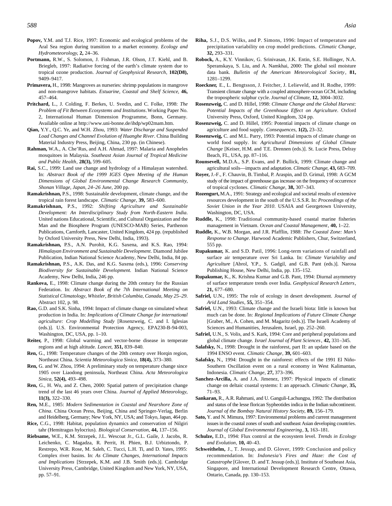- **Popov,** Y.M. and T.J. Rice, 1997: Economic and ecological problems of the Aral Sea region during transition to a market economy. *Ecology and Hydrometeorology*, **2,** 24–36.
- **Portmann,** R.W., S. Solomon, J. Fishman, J.R. Olson, J.T. Kiehl, and B. Briegleb, 1997: Radiative forcing of the earth's climate system due to tropical ozone production. *Journal of Geophysical Research*, **102(D8),** 9409–9417.
- Primavera, H., 1998: Mangroves as nurseries: shrimp populations in mangrove and non-mangrove habitats. *Estuarine, Coastal and Shelf Science*, **46,** 457–464.
- **Pritchard,** L., J. Colding, F. Berkes, U. Svedin, and C. Folke, 1998: *The Problem of Fit Between Ecosystems and Institutions*.Working Paper No. 2, International Human Dimension Programme, Bonn, Germany. Available online at http://www.uni-bonne.de/ihdp/wp02mam.htm.
- **Qian,** Y.Y., Q.C. Ye, and W.H. Zhou, 1993: *Water Discharge and Suspended Load Changes and Channel Evolution of Huanghe River*. China Building Material Industry Press, Beijing, China, 230 pp. (in Chinese).
- **Rahman,** W.A., A. Che'Rus, and A.H. Ahmad, 1997: Malaria and Anopheles mosquitoes in Malaysia. *Southeast Asian Journal of Tropical Medicine and Public Health*, **28(3),** 599–605.
- **Rai,** S.C., 1999: Land use change and hydrology of a Himalayan watershed. In: *Abstract Book of the 1999 IGES Open Meeting of the Human Dimensions of Global Environmental Change Research Community, Shonan Village, Japan, 24–26 June*, 200 pp.
- **Ramakrishnan,** P.S., 1998: Sustainable development, climate change, and the tropical rain forest landscape. *Climatic Change*, **39,** 583–600.
- **Ramakrishnan, P.S., 1992: Shifting Agriculture and Sustainable** *Development: An Interdisciplinary Study from North-Eastern India*. United nations Educational, Scientific, and Cultural Organization and the Man and the Biosphere Program (UNESCO-MAB) Series, Parthenon Publications, Carnforth, Lancaster, United Kingdom, 424 pp. (republished by Oxford University Press, New Delhi, India, 1993).
- **Ramakrishnan,** P.S., A.N. Purohit, K.G. Saxena, and K.S. Rao, 1994: *Himalayan Environment and Sustainable Development*. Diamond Jubilee Publication, Indian National Science Academy, New Delhi, India, 84 pp.
- **Ramakrishnan,** P.S., A.K. Das, and K.G. Saxena (eds.), 1996: *Conserving Biodiversity for Sustainable Development.* Indian National Science Academy, New Delhi, India, 246 pp.
- **Rankova,** E., 1998: Climate change during the 20th century for the Russian Federation. In: *Abstract Book of the 7th International Meeting on Statistical Climatology, Whistler, British Columbia, Canada, May 25–29*. Abstract 102, p. 98.
- **Rao,** G.D. and S.K. Sinha, 1994: Impact of climate change on simulated wheat production in India. In: *Implications of Climate Change for international agriculture: Crop Modelling Study* [Rosenzweig, C. and I. Iglesias (eds.)]. U.S. Environmental Protection Agency, EPA230-B-94-003, Washington, DC, USA, pp. 1–10.
- **Reiter,** P., 1998: Global warming and vector-borne disease in temperate regions and at high altitude. *Lancet*, **351,** 839–840.
- **Ren,** G., 1998: Temperature changes of the 20th century over Horqin region, Northeast China. *Scientia Meteorologica Sinica*, **18(4),** 373–380.
- **Ren,** G. and W. Zhou, 1994: A preliminary study on temperature change since 1905 over Liaodong peninsula, Northeast China. *Acta Meteorologica Sinica*, **52(4),** 493–498.
- **Ren,** G., H. Wu, and Z. Chen, 2000: Spatial pattern of precipitation change trend of the last 46 years over China. *Journal of Applied Meteorology*, **11(3),** 322–330.
- **Ren,** M.E., 1985: *Modern Sedimentation in Coastal and Nearshore Zone of China*. China Ocean Press, Beijing, China and Springer-Verlag, Berlin and Heidelberg, Germany; New York, NY, USA; and Tokyo, Japan, 464 pp.
- **Rice,** C.G., 1998: Habitat, population dynamics and conservation of Nilgiri tahr (Hemitragus hylocrius). *Biological Conservation*, **44,** 137–156.
- **Riebsame,** W.E., K.M. Strzepek, J.L. Wescoat Jr., G.L. Gaile, J. Jacobs, R. Leichenko, C. Magadza, R. Perrit, H. Phien, B.J. Urbiztondo, P. Restrepo, W.R. Rose, M. Saleh, C. Tucci, L.H. Ti, and D. Yates, 1995: Complex river basins. In: *As Climate Changes, International Impacts and Implications* [Strzepek, K.M. and J.B. Smith (eds.)]. Cambridge University Press, Cambridge, United Kingdom and New York, NY, USA, pp. 57–91.
- **Riha,** S.J., D.S. Wilks, and P. Simons, 1996: Impact of temperature and precipitation variability on crop model predictions. *Climatic Change*, **3 2 ,** 293–331.
- **Robock,** A., K.Y. Vinnikov, G. Srinivasan, J.K. Entin, S.E. Hollinger, N.A. Speranskaya, S. Liu, and A. Namkhai, 2000: The global soil moisture data bank. *Bulletin of the American Meteorological Society*, 81, 1281–1299.
- Roeckner, E., L. Bengtsson, J. Feitcher, J. Lelieveld, and H. Rodhe, 1999: Transient climate change with a coupled atmosphere-ocean GCM, including the tropospheric sulphur cycle. *Journal of Climate*, **12**, 3004-3032.
- **Rosenzweig,** C. and D. Hillel, 1998: *Climate Change and the Global Harvest: Potential Impacts of the Greenhouse Effect on Agriculture*. Oxford University Press, Oxford, United Kingdom, 324 pp.
- **Rosenzweig,** C. and D. Hillel, 1995: Potential impacts of climate change on agriculture and food supply. *Consequences*, **1(2),** 23–32.
- **Rosenzweig,** C. and M.L. Parry, 1993: Potential impacts of climate change on world food supply. In: *Agricultural Dimensions of Global Climate Change* [Keiser, H.M. and T.E. Drennen (eds.)]. St. Lucie Press, Delray Beach, FL, USA, pp. 87–116.
- **Rounsevell,** M.D.A., S.P. Evans, and P. Bullick, 1999: Climate change and agricultural soils—impacts and adaptation. *Climatic Change*, **43**, 683-709.
- **Royer,** J.-F., F. Chauvin, B. Timbal, P. Araspin, and D. Grimal, 1998: A GCM study of the impact of greenhouse gas increase on the frequency of occurrence of tropical cyclones. *Climatic Change*, **38,** 307–343.
- **Rozengurt, M.A., 1991: Strategy and ecological and societal results of extensive** resources development in the south of the U.S.S.R. In: *Proceedings of the Soviet Union in the Year 2010*. USAIA and Georgetown University, Washington, DC, USA.
- **Ruddle, K., 1998: Traditional community-based coastal marine fisheries** management in Vietnam. Ocean and Coastal Management, 40, 1-22.
- **Ruddle,** K., W.B. Morgan, and J.R. Pfafflin, 1988: *The Coastal Zone: Man's Response to Change*. Harwood Academic Publishers, Chur, Switzerland, 555 pp.
- **Rupakumar,** K. and S.D. Patil, 1996: Long-term variations of rainfall and surface air temperature over Sri Lanka. In: *Climate Variability and Agriculture* [Abrol, Y.P., S. Gadgil, and G.B. Pant (eds.)]. Narosa Publishing House, New Delhi, India, pp. 135–152.
- **Rupakumar,** K., K. Krishna Kumar and G.B. Pant, 1994: Diurnal asymmetry of surface temperature trends over India. *Geophysical Research Letters*, **21,** 677–680.
- **Safriel,** U.N., 1995: The role of ecology in desert development. *Journal of Arid Land Studies*, **55,** 351–354.
- Safriel, U.N., 1993: Climate change and the Israeli biota: little is known but much can be done. In: *Regional Implications of Future Climate Change* [Graber, M., A. Cohen, and M. Magaritz (eds.)]. The Israeli Academy of Sciences and Humanities, Jerusalem, Israel, pp. 252–260.
- **Safriel,** U.N., S. Volis, and S. Kark, 1994: Core and peripheral populations and global climate change. *Israel Journal of Plant Sciences*, **42,** 331–345.
- **Salafsky,** N., 1998: Drought in the rainforest, part II: an update based on the 1994 ENSO event. *Climatic Change*, **39,** 601–603.
- **Salafsky,** N., 1994: Drought in the rainforest: effects of the 1991 El Niño-Southern Oscillation event on a rural economy in West Kalimantan, Indonesia. *Climatic Change*, **27,** 373–396.
- **Sanchez-Arcilla,** A. and J.A. Jimenez, 1997: Physical impacts of climatic change on deltaic coastal systems: I: an approach. *Climatic Change*, **35,** 71–93.
- Sankaran, R., A.R. Rahmani, and U. Ganguli-Lachungpa, 1992: The distribution and status of the lesse florican Sypheotides indica in the Indian subcontinent. *Journal of the Bombay Natural History Society*, **89,** 156–179.
- Sato, Y. and N. Mimura, 1997: Environmental problems and current management issues in the coastal zones of south and southeast Asian developing countries. *Journal of Global Environmental Engineering*, **3,** 163–181.
- **Schulze,** E.D., 1994: Flux control at the ecosystem level. *Trends in Ecology and Evolution*, **10,** 40–43.
- Schweithelm, J., T. Jessup, and D. Glover, 1999: Conclusion and policy recommendation. In: *Indonesia's Fires and Haze: the Cost of Catastrophe* [Glover, D. and T. Jessup (eds.)]. Institute of Southeast Asia, Singapore, and International Development Research Centre, Ottawa, Ontario, Canada, pp. 130–153.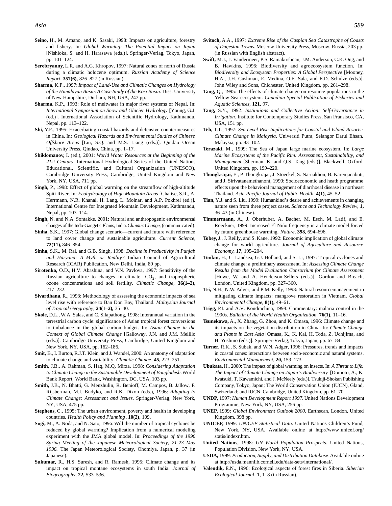- **Seino,** H., M. Amano, and K. Sasaki, 1998: Impacts on agriculture, forestry and fishery. In: *Global Warming: The Potential Impact on Japan* [Nishioka, S. and H. Harasawa (eds.)]. Springer-Verlag, Tokyo, Japan, pp. 101–124.
- **Serebryanny,** L.R. and A.G. Khropov, 1997: Natural zones of north of Russia during a climatic holocene optimum. *Russian Academy of Science Report,* **357(6),** 826–827 (in Russian).
- **Sharma,** K.P., 1997: *Impact of Land-Use and Climatic Changes on Hydrology of the Himalayan Basin: A Case Study of the Kosi Basin*. Diss. University of New Hampshire, Durham, NH, USA, 247 pp.
- **Sharma,** K.P., 1993: Role of meltwater in major river systems of Nepal. In: *International Symposium on Snow and Glacier Hydrology* [Young, G.J. (ed.)]. International Association of Scientific Hydrology, Kathmandu, Nepal, pp. 113–122.
- **Shi,** Y.F., 1995: Exacerbating coastal hazards and defensive countermeasures in China. In: *Geological Hazards and Environmental Studies of Chinese Offshore Areas* [Liu, S.Q. and M.S. Liang (eds.)]. Qindao Ocean University Press, Qindao, China, pp. 1–17.
- **Shiklomanov,** I. (ed.), 2001: *World Water Resources at the Beginning of the 21st Century*. International Hydrological Series of the United Nations Educational, Scientific, and Cultural Organization (UNESCO), Cambridge University Press, Cambridge, United Kingdom and New York, NY, USA, 711 pp.
- **Singh,** P., 1998: Effect of global warming on the streamflow of high-altitude Spiti River. In: *Ecohydrology of High Mountain Areas* [Chalise, S.R., A. Herrmann, N.R. Khanal, H. Lang, L. Molnar, and A.P. Pokhrel (ed.)]. International Centre for Integrated Mountain Development, Kathmandu, Nepal, pp. 103–114.
- **Singh, N. and N.A. Sontakke, 2001: Natural and anthropogenic environmental** changes of the Indo-Gangetic Plains, India. *Climatic Change*, (communicated).
- **Sinha,** S.K., 1997: Global change scenario—current and future with reference to land cover change and sustainable agriculture. *Current Science*, **72(11),** 846–854.
- **Sinha,** S.K., M. Rai, and G.B. Singh, 1998: *Decline in Productivity in Punjab and Haryana: A Myth or Reality?* Indian Council of Agricultural Research (ICAR) Publication, New Delhi, India, 89 pp.
- **Sirotenko,** O.D., H.V. Abashina, and V.N. Pavlova, 1997: Sensitivity of the Russian agriculture to changes in climate,  $CO<sub>2</sub>$ , and tropospheric ozone concentrations and soil fertility. *Climatic Change*, 36(1-2), 217–232.
- **Sivardhana,** R., 1993: Methodology of assessing the economic impacts of sea level rise with reference to Ban Don Bay, Thailand. *Malaysian Journal of Tropical Geography*, **24(1–2),** 35–40.
- **Skole,** D.L., W.A. Salas, and C. Silapathong, 1998: Interannual variation in the terrestrial carbon cycle: significance of Asian tropical forest conversions to imbalance in the global carbon budget. In: *Asian Change in the Context of Global Climate Change* [Galloway, J.N. and J.M. Melillo (eds.)]. Cambridge University Press, Cambridge, United Kingdom and New York, NY, USA, pp. 162–186.
- Smit, B., I. Burton, R.J.T. Klein, and J. Wandel, 2000: An anatomy of adaptation to climate change and variability. *Climatic Change*, **45,** 223–251.
- **Smith,** J.B., A. Rahman, S. Haq, M.Q. Mirza, 1998: *Considering Adaptation to Climate Change in the Sustainable Development of Bangladesh*.World Bank Report, World Bank, Washington, DC, USA, 103 pp.
- **Smith,** J.B., N. Bhatti, G. Menzhulin, R. Benioff, M. Campos, B. Jallow, F. Rijsberman, M.I. Budyko, and R.K. Dixon (eds.), 1996: *Adapting to Climate Change: Assessment and Issues*. Springer-Verlag, New York, NY, USA, 475 pp.
- **Stephens,** C., 1995: The urban environment, poverty and health in developing countries. *Health Policy and Planning*, **10(2),** 109.
- **Sugi,** M., A. Noda, and N. Sato, 1996: Will the number of tropical cyclones be reduced by global warming? Implication from a numerical modeling experiment with the JMA global model. In: *Proceedings of the 1996 Spring Meeting of the Japanese Meteorological Society, 21-23 May 1996.* The Japan Meteorological Society, Ohomiya, Japan, p. 37 (in Japanese).
- **Sukumar,** R., H.S. Suresh, and R. Ramesh, 1995: Climate change and its impact on tropical montane ecosystems in south India. *Journal of Biogeography*, **22,** 533–536.
- **Svitoch,** A.A., 1997: *Extreme Rise of the Caspian Sea Catastrophe of Coasts of Dagestan Towns*. Moscow University Press, Moscow, Russia, 203 pp. (in Russian with English abstract).
- **Swift,** M.J., J. Vandermeer, P.S. Ramakrishnan, J.M. Anderson, C.K. Ong, and B. Hawkins, 1996: Biodiversity and agroecosystem function. In: *Biodiversity and Ecosystem Properties: A Global Perspective* [Mooney, H.A., J.H. Cushman, E. Medina, O.E. Sala, and E.D. Schulze (eds.)]. John Wiley and Sons, Chichester, United Kingdom, pp. 261–298.
- **Tang,** Q., 1995: The effects of climate change on resource populations in the Yellow Sea ecosystem. *Canadian Special Publication of Fisheries and Aquatic Sciences*, **121,** 97.
- **Tang,** S.Y., 1992: *Institutions and Collective Action: Self-Governance in Irrigation.* Institute for Contemporary Studies Press, San Fransisco, CA, USA, 151 pp.
- **Teh,** T.T., 1997: *Sea Level Rise Implications for Coastal and Island Resorts: Climate Change in Malaysia*. Universiti Putra, Selangor Darul Ehsan, Malaysia, pp. 83–102.
- **Terazaki,** M., 1999: The Sea of Japan large marine ecosystem. In: *Large Marine Ecosystems of the Pacific Rim: Assessment, Sustainability, and Management* [Sherman, K. and Q.S. Tang (eds.)]. Blackwell, Oxford, United Kingdom, pp. 199–220.
- **Thongkrajai,** E., P. Thongkrajai, J. Stoeckel, S. Na-nakhon, B. Karenjanabutr, and J. Sirivatanamethanont, 1990: Socioeconomic and heath programme e ffects upon the behavioral management of diarrhoeal disease in northeast Thailand. *Asia Pacific Journal of Public Health*, **4(1),** 45–52.
- Tian, Y.J. and S. Liu, 1999: Humankind's desire and achievements in changing nature seen from three project cases. *Science and Technology Review*, **1,** 36–43 (in Chinese).
- **Timmermann,** A., J. Oberhuber, A. Bacher, M. Esch, M. Latif, and E. Roeckner, 1999: Increased El Niño frequency in a climate model forced by future greenhouse warming. *Nature*, **398,** 694–696.
- **Tobey,**J., J. Reilly, and S. Kane, 1992: Economic implication of global climate change for world agriculture. *Journal of Agriculture and Resource Economy,* **17,** 195–204.
- **Tonkin,** H., C. Landsea, G.J. Holland, and S. Li, 1997: Tropical cyclones and climate change: a preliminary assessment. In: *Assessing Climate Change Results from the Model Evaluation Consortium for Climate Assessment* [Howe, W. and A. Henderson-Sellers (eds.)]. Gordon and Breach, London, United Kingdom, pp. 327–360.
- **Tri,** N.H., N.W. Adger, and P.M. Kelly, 1998: Natural resourcemanagement in mitigating climate impacts: mangrove restoration in Vietnam. *Global Environmental Change*, **8(1),** 49–61.
- **Trigg,** P.I. and A.V. Kondrachina, 1998: Commentary: malaria control in the 1990s. *Bulletin of the World Health Organization*, **76(1),** 11–16.
- **Tsunekawa,** A., X. Zhang, G. Zhou, and K. Omasa, 1996: Climate change and its impacts on the vegetation distribution in China. In: *Climate Change and Plants in East Asia* [Omasa, K., K. Kai, H. Toda, Z. Uchijima, and H. Yoshino (eds.)]. Springer-Verlag, Tokyo, Japan, pp. 67–84.
- **Turner,** R.K., S. Subak, and W.N. Adger, 1996: Pressures, trends and impacts in coastal zones: interactions between socio-economic and natural systems. *Environmental Management*, **20,** 159–173.
- Ubukata, H., 2000: The impact of global warming on insects. In: *A Threat to Life: The Impact of Climate Change on Japan's Biodiversity* [Domoto, A., K. Iwatsuki, T. Kawamichi, and J. McNeely (eds.)]. Tsukiji-Shokan Publishing Company, Tokyo, Japan; The World Conservation Union (IUCN), Gland, Swizerland; and IUCN, Cambridge, United Kingdom, pp. 61–70.
- **UNDP,** 1997: *Human Development Report 1997*. United Nations Development Programme, New York, NY, USA, 256 pp.
- **UNEP,** 1999: *Global Environment Outlook 2000*. Earthscan, London, United Kingdom, 398 pp.
- **UNICEF,** 1999: *UNICEF Statistical Data*. United Nations Children's Fund, New York, NY, USA. Available online at http://www.unicef.org/ statis/indexr.htm.
- **United Nations,** 1998: *UN World Population Prospects.* United Nations, Population Division, New York, NY, USA.
- **USDA,** 1999: *Production, Supply, and Distribution Database*.Available online at http://usda.mannlib.cornell.edu/data-sets/international/.
- **Valendik,** E.N., 1996: Ecological aspects of forest fires in Siberia. *Siberian Ecological Journal*, **1,** 1–8 (in Russian).